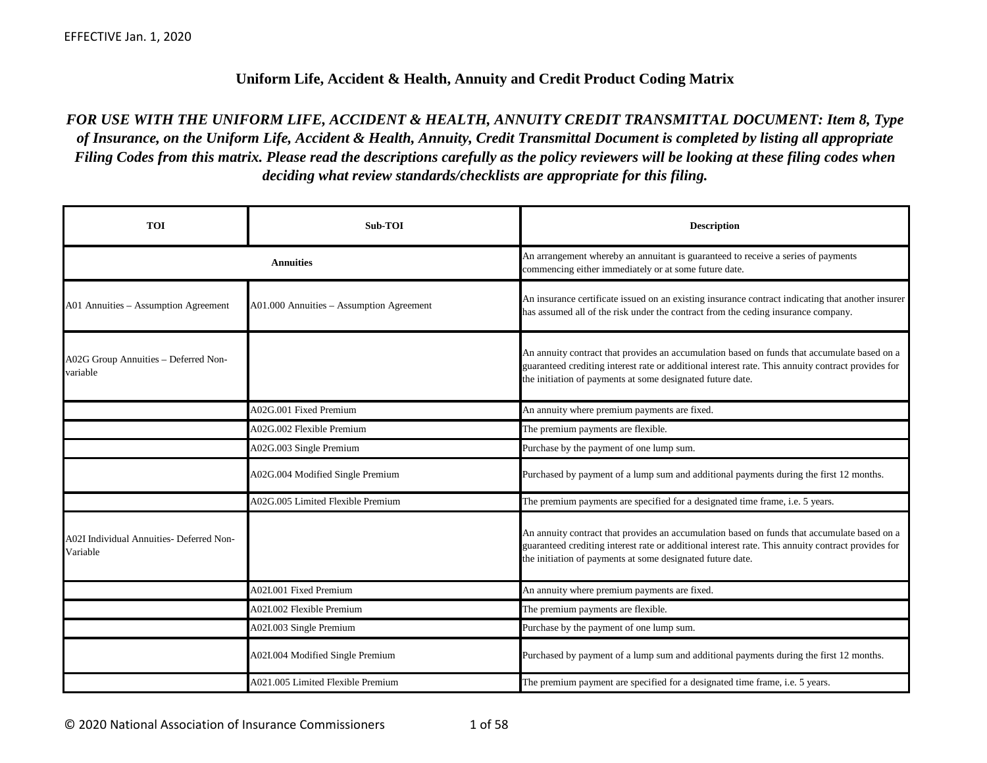## **Uniform Life, Accident & Health, Annuity and Credit Product Coding Matrix**

*FOR USE WITH THE UNIFORM LIFE, ACCIDENT & HEALTH, ANNUITY CREDIT TRANSMITTAL DOCUMENT: Item 8, Type of Insurance, on the Uniform Life, Accident & Health, Annuity, Credit Transmittal Document is completed by listing all appropriate Filing Codes from this matrix. Please read the descriptions carefully as the policy reviewers will be looking at these filing codes when deciding what review standards/checklists are appropriate for this filing.*

| <b>TOI</b>                                                  | Sub-TOI                                  | <b>Description</b>                                                                                                                                                                                                                                              |
|-------------------------------------------------------------|------------------------------------------|-----------------------------------------------------------------------------------------------------------------------------------------------------------------------------------------------------------------------------------------------------------------|
|                                                             | <b>Annuities</b>                         | An arrangement whereby an annuitant is guaranteed to receive a series of payments<br>commencing either immediately or at some future date.                                                                                                                      |
| A01 Annuities - Assumption Agreement                        | A01.000 Annuities - Assumption Agreement | An insurance certificate issued on an existing insurance contract indicating that another insurer<br>has assumed all of the risk under the contract from the ceding insurance company.                                                                          |
| A02G Group Annuities - Deferred Non-<br>variable            |                                          | An annuity contract that provides an accumulation based on funds that accumulate based on a<br>guaranteed crediting interest rate or additional interest rate. This annuity contract provides for<br>the initiation of payments at some designated future date. |
|                                                             | A02G.001 Fixed Premium                   | An annuity where premium payments are fixed.                                                                                                                                                                                                                    |
|                                                             | A02G.002 Flexible Premium                | The premium payments are flexible.                                                                                                                                                                                                                              |
|                                                             | A02G.003 Single Premium                  | Purchase by the payment of one lump sum.                                                                                                                                                                                                                        |
|                                                             | A02G.004 Modified Single Premium         | Purchased by payment of a lump sum and additional payments during the first 12 months.                                                                                                                                                                          |
|                                                             | A02G.005 Limited Flexible Premium        | The premium payments are specified for a designated time frame, i.e. 5 years.                                                                                                                                                                                   |
| <b>A02I Individual Annuities- Deferred Non-</b><br>Variable |                                          | An annuity contract that provides an accumulation based on funds that accumulate based on a<br>guaranteed crediting interest rate or additional interest rate. This annuity contract provides for<br>the initiation of payments at some designated future date. |
|                                                             | A02I.001 Fixed Premium                   | An annuity where premium payments are fixed.                                                                                                                                                                                                                    |
|                                                             | A02I.002 Flexible Premium                | The premium payments are flexible.                                                                                                                                                                                                                              |
|                                                             | A02I.003 Single Premium                  | Purchase by the payment of one lump sum.                                                                                                                                                                                                                        |
|                                                             | A02I.004 Modified Single Premium         | Purchased by payment of a lump sum and additional payments during the first 12 months.                                                                                                                                                                          |
|                                                             | A021.005 Limited Flexible Premium        | The premium payment are specified for a designated time frame, i.e. 5 years.                                                                                                                                                                                    |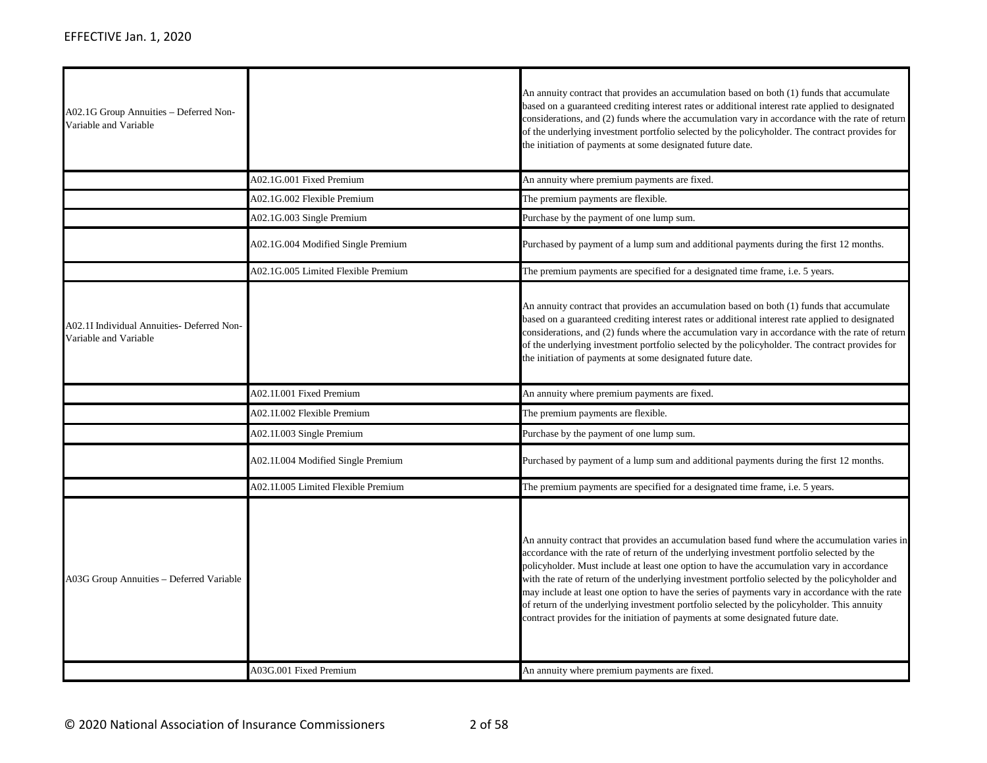| A02.1G Group Annuities - Deferred Non-<br>Variable and Variable     |                                     | An annuity contract that provides an accumulation based on both (1) funds that accumulate<br>based on a guaranteed crediting interest rates or additional interest rate applied to designated<br>considerations, and (2) funds where the accumulation vary in accordance with the rate of return<br>of the underlying investment portfolio selected by the policyholder. The contract provides for<br>the initiation of payments at some designated future date.                                                                                                                                                                                                                  |
|---------------------------------------------------------------------|-------------------------------------|-----------------------------------------------------------------------------------------------------------------------------------------------------------------------------------------------------------------------------------------------------------------------------------------------------------------------------------------------------------------------------------------------------------------------------------------------------------------------------------------------------------------------------------------------------------------------------------------------------------------------------------------------------------------------------------|
|                                                                     | A02.1G.001 Fixed Premium            | An annuity where premium payments are fixed.                                                                                                                                                                                                                                                                                                                                                                                                                                                                                                                                                                                                                                      |
|                                                                     | A02.1G.002 Flexible Premium         | The premium payments are flexible.                                                                                                                                                                                                                                                                                                                                                                                                                                                                                                                                                                                                                                                |
|                                                                     | A02.1G.003 Single Premium           | Purchase by the payment of one lump sum.                                                                                                                                                                                                                                                                                                                                                                                                                                                                                                                                                                                                                                          |
|                                                                     | A02.1G.004 Modified Single Premium  | Purchased by payment of a lump sum and additional payments during the first 12 months.                                                                                                                                                                                                                                                                                                                                                                                                                                                                                                                                                                                            |
|                                                                     | A02.1G.005 Limited Flexible Premium | The premium payments are specified for a designated time frame, i.e. 5 years.                                                                                                                                                                                                                                                                                                                                                                                                                                                                                                                                                                                                     |
| A02.1I Individual Annuities- Deferred Non-<br>Variable and Variable |                                     | An annuity contract that provides an accumulation based on both (1) funds that accumulate<br>based on a guaranteed crediting interest rates or additional interest rate applied to designated<br>considerations, and (2) funds where the accumulation vary in accordance with the rate of return<br>of the underlying investment portfolio selected by the policyholder. The contract provides for<br>the initiation of payments at some designated future date.                                                                                                                                                                                                                  |
|                                                                     | A02.1I.001 Fixed Premium            | An annuity where premium payments are fixed.                                                                                                                                                                                                                                                                                                                                                                                                                                                                                                                                                                                                                                      |
|                                                                     | A02.1I.002 Flexible Premium         | The premium payments are flexible.                                                                                                                                                                                                                                                                                                                                                                                                                                                                                                                                                                                                                                                |
|                                                                     | A02.1I.003 Single Premium           | Purchase by the payment of one lump sum.                                                                                                                                                                                                                                                                                                                                                                                                                                                                                                                                                                                                                                          |
|                                                                     | A02.1I.004 Modified Single Premium  | Purchased by payment of a lump sum and additional payments during the first 12 months.                                                                                                                                                                                                                                                                                                                                                                                                                                                                                                                                                                                            |
|                                                                     | A02.1I.005 Limited Flexible Premium | The premium payments are specified for a designated time frame, <i>i.e.</i> 5 years.                                                                                                                                                                                                                                                                                                                                                                                                                                                                                                                                                                                              |
| A03G Group Annuities - Deferred Variable                            |                                     | An annuity contract that provides an accumulation based fund where the accumulation varies in<br>accordance with the rate of return of the underlying investment portfolio selected by the<br>policyholder. Must include at least one option to have the accumulation vary in accordance<br>with the rate of return of the underlying investment portfolio selected by the policyholder and<br>may include at least one option to have the series of payments vary in accordance with the rate<br>of return of the underlying investment portfolio selected by the policyholder. This annuity<br>contract provides for the initiation of payments at some designated future date. |
|                                                                     | A03G.001 Fixed Premium              | An annuity where premium payments are fixed.                                                                                                                                                                                                                                                                                                                                                                                                                                                                                                                                                                                                                                      |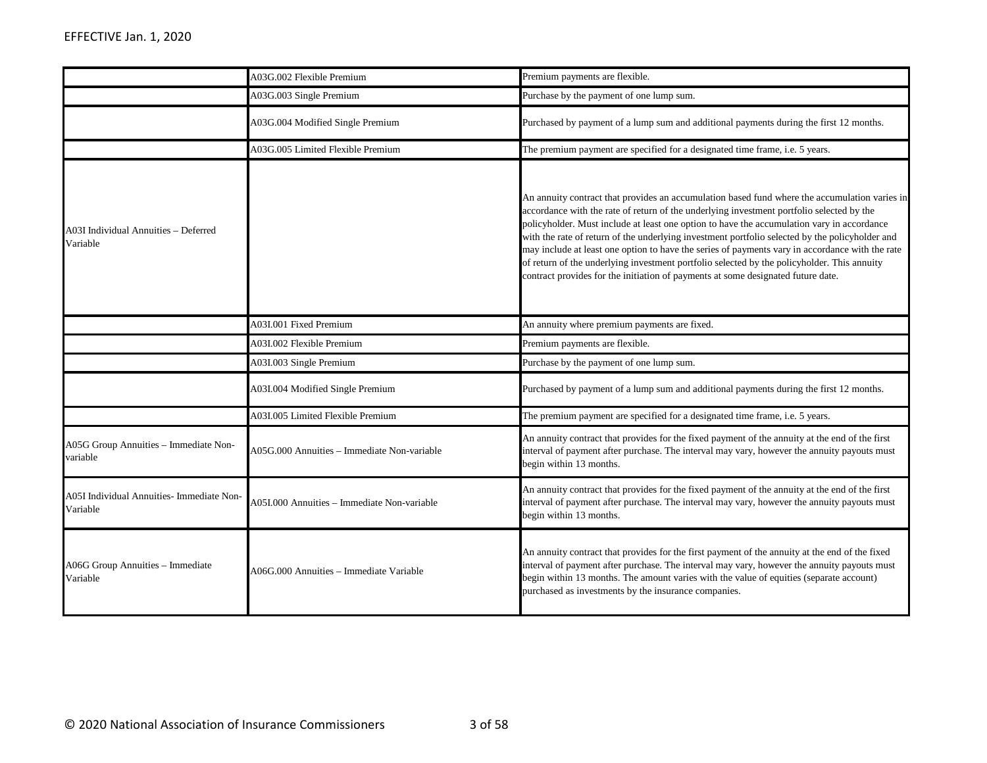|                                                       | A03G.002 Flexible Premium                   | Premium payments are flexible.                                                                                                                                                                                                                                                                                                                                                                                                                                                                                                                                                                                                                                                    |
|-------------------------------------------------------|---------------------------------------------|-----------------------------------------------------------------------------------------------------------------------------------------------------------------------------------------------------------------------------------------------------------------------------------------------------------------------------------------------------------------------------------------------------------------------------------------------------------------------------------------------------------------------------------------------------------------------------------------------------------------------------------------------------------------------------------|
|                                                       | A03G.003 Single Premium                     | Purchase by the payment of one lump sum.                                                                                                                                                                                                                                                                                                                                                                                                                                                                                                                                                                                                                                          |
|                                                       | A03G.004 Modified Single Premium            | Purchased by payment of a lump sum and additional payments during the first 12 months.                                                                                                                                                                                                                                                                                                                                                                                                                                                                                                                                                                                            |
|                                                       | A03G.005 Limited Flexible Premium           | The premium payment are specified for a designated time frame, i.e. 5 years.                                                                                                                                                                                                                                                                                                                                                                                                                                                                                                                                                                                                      |
| A03I Individual Annuities – Deferred<br>Variable      |                                             | An annuity contract that provides an accumulation based fund where the accumulation varies in<br>accordance with the rate of return of the underlying investment portfolio selected by the<br>policyholder. Must include at least one option to have the accumulation vary in accordance<br>with the rate of return of the underlying investment portfolio selected by the policyholder and<br>may include at least one option to have the series of payments vary in accordance with the rate<br>of return of the underlying investment portfolio selected by the policyholder. This annuity<br>contract provides for the initiation of payments at some designated future date. |
|                                                       | A03I.001 Fixed Premium                      | An annuity where premium payments are fixed.                                                                                                                                                                                                                                                                                                                                                                                                                                                                                                                                                                                                                                      |
|                                                       | A03I.002 Flexible Premium                   | Premium payments are flexible.                                                                                                                                                                                                                                                                                                                                                                                                                                                                                                                                                                                                                                                    |
|                                                       | A03I.003 Single Premium                     | Purchase by the payment of one lump sum.                                                                                                                                                                                                                                                                                                                                                                                                                                                                                                                                                                                                                                          |
|                                                       | A03I.004 Modified Single Premium            | Purchased by payment of a lump sum and additional payments during the first 12 months.                                                                                                                                                                                                                                                                                                                                                                                                                                                                                                                                                                                            |
|                                                       | A03I.005 Limited Flexible Premium           | The premium payment are specified for a designated time frame, i.e. 5 years.                                                                                                                                                                                                                                                                                                                                                                                                                                                                                                                                                                                                      |
| A05G Group Annuities - Immediate Non-<br>variable     | A05G.000 Annuities - Immediate Non-variable | An annuity contract that provides for the fixed payment of the annuity at the end of the first<br>interval of payment after purchase. The interval may vary, however the annuity payouts must<br>begin within 13 months.                                                                                                                                                                                                                                                                                                                                                                                                                                                          |
| A05I Individual Annuities- Immediate Non-<br>Variable | A05I.000 Annuities - Immediate Non-variable | An annuity contract that provides for the fixed payment of the annuity at the end of the first<br>interval of payment after purchase. The interval may vary, however the annuity payouts must<br>begin within 13 months.                                                                                                                                                                                                                                                                                                                                                                                                                                                          |
| A06G Group Annuities - Immediate<br>Variable          | A06G.000 Annuities - Immediate Variable     | An annuity contract that provides for the first payment of the annuity at the end of the fixed<br>interval of payment after purchase. The interval may vary, however the annuity payouts must<br>begin within 13 months. The amount varies with the value of equities (separate account)<br>purchased as investments by the insurance companies.                                                                                                                                                                                                                                                                                                                                  |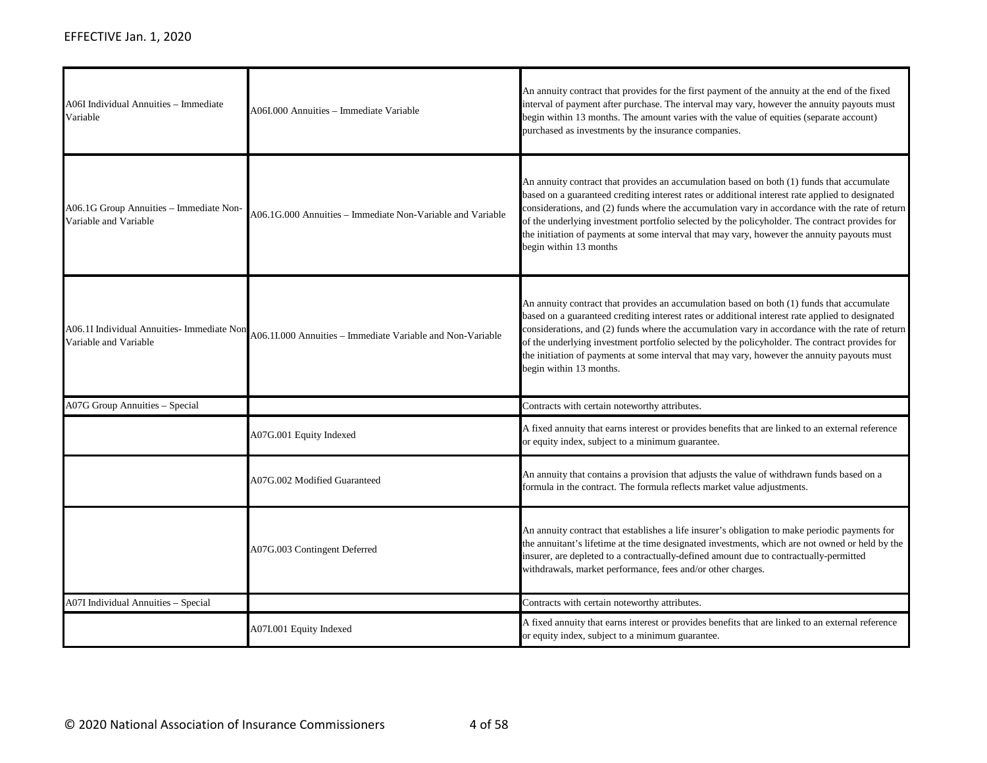| A06I Individual Annuities – Immediate<br>Variable                   | A06I.000 Annuities - Immediate Variable                    | An annuity contract that provides for the first payment of the annuity at the end of the fixed<br>interval of payment after purchase. The interval may vary, however the annuity payouts must<br>begin within 13 months. The amount varies with the value of equities (separate account)<br>purchased as investments by the insurance companies.                                                                                                                                                                             |
|---------------------------------------------------------------------|------------------------------------------------------------|------------------------------------------------------------------------------------------------------------------------------------------------------------------------------------------------------------------------------------------------------------------------------------------------------------------------------------------------------------------------------------------------------------------------------------------------------------------------------------------------------------------------------|
| A06.1G Group Annuities - Immediate Non-<br>Variable and Variable    | A06.1G.000 Annuities - Immediate Non-Variable and Variable | An annuity contract that provides an accumulation based on both (1) funds that accumulate<br>based on a guaranteed crediting interest rates or additional interest rate applied to designated<br>considerations, and (2) funds where the accumulation vary in accordance with the rate of return<br>of the underlying investment portfolio selected by the policyholder. The contract provides for<br>the initiation of payments at some interval that may vary, however the annuity payouts must<br>begin within 13 months  |
| A06.1I Individual Annuities- Immediate Non<br>Variable and Variable | A06.1I.000 Annuities - Immediate Variable and Non-Variable | An annuity contract that provides an accumulation based on both (1) funds that accumulate<br>based on a guaranteed crediting interest rates or additional interest rate applied to designated<br>considerations, and (2) funds where the accumulation vary in accordance with the rate of return<br>of the underlying investment portfolio selected by the policyholder. The contract provides for<br>the initiation of payments at some interval that may vary, however the annuity payouts must<br>begin within 13 months. |
| A07G Group Annuities - Special                                      |                                                            | Contracts with certain noteworthy attributes.                                                                                                                                                                                                                                                                                                                                                                                                                                                                                |
|                                                                     | A07G.001 Equity Indexed                                    | A fixed annuity that earns interest or provides benefits that are linked to an external reference<br>or equity index, subject to a minimum guarantee.                                                                                                                                                                                                                                                                                                                                                                        |
|                                                                     | A07G.002 Modified Guaranteed                               | An annuity that contains a provision that adjusts the value of withdrawn funds based on a<br>formula in the contract. The formula reflects market value adjustments.                                                                                                                                                                                                                                                                                                                                                         |
|                                                                     | A07G.003 Contingent Deferred                               | An annuity contract that establishes a life insurer's obligation to make periodic payments for<br>the annuitant's lifetime at the time designated investments, which are not owned or held by the<br>insurer, are depleted to a contractually-defined amount due to contractually-permitted<br>withdrawals, market performance, fees and/or other charges.                                                                                                                                                                   |
| A07I Individual Annuities - Special                                 |                                                            | Contracts with certain noteworthy attributes.                                                                                                                                                                                                                                                                                                                                                                                                                                                                                |
|                                                                     | A07I.001 Equity Indexed                                    | A fixed annuity that earns interest or provides benefits that are linked to an external reference<br>or equity index, subject to a minimum guarantee.                                                                                                                                                                                                                                                                                                                                                                        |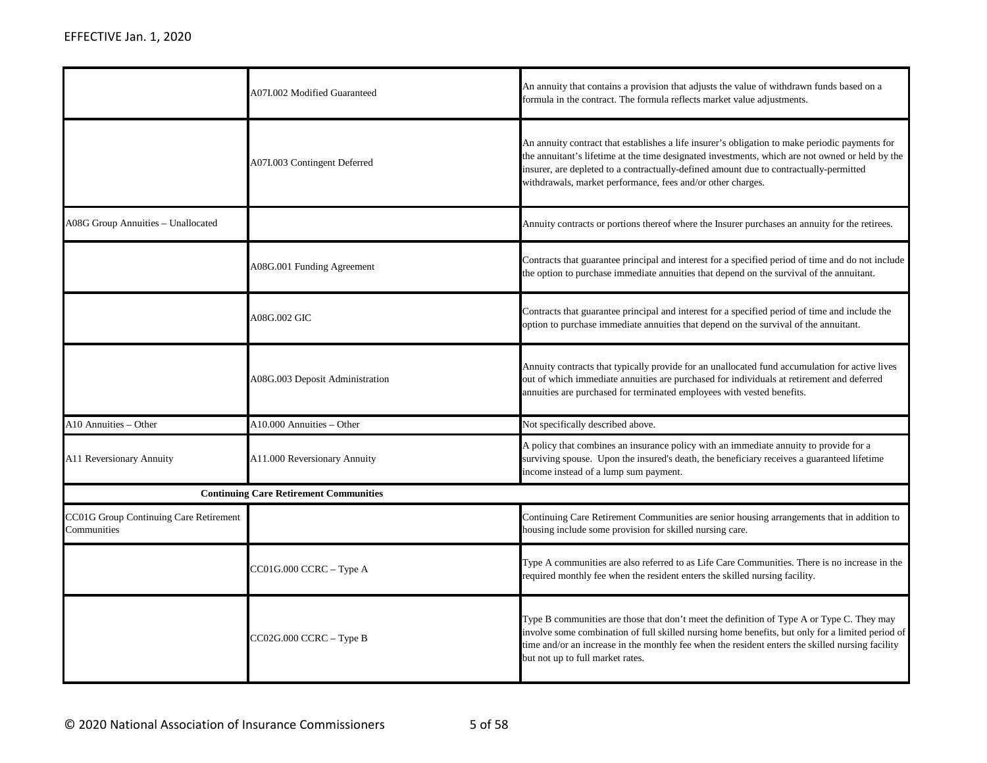|                                                       | A07I.002 Modified Guaranteed                  | An annuity that contains a provision that adjusts the value of withdrawn funds based on a<br>formula in the contract. The formula reflects market value adjustments.                                                                                                                                                                                       |
|-------------------------------------------------------|-----------------------------------------------|------------------------------------------------------------------------------------------------------------------------------------------------------------------------------------------------------------------------------------------------------------------------------------------------------------------------------------------------------------|
|                                                       | A07I.003 Contingent Deferred                  | An annuity contract that establishes a life insurer's obligation to make periodic payments for<br>the annuitant's lifetime at the time designated investments, which are not owned or held by the<br>insurer, are depleted to a contractually-defined amount due to contractually-permitted<br>withdrawals, market performance, fees and/or other charges. |
| <b>A08G Group Annuities - Unallocated</b>             |                                               | Annuity contracts or portions thereof where the Insurer purchases an annuity for the retirees.                                                                                                                                                                                                                                                             |
|                                                       | A08G.001 Funding Agreement                    | Contracts that guarantee principal and interest for a specified period of time and do not include<br>the option to purchase immediate annuities that depend on the survival of the annuitant.                                                                                                                                                              |
|                                                       | A08G.002 GIC                                  | Contracts that guarantee principal and interest for a specified period of time and include the<br>option to purchase immediate annuities that depend on the survival of the annuitant.                                                                                                                                                                     |
|                                                       | A08G.003 Deposit Administration               | Annuity contracts that typically provide for an unallocated fund accumulation for active lives<br>out of which immediate annuities are purchased for individuals at retirement and deferred<br>annuities are purchased for terminated employees with vested benefits.                                                                                      |
| A10 Annuities - Other                                 | A10.000 Annuities - Other                     | Not specifically described above.                                                                                                                                                                                                                                                                                                                          |
| A11 Reversionary Annuity                              | A11.000 Reversionary Annuity                  | A policy that combines an insurance policy with an immediate annuity to provide for a<br>surviving spouse. Upon the insured's death, the beneficiary receives a guaranteed lifetime<br>income instead of a lump sum payment.                                                                                                                               |
|                                                       | <b>Continuing Care Retirement Communities</b> |                                                                                                                                                                                                                                                                                                                                                            |
| CC01G Group Continuing Care Retirement<br>Communities |                                               | Continuing Care Retirement Communities are senior housing arrangements that in addition to<br>housing include some provision for skilled nursing care.                                                                                                                                                                                                     |
|                                                       | CC01G.000 CCRC – Type A                       | Type A communities are also referred to as Life Care Communities. There is no increase in the<br>required monthly fee when the resident enters the skilled nursing facility.                                                                                                                                                                               |
|                                                       | CC02G.000 CCRC - Type B                       | Type B communities are those that don't meet the definition of Type A or Type C. They may<br>involve some combination of full skilled nursing home benefits, but only for a limited period of<br>time and/or an increase in the monthly fee when the resident enters the skilled nursing facility<br>but not up to full market rates.                      |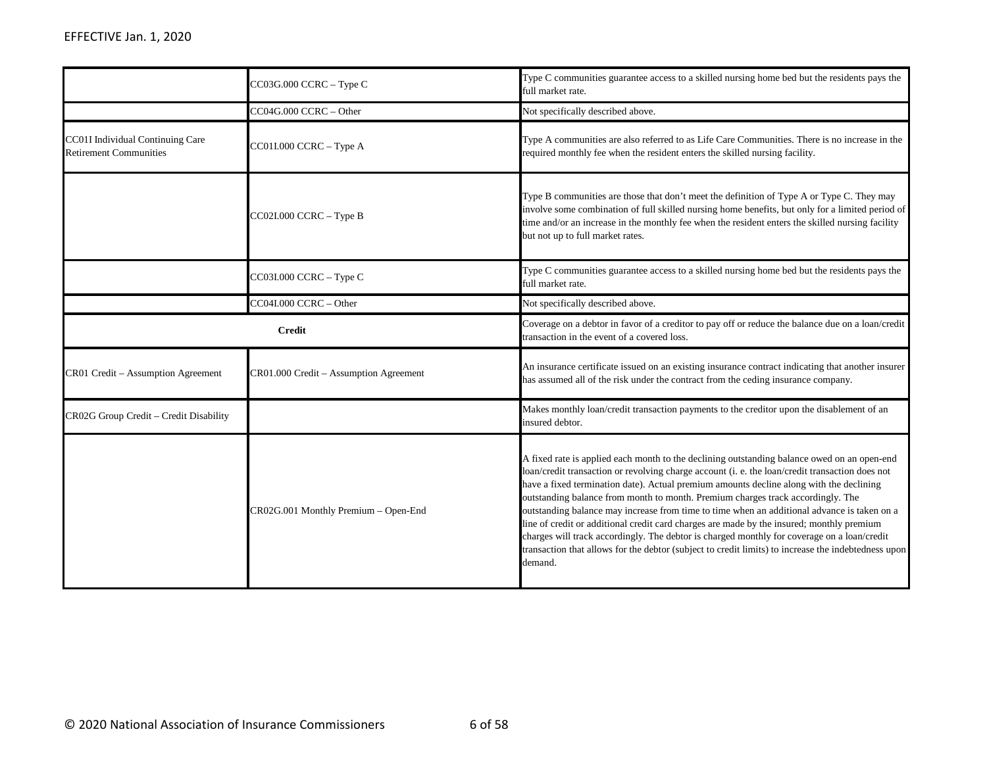|                                                                   | CC03G.000 CCRC - Type C                | Type C communities guarantee access to a skilled nursing home bed but the residents pays the<br>full market rate.                                                                                                                                                                                                                                                                                                                                                                                                                                                                                                                                                                                                                                                                         |
|-------------------------------------------------------------------|----------------------------------------|-------------------------------------------------------------------------------------------------------------------------------------------------------------------------------------------------------------------------------------------------------------------------------------------------------------------------------------------------------------------------------------------------------------------------------------------------------------------------------------------------------------------------------------------------------------------------------------------------------------------------------------------------------------------------------------------------------------------------------------------------------------------------------------------|
|                                                                   | CC04G.000 CCRC - Other                 | Not specifically described above.                                                                                                                                                                                                                                                                                                                                                                                                                                                                                                                                                                                                                                                                                                                                                         |
| CC01I Individual Continuing Care<br><b>Retirement Communities</b> | CC01I.000 CCRC - Type A                | Type A communities are also referred to as Life Care Communities. There is no increase in the<br>required monthly fee when the resident enters the skilled nursing facility.                                                                                                                                                                                                                                                                                                                                                                                                                                                                                                                                                                                                              |
|                                                                   | CC02I.000 CCRC - Type B                | Type B communities are those that don't meet the definition of Type A or Type C. They may<br>involve some combination of full skilled nursing home benefits, but only for a limited period of<br>time and/or an increase in the monthly fee when the resident enters the skilled nursing facility<br>but not up to full market rates.                                                                                                                                                                                                                                                                                                                                                                                                                                                     |
|                                                                   | CC03I.000 CCRC - Type C                | Type C communities guarantee access to a skilled nursing home bed but the residents pays the<br>full market rate.                                                                                                                                                                                                                                                                                                                                                                                                                                                                                                                                                                                                                                                                         |
|                                                                   | CC04I.000 CCRC - Other                 | Not specifically described above.                                                                                                                                                                                                                                                                                                                                                                                                                                                                                                                                                                                                                                                                                                                                                         |
| <b>Credit</b>                                                     |                                        | Coverage on a debtor in favor of a creditor to pay off or reduce the balance due on a loan/credit<br>transaction in the event of a covered loss.                                                                                                                                                                                                                                                                                                                                                                                                                                                                                                                                                                                                                                          |
| CR01 Credit - Assumption Agreement                                | CR01.000 Credit - Assumption Agreement | An insurance certificate issued on an existing insurance contract indicating that another insurer<br>has assumed all of the risk under the contract from the ceding insurance company.                                                                                                                                                                                                                                                                                                                                                                                                                                                                                                                                                                                                    |
| CR02G Group Credit - Credit Disability                            |                                        | Makes monthly loan/credit transaction payments to the creditor upon the disablement of an<br>insured debtor.                                                                                                                                                                                                                                                                                                                                                                                                                                                                                                                                                                                                                                                                              |
|                                                                   | CR02G.001 Monthly Premium - Open-End   | A fixed rate is applied each month to the declining outstanding balance owed on an open-end<br>loan/credit transaction or revolving charge account (i. e. the loan/credit transaction does not<br>have a fixed termination date). Actual premium amounts decline along with the declining<br>outstanding balance from month to month. Premium charges track accordingly. The<br>outstanding balance may increase from time to time when an additional advance is taken on a<br>line of credit or additional credit card charges are made by the insured; monthly premium<br>charges will track accordingly. The debtor is charged monthly for coverage on a loan/credit<br>transaction that allows for the debtor (subject to credit limits) to increase the indebtedness upon<br>demand. |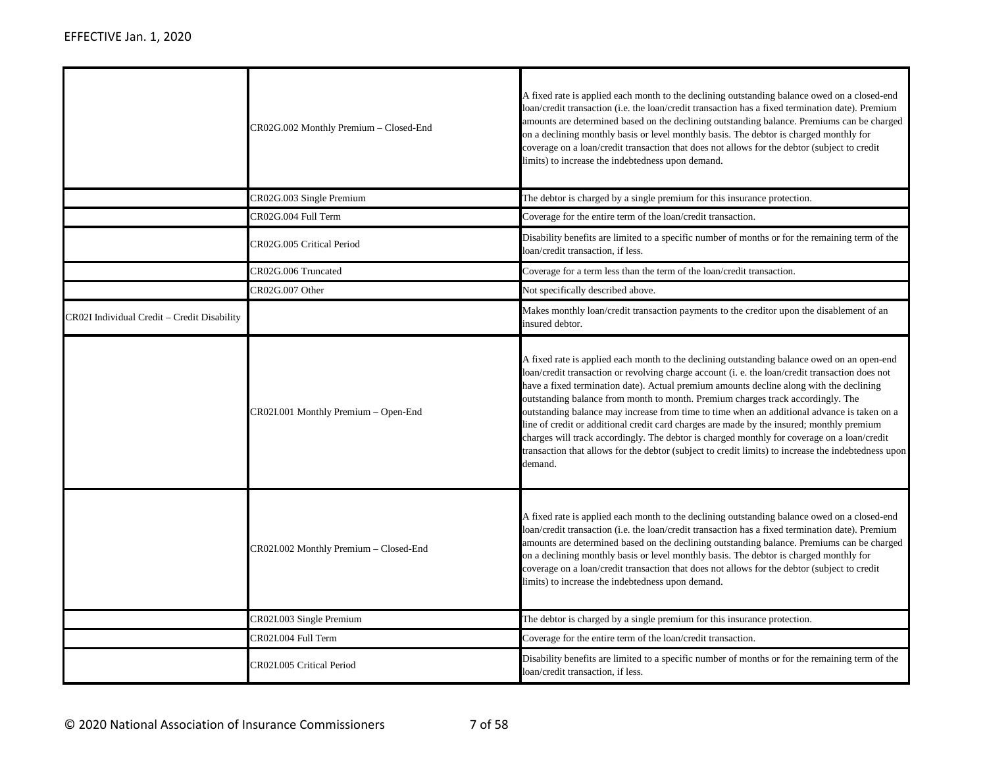|                                             | CR02G.002 Monthly Premium - Closed-End | A fixed rate is applied each month to the declining outstanding balance owed on a closed-end<br>loan/credit transaction (i.e. the loan/credit transaction has a fixed termination date). Premium<br>amounts are determined based on the declining outstanding balance. Premiums can be charged<br>on a declining monthly basis or level monthly basis. The debtor is charged monthly for<br>coverage on a loan/credit transaction that does not allows for the debtor (subject to credit<br>limits) to increase the indebtedness upon demand.                                                                                                                                                                                                                                             |
|---------------------------------------------|----------------------------------------|-------------------------------------------------------------------------------------------------------------------------------------------------------------------------------------------------------------------------------------------------------------------------------------------------------------------------------------------------------------------------------------------------------------------------------------------------------------------------------------------------------------------------------------------------------------------------------------------------------------------------------------------------------------------------------------------------------------------------------------------------------------------------------------------|
|                                             | CR02G.003 Single Premium               | The debtor is charged by a single premium for this insurance protection.                                                                                                                                                                                                                                                                                                                                                                                                                                                                                                                                                                                                                                                                                                                  |
|                                             | CR02G.004 Full Term                    | Coverage for the entire term of the loan/credit transaction.                                                                                                                                                                                                                                                                                                                                                                                                                                                                                                                                                                                                                                                                                                                              |
|                                             | CR02G.005 Critical Period              | Disability benefits are limited to a specific number of months or for the remaining term of the<br>loan/credit transaction, if less.                                                                                                                                                                                                                                                                                                                                                                                                                                                                                                                                                                                                                                                      |
|                                             | CR02G.006 Truncated                    | Coverage for a term less than the term of the loan/credit transaction.                                                                                                                                                                                                                                                                                                                                                                                                                                                                                                                                                                                                                                                                                                                    |
|                                             | CR02G.007 Other                        | Not specifically described above.                                                                                                                                                                                                                                                                                                                                                                                                                                                                                                                                                                                                                                                                                                                                                         |
| CR02I Individual Credit – Credit Disability |                                        | Makes monthly loan/credit transaction payments to the creditor upon the disablement of an<br>insured debtor.                                                                                                                                                                                                                                                                                                                                                                                                                                                                                                                                                                                                                                                                              |
|                                             | CR02I.001 Monthly Premium - Open-End   | A fixed rate is applied each month to the declining outstanding balance owed on an open-end<br>loan/credit transaction or revolving charge account (i. e. the loan/credit transaction does not<br>have a fixed termination date). Actual premium amounts decline along with the declining<br>outstanding balance from month to month. Premium charges track accordingly. The<br>outstanding balance may increase from time to time when an additional advance is taken on a<br>line of credit or additional credit card charges are made by the insured; monthly premium<br>charges will track accordingly. The debtor is charged monthly for coverage on a loan/credit<br>transaction that allows for the debtor (subject to credit limits) to increase the indebtedness upon<br>demand. |
|                                             | CR02I.002 Monthly Premium - Closed-End | A fixed rate is applied each month to the declining outstanding balance owed on a closed-end<br>loan/credit transaction (i.e. the loan/credit transaction has a fixed termination date). Premium<br>amounts are determined based on the declining outstanding balance. Premiums can be charged<br>on a declining monthly basis or level monthly basis. The debtor is charged monthly for<br>coverage on a loan/credit transaction that does not allows for the debtor (subject to credit<br>limits) to increase the indebtedness upon demand.                                                                                                                                                                                                                                             |
|                                             | CR02I.003 Single Premium               | The debtor is charged by a single premium for this insurance protection.                                                                                                                                                                                                                                                                                                                                                                                                                                                                                                                                                                                                                                                                                                                  |
|                                             | CR02I.004 Full Term                    | Coverage for the entire term of the loan/credit transaction.                                                                                                                                                                                                                                                                                                                                                                                                                                                                                                                                                                                                                                                                                                                              |
|                                             | CR02I.005 Critical Period              | Disability benefits are limited to a specific number of months or for the remaining term of the<br>loan/credit transaction, if less.                                                                                                                                                                                                                                                                                                                                                                                                                                                                                                                                                                                                                                                      |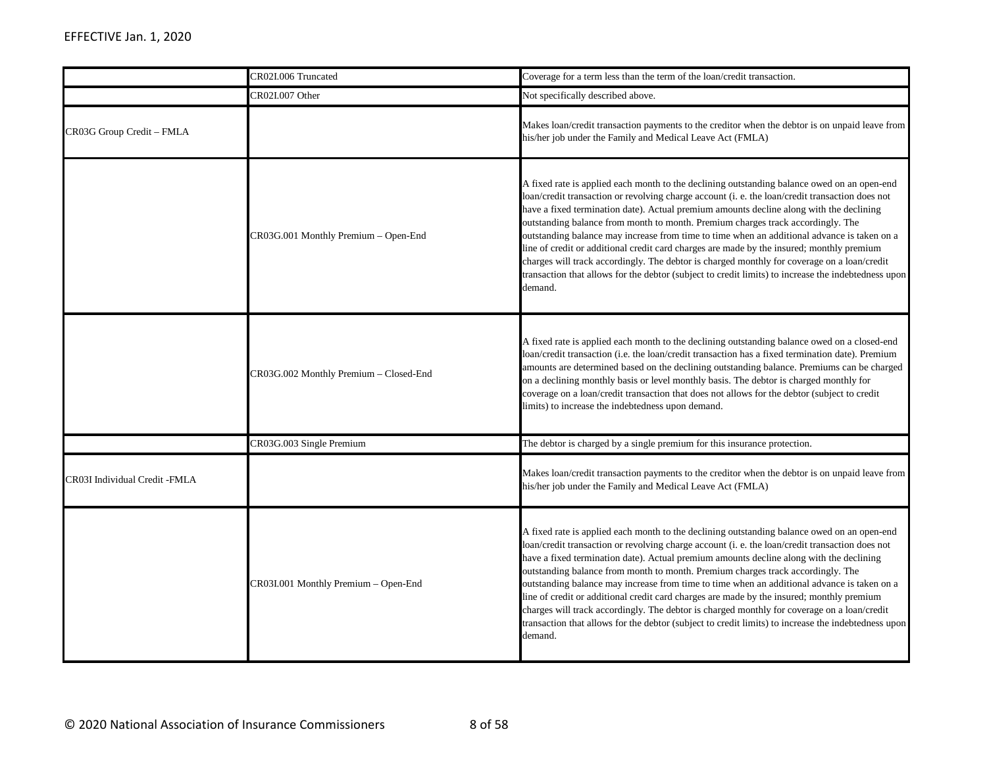|                               | CR02I.006 Truncated                    | Coverage for a term less than the term of the loan/credit transaction.                                                                                                                                                                                                                                                                                                                                                                                                                                                                                                                                                                                                                                                                                                                    |
|-------------------------------|----------------------------------------|-------------------------------------------------------------------------------------------------------------------------------------------------------------------------------------------------------------------------------------------------------------------------------------------------------------------------------------------------------------------------------------------------------------------------------------------------------------------------------------------------------------------------------------------------------------------------------------------------------------------------------------------------------------------------------------------------------------------------------------------------------------------------------------------|
|                               | CR02I.007 Other                        | Not specifically described above.                                                                                                                                                                                                                                                                                                                                                                                                                                                                                                                                                                                                                                                                                                                                                         |
| CR03G Group Credit - FMLA     |                                        | Makes loan/credit transaction payments to the creditor when the debtor is on unpaid leave from<br>his/her job under the Family and Medical Leave Act (FMLA)                                                                                                                                                                                                                                                                                                                                                                                                                                                                                                                                                                                                                               |
|                               | CR03G.001 Monthly Premium - Open-End   | A fixed rate is applied each month to the declining outstanding balance owed on an open-end<br>loan/credit transaction or revolving charge account (i. e. the loan/credit transaction does not<br>have a fixed termination date). Actual premium amounts decline along with the declining<br>outstanding balance from month to month. Premium charges track accordingly. The<br>outstanding balance may increase from time to time when an additional advance is taken on a<br>line of credit or additional credit card charges are made by the insured; monthly premium<br>charges will track accordingly. The debtor is charged monthly for coverage on a loan/credit<br>transaction that allows for the debtor (subject to credit limits) to increase the indebtedness upon<br>demand. |
|                               | CR03G.002 Monthly Premium - Closed-End | A fixed rate is applied each month to the declining outstanding balance owed on a closed-end<br>loan/credit transaction (i.e. the loan/credit transaction has a fixed termination date). Premium<br>amounts are determined based on the declining outstanding balance. Premiums can be charged<br>on a declining monthly basis or level monthly basis. The debtor is charged monthly for<br>coverage on a loan/credit transaction that does not allows for the debtor (subject to credit<br>limits) to increase the indebtedness upon demand.                                                                                                                                                                                                                                             |
|                               | CR03G.003 Single Premium               | The debtor is charged by a single premium for this insurance protection.                                                                                                                                                                                                                                                                                                                                                                                                                                                                                                                                                                                                                                                                                                                  |
| CR03I Individual Credit -FMLA |                                        | Makes loan/credit transaction payments to the creditor when the debtor is on unpaid leave from<br>his/her job under the Family and Medical Leave Act (FMLA)                                                                                                                                                                                                                                                                                                                                                                                                                                                                                                                                                                                                                               |
|                               | CR03I.001 Monthly Premium - Open-End   | A fixed rate is applied each month to the declining outstanding balance owed on an open-end<br>loan/credit transaction or revolving charge account (i. e. the loan/credit transaction does not<br>have a fixed termination date). Actual premium amounts decline along with the declining<br>outstanding balance from month to month. Premium charges track accordingly. The<br>outstanding balance may increase from time to time when an additional advance is taken on a<br>line of credit or additional credit card charges are made by the insured; monthly premium<br>charges will track accordingly. The debtor is charged monthly for coverage on a loan/credit<br>transaction that allows for the debtor (subject to credit limits) to increase the indebtedness upon<br>demand. |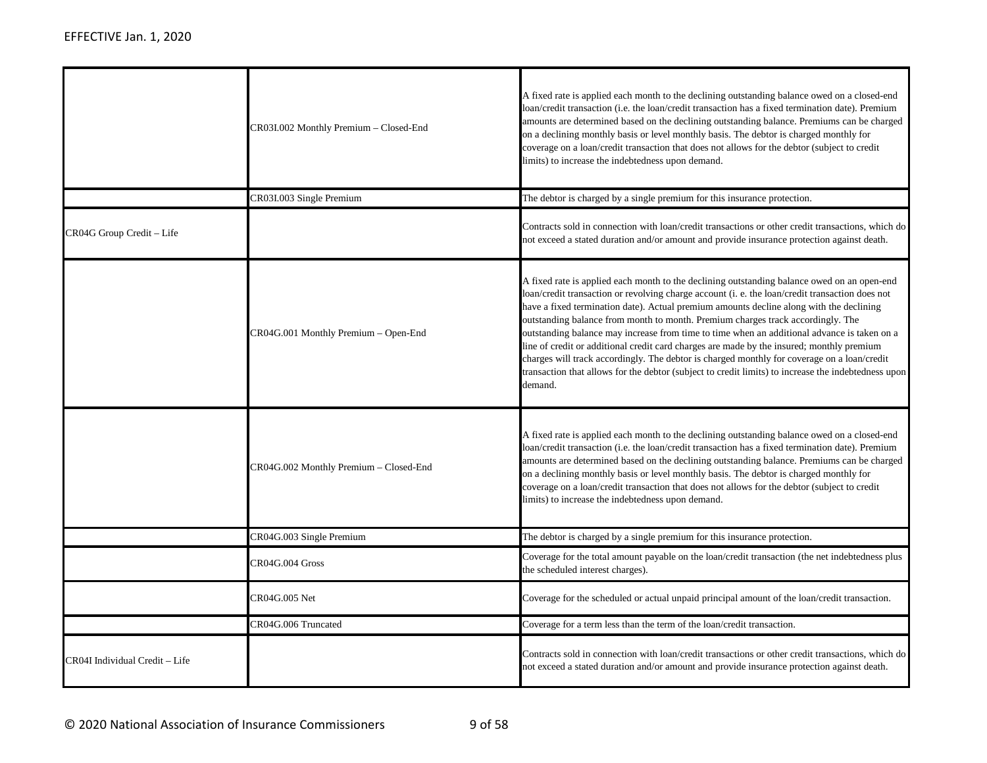|                                | CR03I.002 Monthly Premium – Closed-End | A fixed rate is applied each month to the declining outstanding balance owed on a closed-end<br>loan/credit transaction (i.e. the loan/credit transaction has a fixed termination date). Premium<br>amounts are determined based on the declining outstanding balance. Premiums can be charged<br>on a declining monthly basis or level monthly basis. The debtor is charged monthly for<br>coverage on a loan/credit transaction that does not allows for the debtor (subject to credit<br>limits) to increase the indebtedness upon demand.                                                                                                                                                                                                                                             |
|--------------------------------|----------------------------------------|-------------------------------------------------------------------------------------------------------------------------------------------------------------------------------------------------------------------------------------------------------------------------------------------------------------------------------------------------------------------------------------------------------------------------------------------------------------------------------------------------------------------------------------------------------------------------------------------------------------------------------------------------------------------------------------------------------------------------------------------------------------------------------------------|
|                                | CR03I.003 Single Premium               | The debtor is charged by a single premium for this insurance protection.                                                                                                                                                                                                                                                                                                                                                                                                                                                                                                                                                                                                                                                                                                                  |
| CR04G Group Credit - Life      |                                        | Contracts sold in connection with loan/credit transactions or other credit transactions, which do<br>not exceed a stated duration and/or amount and provide insurance protection against death.                                                                                                                                                                                                                                                                                                                                                                                                                                                                                                                                                                                           |
|                                | CR04G.001 Monthly Premium – Open-End   | A fixed rate is applied each month to the declining outstanding balance owed on an open-end<br>loan/credit transaction or revolving charge account (i. e. the loan/credit transaction does not<br>have a fixed termination date). Actual premium amounts decline along with the declining<br>outstanding balance from month to month. Premium charges track accordingly. The<br>outstanding balance may increase from time to time when an additional advance is taken on a<br>line of credit or additional credit card charges are made by the insured; monthly premium<br>charges will track accordingly. The debtor is charged monthly for coverage on a loan/credit<br>transaction that allows for the debtor (subject to credit limits) to increase the indebtedness upon<br>demand. |
|                                | CR04G.002 Monthly Premium – Closed-End | A fixed rate is applied each month to the declining outstanding balance owed on a closed-end<br>loan/credit transaction (i.e. the loan/credit transaction has a fixed termination date). Premium<br>amounts are determined based on the declining outstanding balance. Premiums can be charged<br>on a declining monthly basis or level monthly basis. The debtor is charged monthly for<br>coverage on a loan/credit transaction that does not allows for the debtor (subject to credit<br>limits) to increase the indebtedness upon demand.                                                                                                                                                                                                                                             |
|                                | CR04G.003 Single Premium               | The debtor is charged by a single premium for this insurance protection.                                                                                                                                                                                                                                                                                                                                                                                                                                                                                                                                                                                                                                                                                                                  |
|                                | CR04G.004 Gross                        | Coverage for the total amount payable on the loan/credit transaction (the net indebtedness plus<br>the scheduled interest charges).                                                                                                                                                                                                                                                                                                                                                                                                                                                                                                                                                                                                                                                       |
|                                | CR04G.005 Net                          | Coverage for the scheduled or actual unpaid principal amount of the loan/credit transaction.                                                                                                                                                                                                                                                                                                                                                                                                                                                                                                                                                                                                                                                                                              |
|                                | CR04G.006 Truncated                    | Coverage for a term less than the term of the loan/credit transaction.                                                                                                                                                                                                                                                                                                                                                                                                                                                                                                                                                                                                                                                                                                                    |
| CR04I Individual Credit - Life |                                        | Contracts sold in connection with loan/credit transactions or other credit transactions, which do<br>not exceed a stated duration and/or amount and provide insurance protection against death.                                                                                                                                                                                                                                                                                                                                                                                                                                                                                                                                                                                           |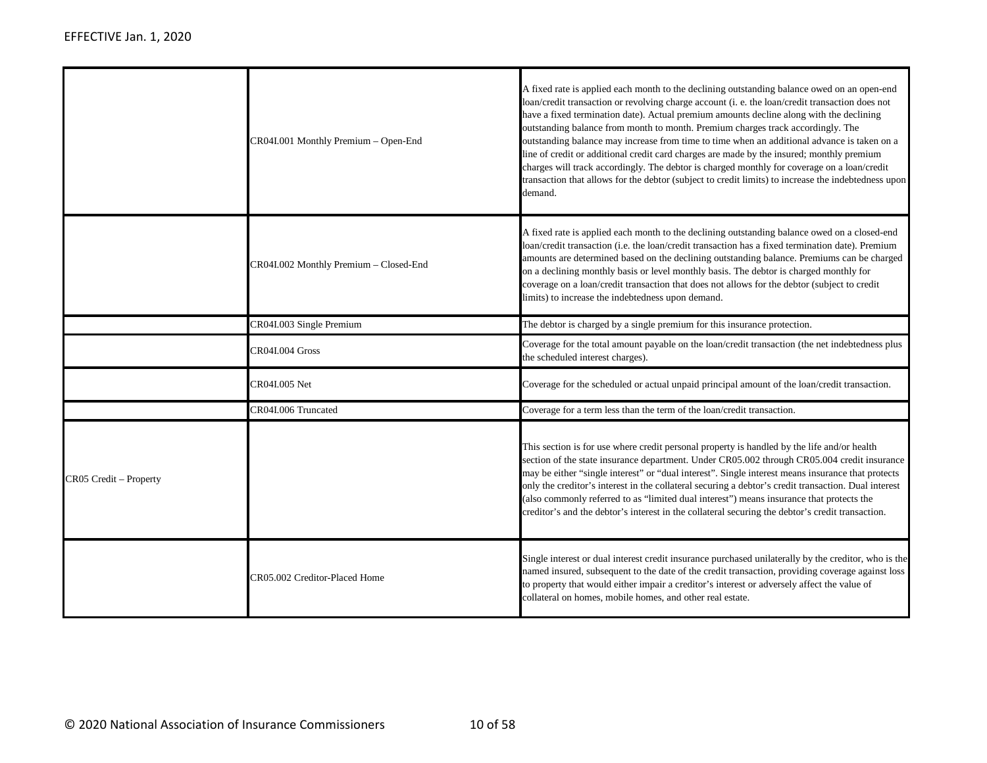|                        | CR04I.001 Monthly Premium - Open-End   | A fixed rate is applied each month to the declining outstanding balance owed on an open-end<br>loan/credit transaction or revolving charge account (i. e. the loan/credit transaction does not<br>have a fixed termination date). Actual premium amounts decline along with the declining<br>outstanding balance from month to month. Premium charges track accordingly. The<br>outstanding balance may increase from time to time when an additional advance is taken on a<br>line of credit or additional credit card charges are made by the insured; monthly premium<br>charges will track accordingly. The debtor is charged monthly for coverage on a loan/credit<br>transaction that allows for the debtor (subject to credit limits) to increase the indebtedness upon<br>demand. |
|------------------------|----------------------------------------|-------------------------------------------------------------------------------------------------------------------------------------------------------------------------------------------------------------------------------------------------------------------------------------------------------------------------------------------------------------------------------------------------------------------------------------------------------------------------------------------------------------------------------------------------------------------------------------------------------------------------------------------------------------------------------------------------------------------------------------------------------------------------------------------|
|                        | CR04I.002 Monthly Premium - Closed-End | A fixed rate is applied each month to the declining outstanding balance owed on a closed-end<br>loan/credit transaction (i.e. the loan/credit transaction has a fixed termination date). Premium<br>amounts are determined based on the declining outstanding balance. Premiums can be charged<br>on a declining monthly basis or level monthly basis. The debtor is charged monthly for<br>coverage on a loan/credit transaction that does not allows for the debtor (subject to credit<br>limits) to increase the indebtedness upon demand.                                                                                                                                                                                                                                             |
|                        | CR04I.003 Single Premium               | The debtor is charged by a single premium for this insurance protection.                                                                                                                                                                                                                                                                                                                                                                                                                                                                                                                                                                                                                                                                                                                  |
|                        | CR04I.004 Gross                        | Coverage for the total amount payable on the loan/credit transaction (the net indebtedness plus<br>the scheduled interest charges).                                                                                                                                                                                                                                                                                                                                                                                                                                                                                                                                                                                                                                                       |
|                        | CR04I.005 Net                          | Coverage for the scheduled or actual unpaid principal amount of the loan/credit transaction.                                                                                                                                                                                                                                                                                                                                                                                                                                                                                                                                                                                                                                                                                              |
|                        | CR04I.006 Truncated                    | Coverage for a term less than the term of the loan/credit transaction.                                                                                                                                                                                                                                                                                                                                                                                                                                                                                                                                                                                                                                                                                                                    |
| CR05 Credit - Property |                                        | This section is for use where credit personal property is handled by the life and/or health<br>section of the state insurance department. Under CR05.002 through CR05.004 credit insurance<br>may be either "single interest" or "dual interest". Single interest means insurance that protects<br>only the creditor's interest in the collateral securing a debtor's credit transaction. Dual interest<br>(also commonly referred to as "limited dual interest") means insurance that protects the<br>creditor's and the debtor's interest in the collateral securing the debtor's credit transaction.                                                                                                                                                                                   |
|                        | CR05.002 Creditor-Placed Home          | Single interest or dual interest credit insurance purchased unilaterally by the creditor, who is the<br>named insured, subsequent to the date of the credit transaction, providing coverage against loss<br>to property that would either impair a creditor's interest or adversely affect the value of<br>collateral on homes, mobile homes, and other real estate.                                                                                                                                                                                                                                                                                                                                                                                                                      |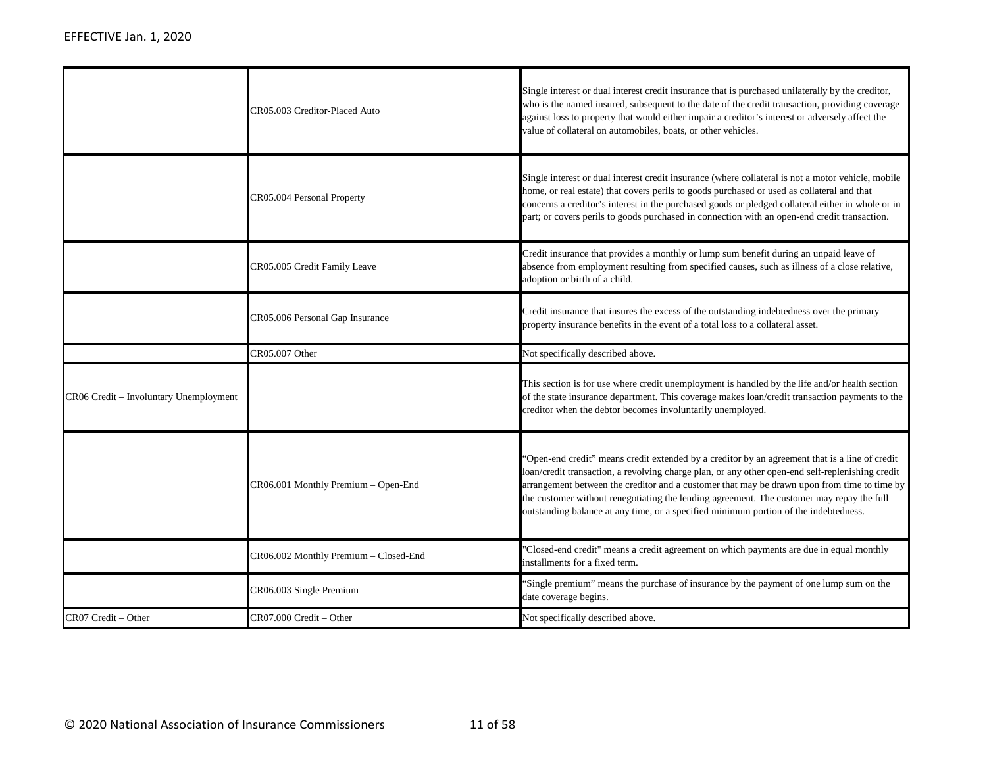|                                        | CR05.003 Creditor-Placed Auto         | Single interest or dual interest credit insurance that is purchased unilaterally by the creditor,<br>who is the named insured, subsequent to the date of the credit transaction, providing coverage<br>against loss to property that would either impair a creditor's interest or adversely affect the<br>value of collateral on automobiles, boats, or other vehicles.                                                                                                                 |
|----------------------------------------|---------------------------------------|-----------------------------------------------------------------------------------------------------------------------------------------------------------------------------------------------------------------------------------------------------------------------------------------------------------------------------------------------------------------------------------------------------------------------------------------------------------------------------------------|
|                                        | CR05.004 Personal Property            | Single interest or dual interest credit insurance (where collateral is not a motor vehicle, mobile<br>home, or real estate) that covers perils to goods purchased or used as collateral and that<br>concerns a creditor's interest in the purchased goods or pledged collateral either in whole or in<br>part; or covers perils to goods purchased in connection with an open-end credit transaction.                                                                                   |
|                                        | CR05.005 Credit Family Leave          | Credit insurance that provides a monthly or lump sum benefit during an unpaid leave of<br>absence from employment resulting from specified causes, such as illness of a close relative,<br>adoption or birth of a child.                                                                                                                                                                                                                                                                |
|                                        | CR05.006 Personal Gap Insurance       | Credit insurance that insures the excess of the outstanding indebtedness over the primary<br>property insurance benefits in the event of a total loss to a collateral asset.                                                                                                                                                                                                                                                                                                            |
|                                        | CR05.007 Other                        | Not specifically described above.                                                                                                                                                                                                                                                                                                                                                                                                                                                       |
| CR06 Credit - Involuntary Unemployment |                                       | This section is for use where credit unemployment is handled by the life and/or health section<br>of the state insurance department. This coverage makes loan/credit transaction payments to the<br>creditor when the debtor becomes involuntarily unemployed.                                                                                                                                                                                                                          |
|                                        | CR06.001 Monthly Premium - Open-End   | 'Open-end credit'' means credit extended by a creditor by an agreement that is a line of credit<br>loan/credit transaction, a revolving charge plan, or any other open-end self-replenishing credit<br>arrangement between the creditor and a customer that may be drawn upon from time to time by<br>the customer without renegotiating the lending agreement. The customer may repay the full<br>outstanding balance at any time, or a specified minimum portion of the indebtedness. |
|                                        | CR06.002 Monthly Premium - Closed-End | 'Closed-end credit" means a credit agreement on which payments are due in equal monthly<br>installments for a fixed term.                                                                                                                                                                                                                                                                                                                                                               |
|                                        | CR06.003 Single Premium               | 'Single premium'' means the purchase of insurance by the payment of one lump sum on the<br>date coverage begins.                                                                                                                                                                                                                                                                                                                                                                        |
| CR07 Credit - Other                    | CR07.000 Credit - Other               | Not specifically described above.                                                                                                                                                                                                                                                                                                                                                                                                                                                       |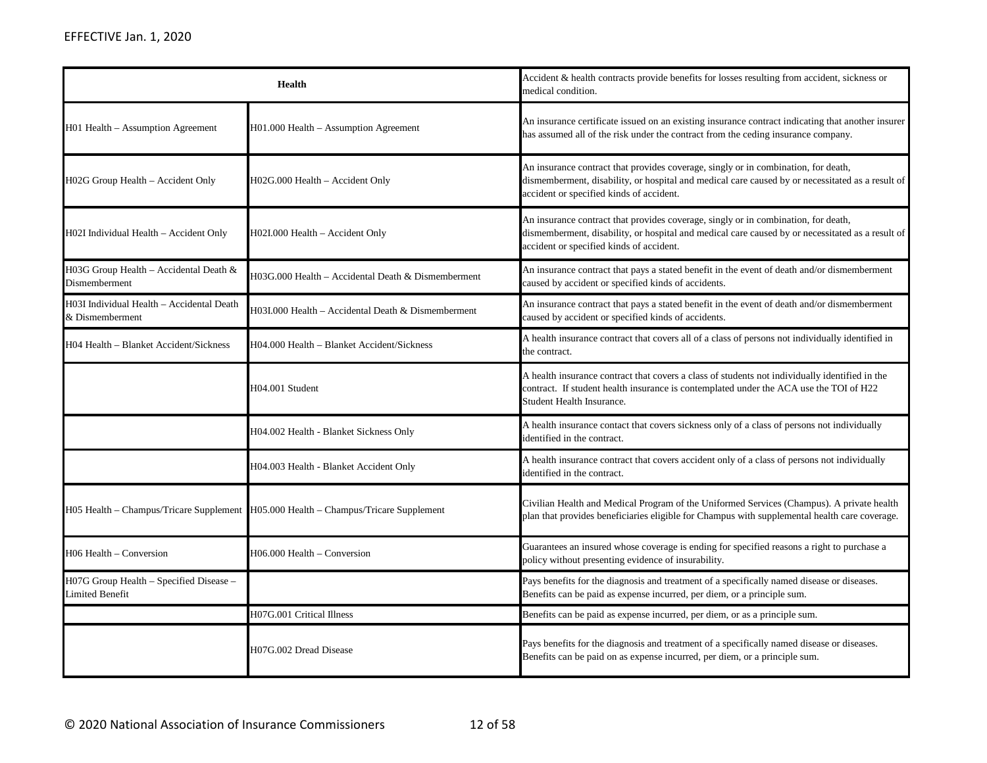| <b>Health</b>                                                     |                                                                                     | Accident & health contracts provide benefits for losses resulting from accident, sickness or<br>medical condition.                                                                                                                 |
|-------------------------------------------------------------------|-------------------------------------------------------------------------------------|------------------------------------------------------------------------------------------------------------------------------------------------------------------------------------------------------------------------------------|
| H01 Health – Assumption Agreement                                 | H01.000 Health – Assumption Agreement                                               | An insurance certificate issued on an existing insurance contract indicating that another insurer<br>has assumed all of the risk under the contract from the ceding insurance company.                                             |
| H02G Group Health - Accident Only                                 | H02G.000 Health - Accident Only                                                     | An insurance contract that provides coverage, singly or in combination, for death,<br>dismemberment, disability, or hospital and medical care caused by or necessitated as a result of<br>accident or specified kinds of accident. |
| H02I Individual Health - Accident Only                            | H02I.000 Health - Accident Only                                                     | An insurance contract that provides coverage, singly or in combination, for death,<br>dismemberment, disability, or hospital and medical care caused by or necessitated as a result of<br>accident or specified kinds of accident. |
| H03G Group Health - Accidental Death &<br>Dismemberment           | H03G.000 Health - Accidental Death & Dismemberment                                  | An insurance contract that pays a stated benefit in the event of death and/or dismemberment<br>caused by accident or specified kinds of accidents.                                                                                 |
| H03I Individual Health - Accidental Death<br>& Dismemberment      | H03I.000 Health - Accidental Death & Dismemberment                                  | An insurance contract that pays a stated benefit in the event of death and/or dismemberment<br>caused by accident or specified kinds of accidents.                                                                                 |
| H04 Health - Blanket Accident/Sickness                            | H04.000 Health - Blanket Accident/Sickness                                          | A health insurance contract that covers all of a class of persons not individually identified in<br>the contract.                                                                                                                  |
|                                                                   | H04.001 Student                                                                     | A health insurance contract that covers a class of students not individually identified in the<br>contract. If student health insurance is contemplated under the ACA use the TOI of H22<br>Student Health Insurance.              |
|                                                                   | H04.002 Health - Blanket Sickness Only                                              | A health insurance contact that covers sickness only of a class of persons not individually<br>identified in the contract.                                                                                                         |
|                                                                   | H04.003 Health - Blanket Accident Only                                              | A health insurance contract that covers accident only of a class of persons not individually<br>identified in the contract.                                                                                                        |
|                                                                   | H05 Health - Champus/Tricare Supplement H05.000 Health - Champus/Tricare Supplement | Civilian Health and Medical Program of the Uniformed Services (Champus). A private health<br>plan that provides beneficiaries eligible for Champus with supplemental health care coverage.                                         |
| H06 Health - Conversion                                           | $H06.000$ Health – Conversion                                                       | Guarantees an insured whose coverage is ending for specified reasons a right to purchase a<br>policy without presenting evidence of insurability.                                                                                  |
| H07G Group Health - Specified Disease -<br><b>Limited Benefit</b> |                                                                                     | Pays benefits for the diagnosis and treatment of a specifically named disease or diseases.<br>Benefits can be paid as expense incurred, per diem, or a principle sum.                                                              |
|                                                                   | H07G.001 Critical Illness                                                           | Benefits can be paid as expense incurred, per diem, or as a principle sum.                                                                                                                                                         |
|                                                                   | H07G.002 Dread Disease                                                              | Pays benefits for the diagnosis and treatment of a specifically named disease or diseases.<br>Benefits can be paid on as expense incurred, per diem, or a principle sum.                                                           |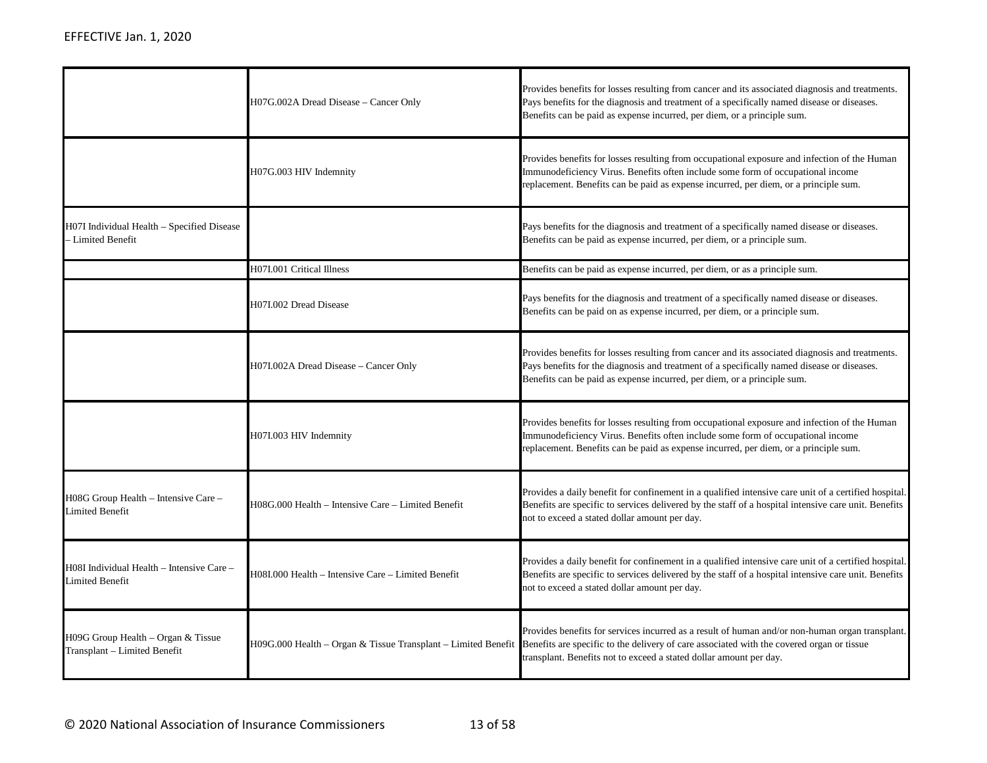|                                                                      | H07G.002A Dread Disease - Cancer Only              | Provides benefits for losses resulting from cancer and its associated diagnosis and treatments.<br>Pays benefits for the diagnosis and treatment of a specifically named disease or diseases.<br>Benefits can be paid as expense incurred, per diem, or a principle sum.                                                         |
|----------------------------------------------------------------------|----------------------------------------------------|----------------------------------------------------------------------------------------------------------------------------------------------------------------------------------------------------------------------------------------------------------------------------------------------------------------------------------|
|                                                                      | H07G.003 HIV Indemnity                             | Provides benefits for losses resulting from occupational exposure and infection of the Human<br>Immunodeficiency Virus. Benefits often include some form of occupational income<br>replacement. Benefits can be paid as expense incurred, per diem, or a principle sum.                                                          |
| H07I Individual Health - Specified Disease<br>Limited Benefit        |                                                    | Pays benefits for the diagnosis and treatment of a specifically named disease or diseases.<br>Benefits can be paid as expense incurred, per diem, or a principle sum.                                                                                                                                                            |
|                                                                      | H07I.001 Critical Illness                          | Benefits can be paid as expense incurred, per diem, or as a principle sum.                                                                                                                                                                                                                                                       |
|                                                                      | H07I.002 Dread Disease                             | Pays benefits for the diagnosis and treatment of a specifically named disease or diseases.<br>Benefits can be paid on as expense incurred, per diem, or a principle sum.                                                                                                                                                         |
|                                                                      | H07I.002A Dread Disease - Cancer Only              | Provides benefits for losses resulting from cancer and its associated diagnosis and treatments.<br>Pays benefits for the diagnosis and treatment of a specifically named disease or diseases.<br>Benefits can be paid as expense incurred, per diem, or a principle sum.                                                         |
|                                                                      | H07I.003 HIV Indemnity                             | Provides benefits for losses resulting from occupational exposure and infection of the Human<br>Immunodeficiency Virus. Benefits often include some form of occupational income<br>replacement. Benefits can be paid as expense incurred, per diem, or a principle sum.                                                          |
| H08G Group Health - Intensive Care -<br>imited Benefit               | H08G.000 Health - Intensive Care - Limited Benefit | Provides a daily benefit for confinement in a qualified intensive care unit of a certified hospital.<br>Benefits are specific to services delivered by the staff of a hospital intensive care unit. Benefits<br>not to exceed a stated dollar amount per day.                                                                    |
| H08I Individual Health – Intensive Care –<br>Limited Benefit         | H08I.000 Health - Intensive Care - Limited Benefit | Provides a daily benefit for confinement in a qualified intensive care unit of a certified hospital.<br>Benefits are specific to services delivered by the staff of a hospital intensive care unit. Benefits<br>not to exceed a stated dollar amount per day.                                                                    |
| $H09G$ Group Health – Organ & Tissue<br>Transplant - Limited Benefit |                                                    | Provides benefits for services incurred as a result of human and/or non-human organ transplant.<br>H09G.000 Health - Organ & Tissue Transplant - Limited Benefit Benefits are specific to the delivery of care associated with the covered organ or tissue<br>transplant. Benefits not to exceed a stated dollar amount per day. |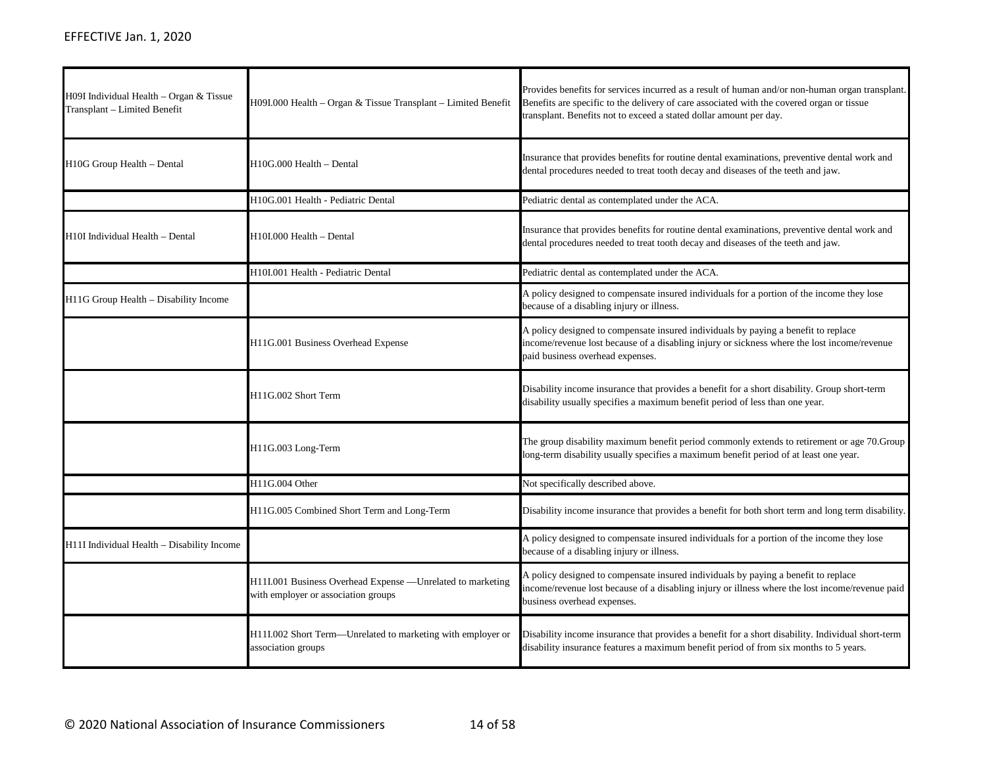| H09I Individual Health – Organ & Tissue<br>Transplant - Limited Benefit | H09I.000 Health – Organ & Tissue Transplant – Limited Benefit                                      | Provides benefits for services incurred as a result of human and/or non-human organ transplant.<br>Benefits are specific to the delivery of care associated with the covered organ or tissue<br>transplant. Benefits not to exceed a stated dollar amount per day. |
|-------------------------------------------------------------------------|----------------------------------------------------------------------------------------------------|--------------------------------------------------------------------------------------------------------------------------------------------------------------------------------------------------------------------------------------------------------------------|
| H10G Group Health - Dental                                              | H10G.000 Health - Dental                                                                           | Insurance that provides benefits for routine dental examinations, preventive dental work and<br>dental procedures needed to treat tooth decay and diseases of the teeth and jaw.                                                                                   |
|                                                                         | H10G.001 Health - Pediatric Dental                                                                 | Pediatric dental as contemplated under the ACA.                                                                                                                                                                                                                    |
| H10I Individual Health - Dental                                         | H10I.000 Health - Dental                                                                           | Insurance that provides benefits for routine dental examinations, preventive dental work and<br>dental procedures needed to treat tooth decay and diseases of the teeth and jaw.                                                                                   |
|                                                                         | H10I.001 Health - Pediatric Dental                                                                 | Pediatric dental as contemplated under the ACA.                                                                                                                                                                                                                    |
| H11G Group Health - Disability Income                                   |                                                                                                    | A policy designed to compensate insured individuals for a portion of the income they lose<br>because of a disabling injury or illness.                                                                                                                             |
|                                                                         | H11G.001 Business Overhead Expense                                                                 | A policy designed to compensate insured individuals by paying a benefit to replace<br>income/revenue lost because of a disabling injury or sickness where the lost income/revenue<br>paid business overhead expenses.                                              |
|                                                                         | H11G.002 Short Term                                                                                | Disability income insurance that provides a benefit for a short disability. Group short-term<br>disability usually specifies a maximum benefit period of less than one year.                                                                                       |
|                                                                         | H11G.003 Long-Term                                                                                 | The group disability maximum benefit period commonly extends to retirement or age 70. Group<br>long-term disability usually specifies a maximum benefit period of at least one year.                                                                               |
|                                                                         | H11G.004 Other                                                                                     | Not specifically described above.                                                                                                                                                                                                                                  |
|                                                                         | H11G.005 Combined Short Term and Long-Term                                                         | Disability income insurance that provides a benefit for both short term and long term disability.                                                                                                                                                                  |
| H11I Individual Health - Disability Income                              |                                                                                                    | A policy designed to compensate insured individuals for a portion of the income they lose<br>because of a disabling injury or illness.                                                                                                                             |
|                                                                         | H11I.001 Business Overhead Expense - Unrelated to marketing<br>with employer or association groups | A policy designed to compensate insured individuals by paying a benefit to replace<br>income/revenue lost because of a disabling injury or illness where the lost income/revenue paid<br>business overhead expenses.                                               |
|                                                                         | H11I.002 Short Term-Unrelated to marketing with employer or<br>association groups                  | Disability income insurance that provides a benefit for a short disability. Individual short-term<br>disability insurance features a maximum benefit period of from six months to 5 years.                                                                         |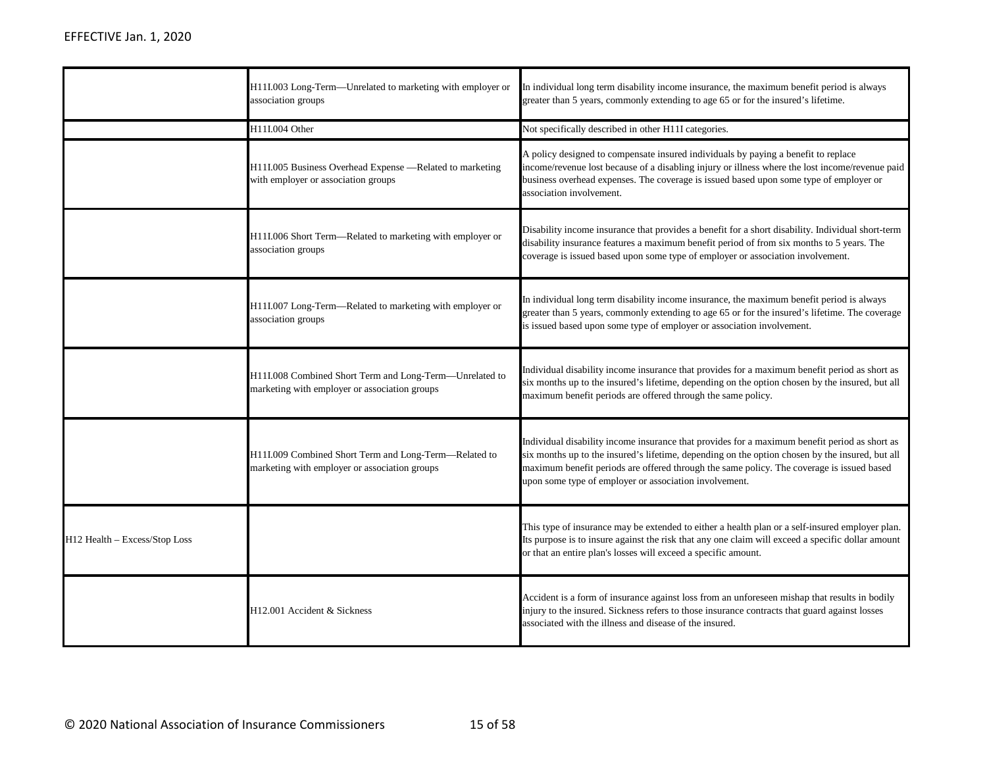|                               | H11I.003 Long-Term—Unrelated to marketing with employer or<br>association groups                         | In individual long term disability income insurance, the maximum benefit period is always<br>greater than 5 years, commonly extending to age 65 or for the insured's lifetime.                                                                                                                                                                          |
|-------------------------------|----------------------------------------------------------------------------------------------------------|---------------------------------------------------------------------------------------------------------------------------------------------------------------------------------------------------------------------------------------------------------------------------------------------------------------------------------------------------------|
|                               | H11I.004 Other                                                                                           | Not specifically described in other H11I categories.                                                                                                                                                                                                                                                                                                    |
|                               | H11I.005 Business Overhead Expense —Related to marketing<br>with employer or association groups          | A policy designed to compensate insured individuals by paying a benefit to replace<br>income/revenue lost because of a disabling injury or illness where the lost income/revenue paid<br>business overhead expenses. The coverage is issued based upon some type of employer or<br>association involvement.                                             |
|                               | H11I.006 Short Term—Related to marketing with employer or<br>association groups                          | Disability income insurance that provides a benefit for a short disability. Individual short-term<br>disability insurance features a maximum benefit period of from six months to 5 years. The<br>coverage is issued based upon some type of employer or association involvement.                                                                       |
|                               | H11I.007 Long-Term—Related to marketing with employer or<br>association groups                           | In individual long term disability income insurance, the maximum benefit period is always<br>greater than 5 years, commonly extending to age 65 or for the insured's lifetime. The coverage<br>is issued based upon some type of employer or association involvement.                                                                                   |
|                               | H11I.008 Combined Short Term and Long-Term-Unrelated to<br>marketing with employer or association groups | Individual disability income insurance that provides for a maximum benefit period as short as<br>six months up to the insured's lifetime, depending on the option chosen by the insured, but all<br>maximum benefit periods are offered through the same policy.                                                                                        |
|                               | H11I.009 Combined Short Term and Long-Term-Related to<br>marketing with employer or association groups   | Individual disability income insurance that provides for a maximum benefit period as short as<br>six months up to the insured's lifetime, depending on the option chosen by the insured, but all<br>maximum benefit periods are offered through the same policy. The coverage is issued based<br>upon some type of employer or association involvement. |
| H12 Health - Excess/Stop Loss |                                                                                                          | This type of insurance may be extended to either a health plan or a self-insured employer plan.<br>Its purpose is to insure against the risk that any one claim will exceed a specific dollar amount<br>or that an entire plan's losses will exceed a specific amount.                                                                                  |
|                               | H12.001 Accident & Sickness                                                                              | Accident is a form of insurance against loss from an unforeseen mishap that results in bodily<br>injury to the insured. Sickness refers to those insurance contracts that guard against losses<br>associated with the illness and disease of the insured.                                                                                               |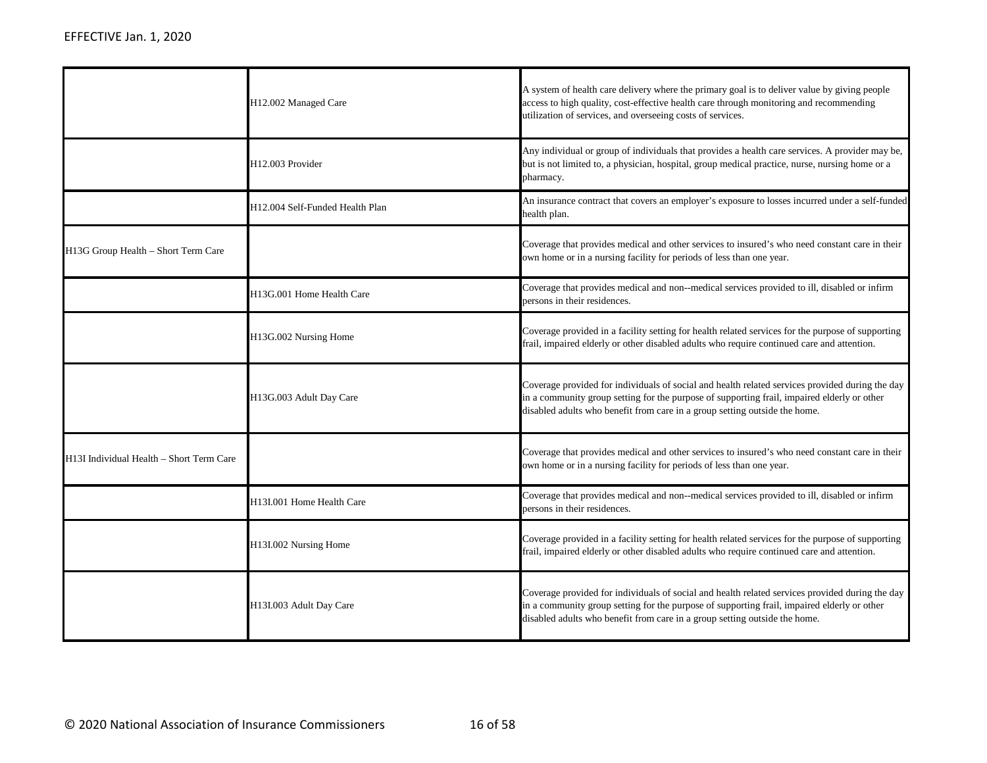|                                          | H12.002 Managed Care            | A system of health care delivery where the primary goal is to deliver value by giving people<br>access to high quality, cost-effective health care through monitoring and recommending<br>utilization of services, and overseeing costs of services.                         |
|------------------------------------------|---------------------------------|------------------------------------------------------------------------------------------------------------------------------------------------------------------------------------------------------------------------------------------------------------------------------|
|                                          | H12.003 Provider                | Any individual or group of individuals that provides a health care services. A provider may be,<br>but is not limited to, a physician, hospital, group medical practice, nurse, nursing home or a<br>pharmacy.                                                               |
|                                          | H12.004 Self-Funded Health Plan | An insurance contract that covers an employer's exposure to losses incurred under a self-funded<br>health plan.                                                                                                                                                              |
| H13G Group Health – Short Term Care      |                                 | Coverage that provides medical and other services to insured's who need constant care in their<br>own home or in a nursing facility for periods of less than one year.                                                                                                       |
|                                          | H13G.001 Home Health Care       | Coverage that provides medical and non--medical services provided to ill, disabled or infirm<br>persons in their residences.                                                                                                                                                 |
|                                          | H13G.002 Nursing Home           | Coverage provided in a facility setting for health related services for the purpose of supporting<br>frail, impaired elderly or other disabled adults who require continued care and attention.                                                                              |
|                                          | H13G.003 Adult Day Care         | Coverage provided for individuals of social and health related services provided during the day<br>in a community group setting for the purpose of supporting frail, impaired elderly or other<br>disabled adults who benefit from care in a group setting outside the home. |
| H13I Individual Health - Short Term Care |                                 | Coverage that provides medical and other services to insured's who need constant care in their<br>own home or in a nursing facility for periods of less than one year.                                                                                                       |
|                                          | H13I.001 Home Health Care       | Coverage that provides medical and non--medical services provided to ill, disabled or infirm<br>persons in their residences.                                                                                                                                                 |
|                                          | H13I.002 Nursing Home           | Coverage provided in a facility setting for health related services for the purpose of supporting<br>frail, impaired elderly or other disabled adults who require continued care and attention.                                                                              |
|                                          | H13I.003 Adult Day Care         | Coverage provided for individuals of social and health related services provided during the day<br>in a community group setting for the purpose of supporting frail, impaired elderly or other<br>disabled adults who benefit from care in a group setting outside the home. |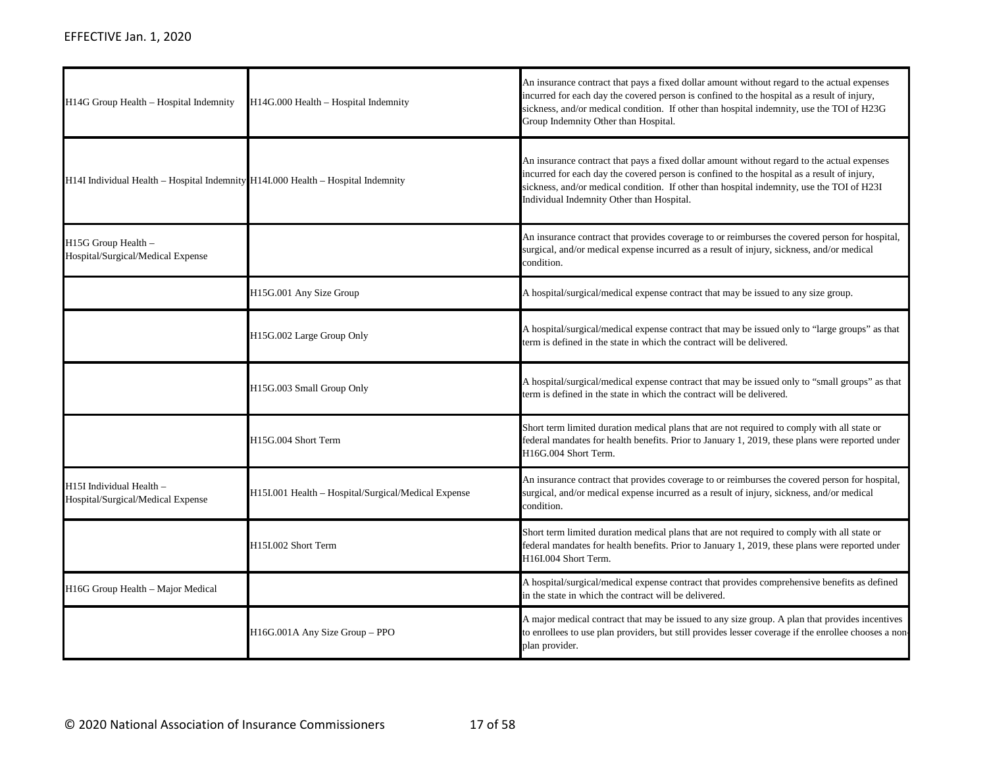| H14G Group Health - Hospital Indemnity                                           | H14G.000 Health - Hospital Indemnity                | An insurance contract that pays a fixed dollar amount without regard to the actual expenses<br>incurred for each day the covered person is confined to the hospital as a result of injury,<br>sickness, and/or medical condition. If other than hospital indemnity, use the TOI of H23G<br>Group Indemnity Other than Hospital.      |
|----------------------------------------------------------------------------------|-----------------------------------------------------|--------------------------------------------------------------------------------------------------------------------------------------------------------------------------------------------------------------------------------------------------------------------------------------------------------------------------------------|
| H14I Individual Health - Hospital Indemnity H14I.000 Health - Hospital Indemnity |                                                     | An insurance contract that pays a fixed dollar amount without regard to the actual expenses<br>incurred for each day the covered person is confined to the hospital as a result of injury,<br>sickness, and/or medical condition. If other than hospital indemnity, use the TOI of H23I<br>Individual Indemnity Other than Hospital. |
| H15G Group Health -<br>Hospital/Surgical/Medical Expense                         |                                                     | An insurance contract that provides coverage to or reimburses the covered person for hospital,<br>surgical, and/or medical expense incurred as a result of injury, sickness, and/or medical<br>condition.                                                                                                                            |
|                                                                                  | H15G.001 Any Size Group                             | A hospital/surgical/medical expense contract that may be issued to any size group.                                                                                                                                                                                                                                                   |
|                                                                                  | H15G.002 Large Group Only                           | A hospital/surgical/medical expense contract that may be issued only to "large groups" as that<br>term is defined in the state in which the contract will be delivered.                                                                                                                                                              |
|                                                                                  | H15G.003 Small Group Only                           | A hospital/surgical/medical expense contract that may be issued only to "small groups" as that<br>term is defined in the state in which the contract will be delivered.                                                                                                                                                              |
|                                                                                  | H15G.004 Short Term                                 | Short term limited duration medical plans that are not required to comply with all state or<br>federal mandates for health benefits. Prior to January 1, 2019, these plans were reported under<br>H16G.004 Short Term.                                                                                                               |
| H15I Individual Health -<br>Hospital/Surgical/Medical Expense                    | H15I.001 Health - Hospital/Surgical/Medical Expense | An insurance contract that provides coverage to or reimburses the covered person for hospital,<br>surgical, and/or medical expense incurred as a result of injury, sickness, and/or medical<br>condition.                                                                                                                            |
|                                                                                  | H15I.002 Short Term                                 | Short term limited duration medical plans that are not required to comply with all state or<br>federal mandates for health benefits. Prior to January 1, 2019, these plans were reported under<br>H16I.004 Short Term.                                                                                                               |
| H16G Group Health - Major Medical                                                |                                                     | A hospital/surgical/medical expense contract that provides comprehensive benefits as defined<br>in the state in which the contract will be delivered.                                                                                                                                                                                |
|                                                                                  | H16G.001A Any Size Group - PPO                      | A major medical contract that may be issued to any size group. A plan that provides incentives<br>to enrollees to use plan providers, but still provides lesser coverage if the enrollee chooses a non-<br>plan provider.                                                                                                            |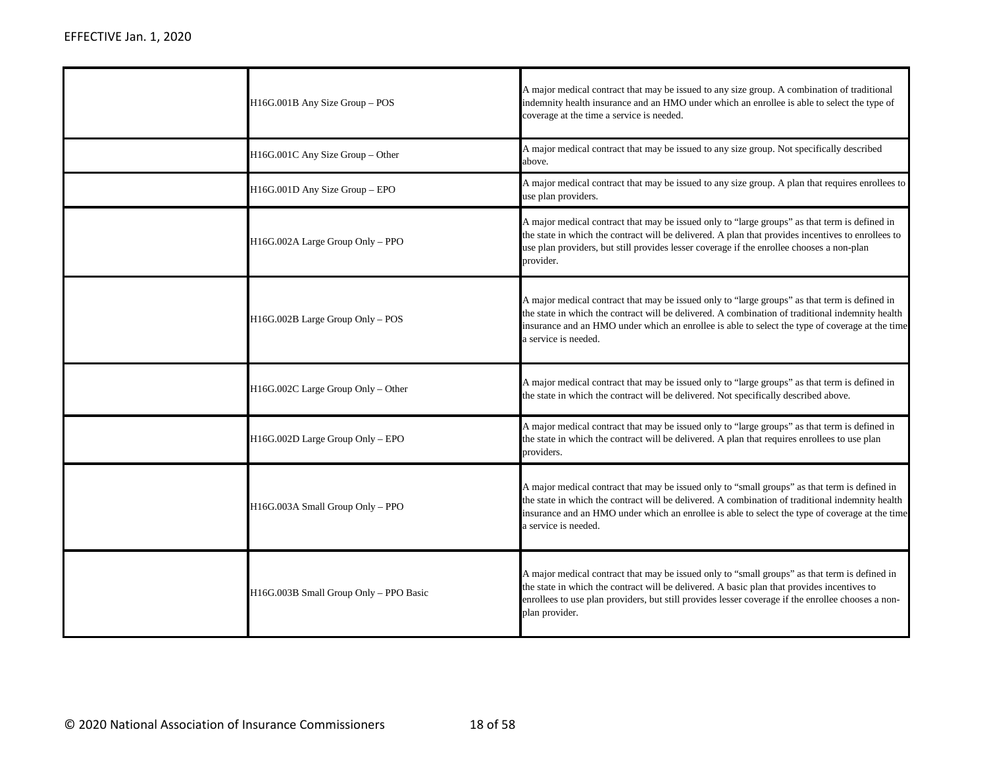| H16G.001B Any Size Group - POS         | A major medical contract that may be issued to any size group. A combination of traditional<br>indemnity health insurance and an HMO under which an enrollee is able to select the type of<br>coverage at the time a service is needed.                                                                                      |
|----------------------------------------|------------------------------------------------------------------------------------------------------------------------------------------------------------------------------------------------------------------------------------------------------------------------------------------------------------------------------|
| H16G.001C Any Size Group - Other       | A major medical contract that may be issued to any size group. Not specifically described<br>above.                                                                                                                                                                                                                          |
| H16G.001D Any Size Group - EPO         | A major medical contract that may be issued to any size group. A plan that requires enrollees to<br>use plan providers.                                                                                                                                                                                                      |
| H16G.002A Large Group Only - PPO       | A major medical contract that may be issued only to "large groups" as that term is defined in<br>the state in which the contract will be delivered. A plan that provides incentives to enrollees to<br>use plan providers, but still provides lesser coverage if the enrollee chooses a non-plan<br>provider.                |
| H16G.002B Large Group Only - POS       | A major medical contract that may be issued only to "large groups" as that term is defined in<br>the state in which the contract will be delivered. A combination of traditional indemnity health<br>insurance and an HMO under which an enrollee is able to select the type of coverage at the time<br>a service is needed. |
| H16G.002C Large Group Only - Other     | A major medical contract that may be issued only to "large groups" as that term is defined in<br>the state in which the contract will be delivered. Not specifically described above.                                                                                                                                        |
| H16G.002D Large Group Only - EPO       | A major medical contract that may be issued only to "large groups" as that term is defined in<br>the state in which the contract will be delivered. A plan that requires enrollees to use plan<br>providers.                                                                                                                 |
| H16G.003A Small Group Only - PPO       | A major medical contract that may be issued only to "small groups" as that term is defined in<br>the state in which the contract will be delivered. A combination of traditional indemnity health<br>insurance and an HMO under which an enrollee is able to select the type of coverage at the time<br>a service is needed. |
| H16G.003B Small Group Only - PPO Basic | A major medical contract that may be issued only to "small groups" as that term is defined in<br>the state in which the contract will be delivered. A basic plan that provides incentives to<br>enrollees to use plan providers, but still provides lesser coverage if the enrollee chooses a non-<br>plan provider.         |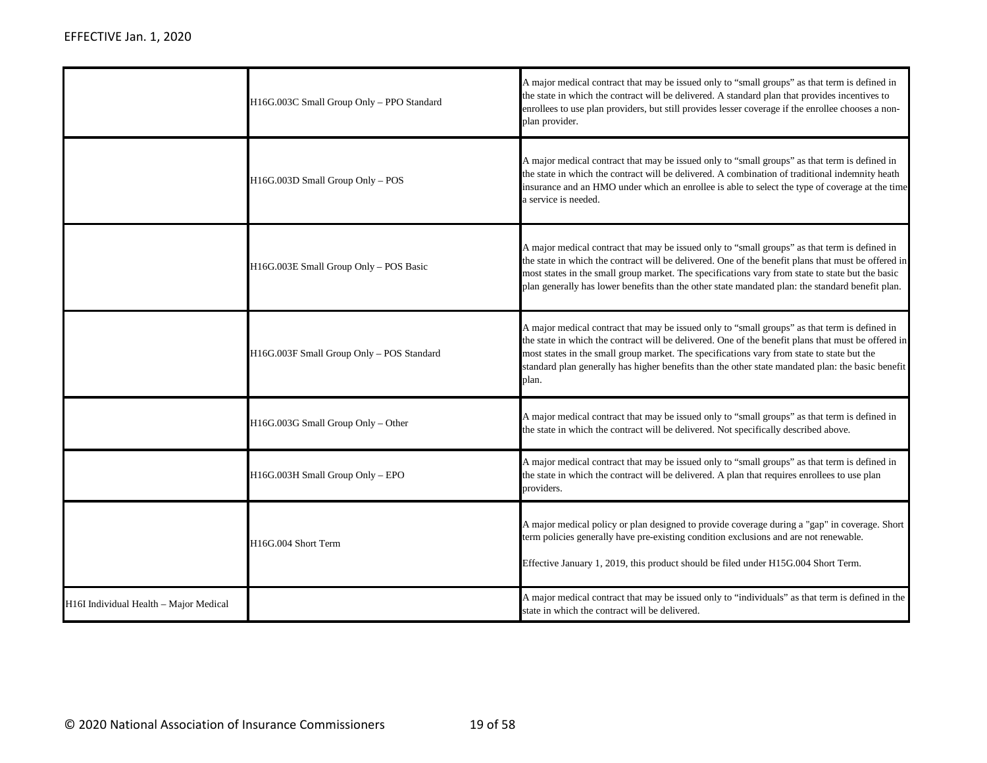|                                        | H16G.003C Small Group Only - PPO Standard | A major medical contract that may be issued only to "small groups" as that term is defined in<br>the state in which the contract will be delivered. A standard plan that provides incentives to<br>enrollees to use plan providers, but still provides lesser coverage if the enrollee chooses a non-<br>plan provider.                                                                                          |
|----------------------------------------|-------------------------------------------|------------------------------------------------------------------------------------------------------------------------------------------------------------------------------------------------------------------------------------------------------------------------------------------------------------------------------------------------------------------------------------------------------------------|
|                                        | H16G.003D Small Group Only - POS          | A major medical contract that may be issued only to "small groups" as that term is defined in<br>the state in which the contract will be delivered. A combination of traditional indemnity heath<br>insurance and an HMO under which an enrollee is able to select the type of coverage at the time<br>a service is needed.                                                                                      |
|                                        | H16G.003E Small Group Only - POS Basic    | A major medical contract that may be issued only to "small groups" as that term is defined in<br>the state in which the contract will be delivered. One of the benefit plans that must be offered in<br>most states in the small group market. The specifications vary from state to state but the basic<br>plan generally has lower benefits than the other state mandated plan: the standard benefit plan.     |
|                                        | H16G.003F Small Group Only - POS Standard | A major medical contract that may be issued only to "small groups" as that term is defined in<br>the state in which the contract will be delivered. One of the benefit plans that must be offered in<br>most states in the small group market. The specifications vary from state to state but the<br>standard plan generally has higher benefits than the other state mandated plan: the basic benefit<br>plan. |
|                                        | H16G.003G Small Group Only - Other        | A major medical contract that may be issued only to "small groups" as that term is defined in<br>the state in which the contract will be delivered. Not specifically described above.                                                                                                                                                                                                                            |
|                                        | H16G.003H Small Group Only - EPO          | A major medical contract that may be issued only to "small groups" as that term is defined in<br>the state in which the contract will be delivered. A plan that requires enrollees to use plan<br>providers.                                                                                                                                                                                                     |
|                                        | H16G.004 Short Term                       | A major medical policy or plan designed to provide coverage during a "gap" in coverage. Short<br>term policies generally have pre-existing condition exclusions and are not renewable.<br>Effective January 1, 2019, this product should be filed under H15G.004 Short Term.                                                                                                                                     |
| H16I Individual Health - Major Medical |                                           | A major medical contract that may be issued only to "individuals" as that term is defined in the<br>state in which the contract will be delivered.                                                                                                                                                                                                                                                               |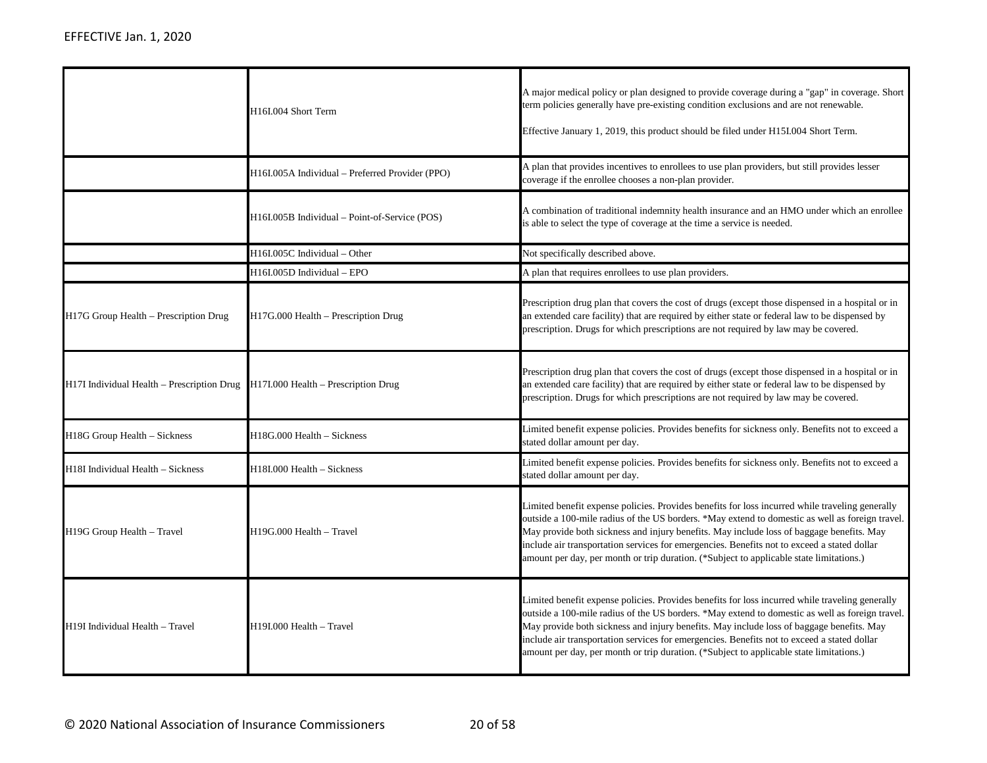|                                                                                | H16I.004 Short Term                             | A major medical policy or plan designed to provide coverage during a "gap" in coverage. Short<br>term policies generally have pre-existing condition exclusions and are not renewable.<br>Effective January 1, 2019, this product should be filed under H15I.004 Short Term.                                                                                                                                                                                                             |
|--------------------------------------------------------------------------------|-------------------------------------------------|------------------------------------------------------------------------------------------------------------------------------------------------------------------------------------------------------------------------------------------------------------------------------------------------------------------------------------------------------------------------------------------------------------------------------------------------------------------------------------------|
|                                                                                | H16I.005A Individual - Preferred Provider (PPO) | A plan that provides incentives to enrollees to use plan providers, but still provides lesser<br>coverage if the enrollee chooses a non-plan provider.                                                                                                                                                                                                                                                                                                                                   |
|                                                                                | H16I.005B Individual – Point-of-Service (POS)   | A combination of traditional indemnity health insurance and an HMO under which an enrollee<br>is able to select the type of coverage at the time a service is needed.                                                                                                                                                                                                                                                                                                                    |
|                                                                                | H16I.005C Individual - Other                    | Not specifically described above.                                                                                                                                                                                                                                                                                                                                                                                                                                                        |
|                                                                                | H16I.005D Individual - EPO                      | A plan that requires enrollees to use plan providers.                                                                                                                                                                                                                                                                                                                                                                                                                                    |
| H17G Group Health – Prescription Drug                                          | H17G.000 Health – Prescription Drug             | Prescription drug plan that covers the cost of drugs (except those dispensed in a hospital or in<br>an extended care facility) that are required by either state or federal law to be dispensed by<br>prescription. Drugs for which prescriptions are not required by law may be covered.                                                                                                                                                                                                |
| H17I Individual Health – Prescription Drug H17I.000 Health – Prescription Drug |                                                 | Prescription drug plan that covers the cost of drugs (except those dispensed in a hospital or in<br>an extended care facility) that are required by either state or federal law to be dispensed by<br>prescription. Drugs for which prescriptions are not required by law may be covered.                                                                                                                                                                                                |
| H18G Group Health - Sickness                                                   | H18G.000 Health - Sickness                      | Limited benefit expense policies. Provides benefits for sickness only. Benefits not to exceed a<br>stated dollar amount per day.                                                                                                                                                                                                                                                                                                                                                         |
| H18I Individual Health - Sickness                                              | H18I.000 Health - Sickness                      | Limited benefit expense policies. Provides benefits for sickness only. Benefits not to exceed a<br>stated dollar amount per day.                                                                                                                                                                                                                                                                                                                                                         |
| H19G Group Health - Travel                                                     | H19G.000 Health - Travel                        | Limited benefit expense policies. Provides benefits for loss incurred while traveling generally<br>outside a 100-mile radius of the US borders. *May extend to domestic as well as foreign travel.<br>May provide both sickness and injury benefits. May include loss of baggage benefits. May<br>include air transportation services for emergencies. Benefits not to exceed a stated dollar<br>amount per day, per month or trip duration. (*Subject to applicable state limitations.) |
| H19I Individual Health - Travel                                                | H19I.000 Health - Travel                        | Limited benefit expense policies. Provides benefits for loss incurred while traveling generally<br>outside a 100-mile radius of the US borders. *May extend to domestic as well as foreign travel.<br>May provide both sickness and injury benefits. May include loss of baggage benefits. May<br>include air transportation services for emergencies. Benefits not to exceed a stated dollar<br>amount per day, per month or trip duration. (*Subject to applicable state limitations.) |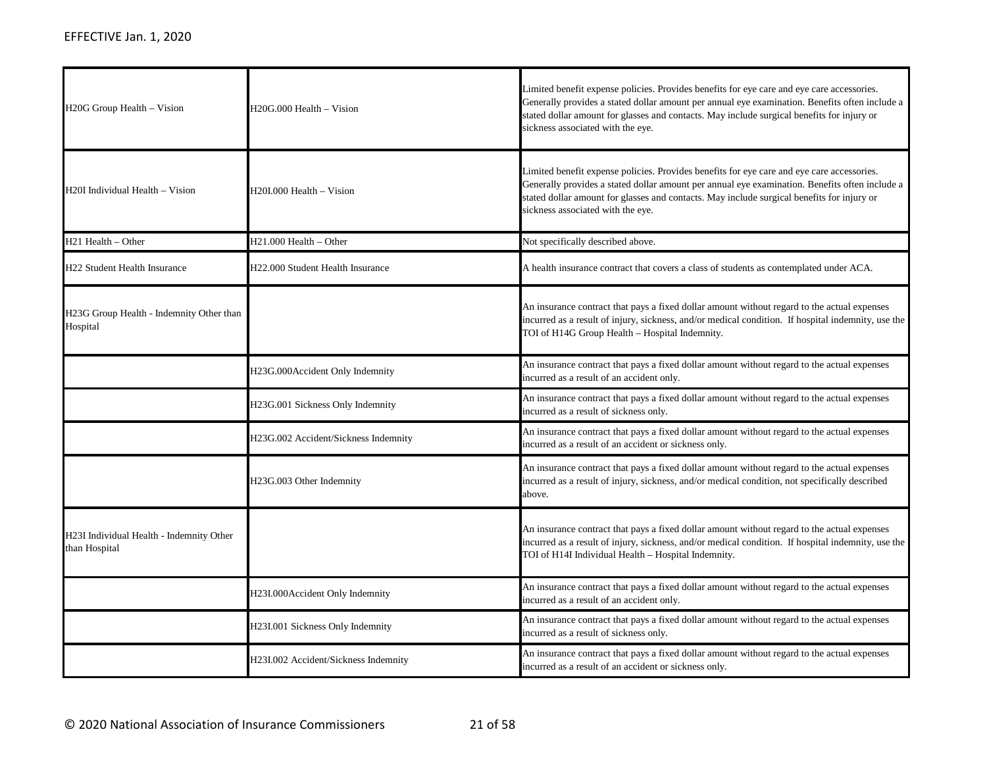| H <sub>20</sub> G Group Health – Vision                   | H20G.000 Health - Vision             | Limited benefit expense policies. Provides benefits for eye care and eye care accessories.<br>Generally provides a stated dollar amount per annual eye examination. Benefits often include a<br>stated dollar amount for glasses and contacts. May include surgical benefits for injury or<br>sickness associated with the eye. |
|-----------------------------------------------------------|--------------------------------------|---------------------------------------------------------------------------------------------------------------------------------------------------------------------------------------------------------------------------------------------------------------------------------------------------------------------------------|
| H20I Individual Health - Vision                           | H20I.000 Health – Vision             | Limited benefit expense policies. Provides benefits for eye care and eye care accessories.<br>Generally provides a stated dollar amount per annual eye examination. Benefits often include a<br>stated dollar amount for glasses and contacts. May include surgical benefits for injury or<br>sickness associated with the eye. |
| H <sub>21</sub> Health - Other                            | H21.000 Health – Other               | Not specifically described above.                                                                                                                                                                                                                                                                                               |
| <b>H22 Student Health Insurance</b>                       | H22.000 Student Health Insurance     | A health insurance contract that covers a class of students as contemplated under ACA.                                                                                                                                                                                                                                          |
| H23G Group Health - Indemnity Other than<br>Hospital      |                                      | An insurance contract that pays a fixed dollar amount without regard to the actual expenses<br>incurred as a result of injury, sickness, and/or medical condition. If hospital indemnity, use the<br>TOI of H14G Group Health - Hospital Indemnity.                                                                             |
|                                                           | H23G.000Accident Only Indemnity      | An insurance contract that pays a fixed dollar amount without regard to the actual expenses<br>incurred as a result of an accident only.                                                                                                                                                                                        |
|                                                           | H23G.001 Sickness Only Indemnity     | An insurance contract that pays a fixed dollar amount without regard to the actual expenses<br>incurred as a result of sickness only.                                                                                                                                                                                           |
|                                                           | H23G.002 Accident/Sickness Indemnity | An insurance contract that pays a fixed dollar amount without regard to the actual expenses<br>incurred as a result of an accident or sickness only.                                                                                                                                                                            |
|                                                           | H23G.003 Other Indemnity             | An insurance contract that pays a fixed dollar amount without regard to the actual expenses<br>incurred as a result of injury, sickness, and/or medical condition, not specifically described<br>above.                                                                                                                         |
| H23I Individual Health - Indemnity Other<br>than Hospital |                                      | An insurance contract that pays a fixed dollar amount without regard to the actual expenses<br>incurred as a result of injury, sickness, and/or medical condition. If hospital indemnity, use the<br>TOI of H14I Individual Health - Hospital Indemnity.                                                                        |
|                                                           | H23I.000Accident Only Indemnity      | An insurance contract that pays a fixed dollar amount without regard to the actual expenses<br>incurred as a result of an accident only.                                                                                                                                                                                        |
|                                                           | H23I.001 Sickness Only Indemnity     | An insurance contract that pays a fixed dollar amount without regard to the actual expenses<br>incurred as a result of sickness only.                                                                                                                                                                                           |
|                                                           | H23I.002 Accident/Sickness Indemnity | An insurance contract that pays a fixed dollar amount without regard to the actual expenses<br>incurred as a result of an accident or sickness only.                                                                                                                                                                            |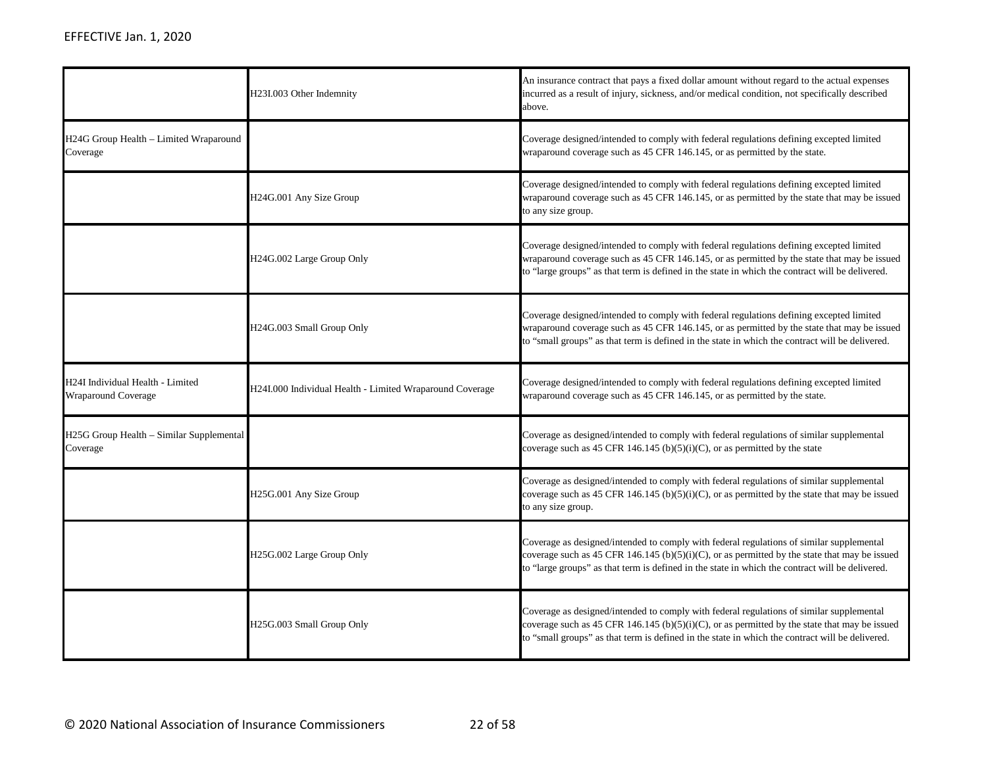|                                                                | H23I.003 Other Indemnity                                 | An insurance contract that pays a fixed dollar amount without regard to the actual expenses<br>incurred as a result of injury, sickness, and/or medical condition, not specifically described<br>above.                                                                                      |
|----------------------------------------------------------------|----------------------------------------------------------|----------------------------------------------------------------------------------------------------------------------------------------------------------------------------------------------------------------------------------------------------------------------------------------------|
| H24G Group Health - Limited Wraparound<br>Coverage             |                                                          | Coverage designed/intended to comply with federal regulations defining excepted limited<br>wraparound coverage such as 45 CFR 146.145, or as permitted by the state.                                                                                                                         |
|                                                                | H24G.001 Any Size Group                                  | Coverage designed/intended to comply with federal regulations defining excepted limited<br>wraparound coverage such as 45 CFR 146.145, or as permitted by the state that may be issued<br>to any size group.                                                                                 |
|                                                                | H24G.002 Large Group Only                                | Coverage designed/intended to comply with federal regulations defining excepted limited<br>wraparound coverage such as 45 CFR 146.145, or as permitted by the state that may be issued<br>to "large groups" as that term is defined in the state in which the contract will be delivered.    |
|                                                                | H24G.003 Small Group Only                                | Coverage designed/intended to comply with federal regulations defining excepted limited<br>wraparound coverage such as 45 CFR 146.145, or as permitted by the state that may be issued<br>to "small groups" as that term is defined in the state in which the contract will be delivered.    |
| H24I Individual Health - Limited<br><b>Wraparound Coverage</b> | H24I.000 Individual Health - Limited Wraparound Coverage | Coverage designed/intended to comply with federal regulations defining excepted limited<br>wraparound coverage such as 45 CFR 146.145, or as permitted by the state.                                                                                                                         |
| H25G Group Health - Similar Supplemental<br>Coverage           |                                                          | Coverage as designed/intended to comply with federal regulations of similar supplemental<br>coverage such as 45 CFR 146.145 (b)(5)(i)(C), or as permitted by the state                                                                                                                       |
|                                                                | H25G.001 Any Size Group                                  | Coverage as designed/intended to comply with federal regulations of similar supplemental<br>coverage such as 45 CFR 146.145 (b)(5)(i)(C), or as permitted by the state that may be issued<br>to any size group.                                                                              |
|                                                                | H25G.002 Large Group Only                                | Coverage as designed/intended to comply with federal regulations of similar supplemental<br>coverage such as 45 CFR 146.145 (b)(5)(i)(C), or as permitted by the state that may be issued<br>to "large groups" as that term is defined in the state in which the contract will be delivered. |
|                                                                | H25G.003 Small Group Only                                | Coverage as designed/intended to comply with federal regulations of similar supplemental<br>coverage such as 45 CFR 146.145 (b)(5)(i)(C), or as permitted by the state that may be issued<br>to "small groups" as that term is defined in the state in which the contract will be delivered. |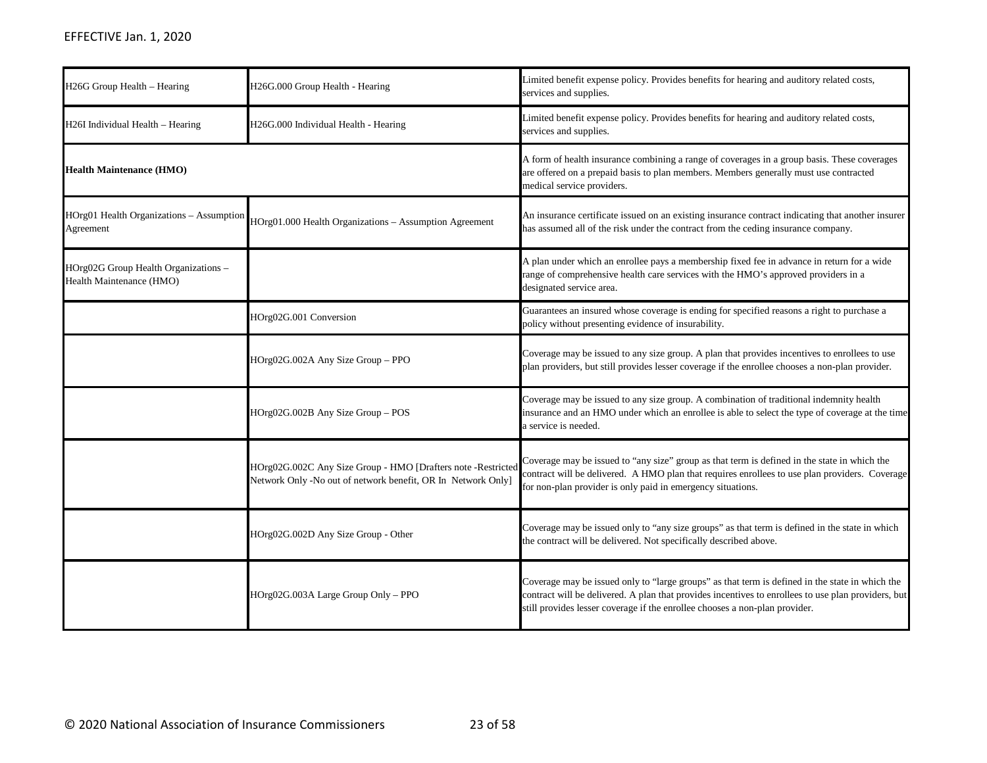| H26G Group Health - Hearing                                      | H26G.000 Group Health - Hearing                                                                                              | Limited benefit expense policy. Provides benefits for hearing and auditory related costs,<br>services and supplies.                                                                                                                                                                   |
|------------------------------------------------------------------|------------------------------------------------------------------------------------------------------------------------------|---------------------------------------------------------------------------------------------------------------------------------------------------------------------------------------------------------------------------------------------------------------------------------------|
| H26I Individual Health - Hearing                                 | H26G.000 Individual Health - Hearing                                                                                         | Limited benefit expense policy. Provides benefits for hearing and auditory related costs,<br>services and supplies.                                                                                                                                                                   |
| <b>Health Maintenance (HMO)</b>                                  |                                                                                                                              | A form of health insurance combining a range of coverages in a group basis. These coverages<br>are offered on a prepaid basis to plan members. Members generally must use contracted<br>medical service providers.                                                                    |
| HOrg01 Health Organizations - Assumption<br>Agreement            | HOrg01.000 Health Organizations - Assumption Agreement                                                                       | An insurance certificate issued on an existing insurance contract indicating that another insurer<br>has assumed all of the risk under the contract from the ceding insurance company.                                                                                                |
| HOrg02G Group Health Organizations -<br>Health Maintenance (HMO) |                                                                                                                              | A plan under which an enrollee pays a membership fixed fee in advance in return for a wide<br>range of comprehensive health care services with the HMO's approved providers in a<br>designated service area.                                                                          |
|                                                                  | HOrg02G.001 Conversion                                                                                                       | Guarantees an insured whose coverage is ending for specified reasons a right to purchase a<br>policy without presenting evidence of insurability.                                                                                                                                     |
|                                                                  | HOrg02G.002A Any Size Group - PPO                                                                                            | Coverage may be issued to any size group. A plan that provides incentives to enrollees to use<br>plan providers, but still provides lesser coverage if the enrollee chooses a non-plan provider.                                                                                      |
|                                                                  | HOrg02G.002B Any Size Group - POS                                                                                            | Coverage may be issued to any size group. A combination of traditional indemnity health<br>insurance and an HMO under which an enrollee is able to select the type of coverage at the time<br>a service is needed.                                                                    |
|                                                                  | HOrg02G.002C Any Size Group - HMO [Drafters note -Restricted<br>Network Only -No out of network benefit, OR In Network Only] | Coverage may be issued to "any size" group as that term is defined in the state in which the<br>contract will be delivered. A HMO plan that requires enrollees to use plan providers. Coverage<br>for non-plan provider is only paid in emergency situations.                         |
|                                                                  | HOrg02G.002D Any Size Group - Other                                                                                          | Coverage may be issued only to "any size groups" as that term is defined in the state in which<br>the contract will be delivered. Not specifically described above.                                                                                                                   |
|                                                                  | HOrg02G.003A Large Group Only - PPO                                                                                          | Coverage may be issued only to "large groups" as that term is defined in the state in which the<br>contract will be delivered. A plan that provides incentives to enrollees to use plan providers, but<br>still provides lesser coverage if the enrollee chooses a non-plan provider. |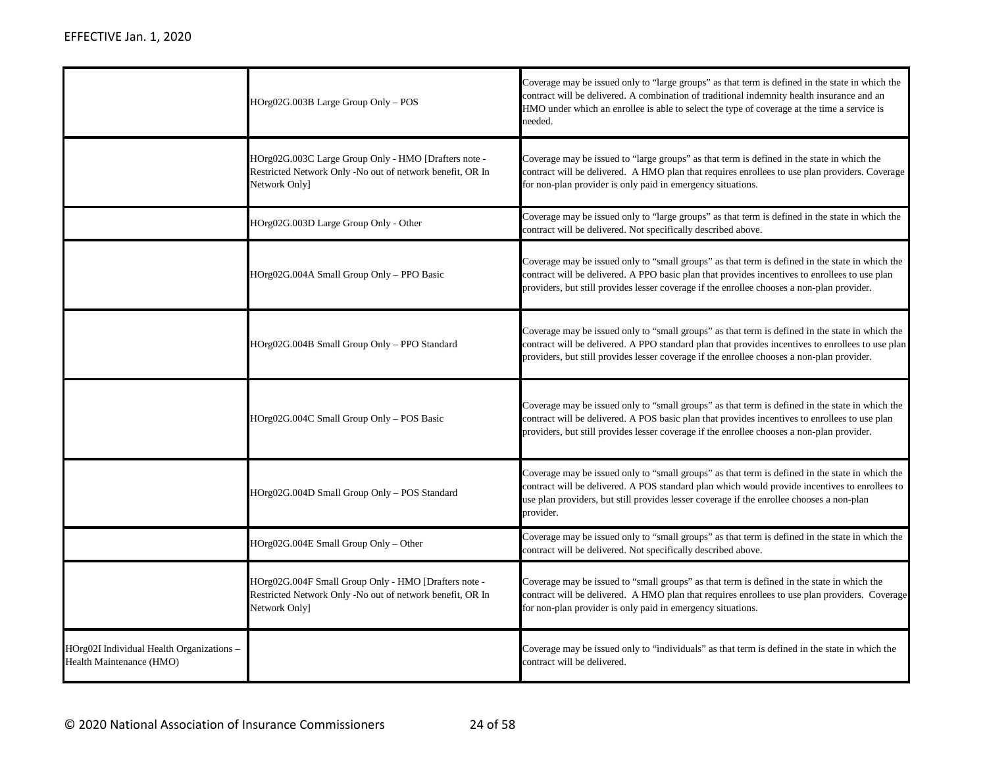|                                                                       | HOrg02G.003B Large Group Only - POS                                                                                                | Coverage may be issued only to "large groups" as that term is defined in the state in which the<br>contract will be delivered. A combination of traditional indemnity health insurance and an<br>HMO under which an enrollee is able to select the type of coverage at the time a service is<br>needed.     |
|-----------------------------------------------------------------------|------------------------------------------------------------------------------------------------------------------------------------|-------------------------------------------------------------------------------------------------------------------------------------------------------------------------------------------------------------------------------------------------------------------------------------------------------------|
|                                                                       | HOrg02G.003C Large Group Only - HMO [Drafters note -<br>Restricted Network Only -No out of network benefit, OR In<br>Network Only] | Coverage may be issued to "large groups" as that term is defined in the state in which the<br>contract will be delivered. A HMO plan that requires enrollees to use plan providers. Coverage<br>for non-plan provider is only paid in emergency situations.                                                 |
|                                                                       | HOrg02G.003D Large Group Only - Other                                                                                              | Coverage may be issued only to "large groups" as that term is defined in the state in which the<br>contract will be delivered. Not specifically described above.                                                                                                                                            |
|                                                                       | HOrg02G.004A Small Group Only - PPO Basic                                                                                          | Coverage may be issued only to "small groups" as that term is defined in the state in which the<br>contract will be delivered. A PPO basic plan that provides incentives to enrollees to use plan<br>providers, but still provides lesser coverage if the enrollee chooses a non-plan provider.             |
|                                                                       | HOrg02G.004B Small Group Only - PPO Standard                                                                                       | Coverage may be issued only to "small groups" as that term is defined in the state in which the<br>contract will be delivered. A PPO standard plan that provides incentives to enrollees to use plan<br>providers, but still provides lesser coverage if the enrollee chooses a non-plan provider.          |
|                                                                       | HOrg02G.004C Small Group Only - POS Basic                                                                                          | Coverage may be issued only to "small groups" as that term is defined in the state in which the<br>contract will be delivered. A POS basic plan that provides incentives to enrollees to use plan<br>providers, but still provides lesser coverage if the enrollee chooses a non-plan provider.             |
|                                                                       | HOrg02G.004D Small Group Only – POS Standard                                                                                       | Coverage may be issued only to "small groups" as that term is defined in the state in which the<br>contract will be delivered. A POS standard plan which would provide incentives to enrollees to<br>use plan providers, but still provides lesser coverage if the enrollee chooses a non-plan<br>provider. |
|                                                                       | HOrg02G.004E Small Group Only - Other                                                                                              | Coverage may be issued only to "small groups" as that term is defined in the state in which the<br>contract will be delivered. Not specifically described above.                                                                                                                                            |
|                                                                       | HOrg02G.004F Small Group Only - HMO [Drafters note -<br>Restricted Network Only -No out of network benefit, OR In<br>Network Only] | Coverage may be issued to "small groups" as that term is defined in the state in which the<br>contract will be delivered. A HMO plan that requires enrollees to use plan providers. Coverage<br>for non-plan provider is only paid in emergency situations.                                                 |
| HOrg02I Individual Health Organizations -<br>Health Maintenance (HMO) |                                                                                                                                    | Coverage may be issued only to "individuals" as that term is defined in the state in which the<br>contract will be delivered.                                                                                                                                                                               |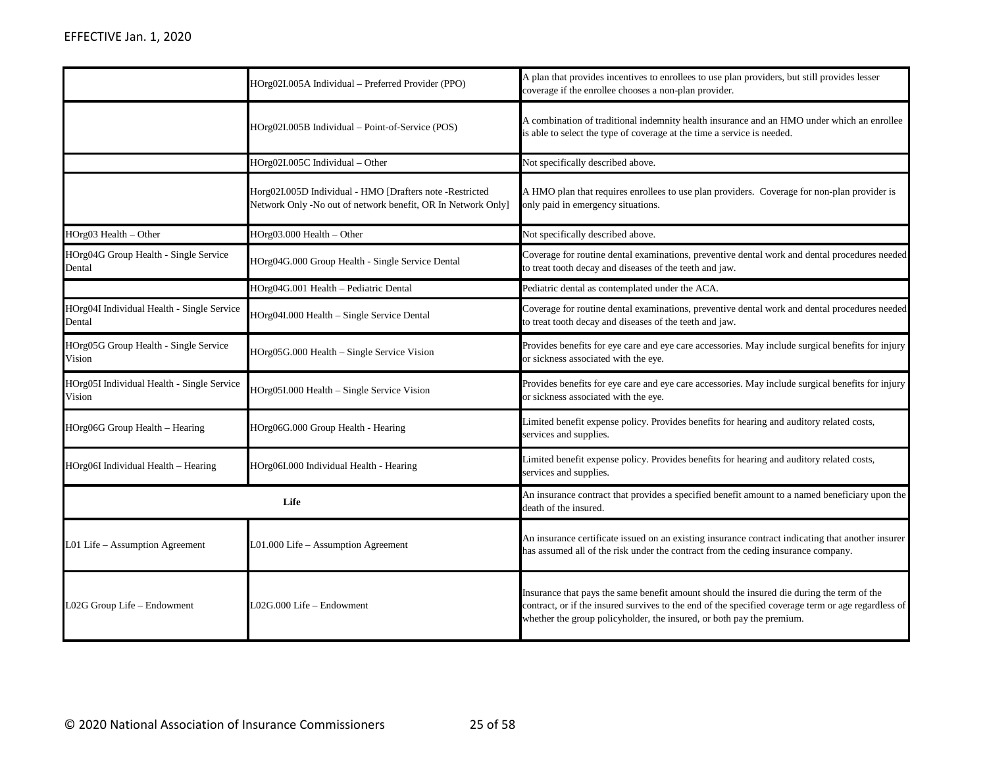|                                                      | HOrg02I.005A Individual - Preferred Provider (PPO)                                                                       | A plan that provides incentives to enrollees to use plan providers, but still provides lesser<br>coverage if the enrollee chooses a non-plan provider.                                                                                                                    |
|------------------------------------------------------|--------------------------------------------------------------------------------------------------------------------------|---------------------------------------------------------------------------------------------------------------------------------------------------------------------------------------------------------------------------------------------------------------------------|
|                                                      | HOrg02I.005B Individual – Point-of-Service (POS)                                                                         | A combination of traditional indemnity health insurance and an HMO under which an enrollee<br>is able to select the type of coverage at the time a service is needed.                                                                                                     |
|                                                      | HOrg02I.005C Individual - Other                                                                                          | Not specifically described above.                                                                                                                                                                                                                                         |
|                                                      | Horg02I.005D Individual - HMO [Drafters note -Restricted<br>Network Only -No out of network benefit, OR In Network Only] | A HMO plan that requires enrollees to use plan providers. Coverage for non-plan provider is<br>only paid in emergency situations.                                                                                                                                         |
| HOrg03 Health - Other                                | HOrg03.000 Health - Other                                                                                                | Not specifically described above.                                                                                                                                                                                                                                         |
| HOrg04G Group Health - Single Service<br>Dental      | HOrg04G.000 Group Health - Single Service Dental                                                                         | Coverage for routine dental examinations, preventive dental work and dental procedures needed<br>to treat tooth decay and diseases of the teeth and jaw.                                                                                                                  |
|                                                      | HOrg04G.001 Health - Pediatric Dental                                                                                    | Pediatric dental as contemplated under the ACA.                                                                                                                                                                                                                           |
| HOrg04I Individual Health - Single Service<br>Dental | HOrg04I.000 Health - Single Service Dental                                                                               | Coverage for routine dental examinations, preventive dental work and dental procedures needed<br>to treat tooth decay and diseases of the teeth and jaw.                                                                                                                  |
| HOrg05G Group Health - Single Service<br>Vision      | HOrg05G.000 Health - Single Service Vision                                                                               | Provides benefits for eye care and eye care accessories. May include surgical benefits for injury<br>or sickness associated with the eye.                                                                                                                                 |
| HOrg05I Individual Health - Single Service<br>Vision | HOrg05I.000 Health - Single Service Vision                                                                               | Provides benefits for eye care and eye care accessories. May include surgical benefits for injury<br>or sickness associated with the eye.                                                                                                                                 |
| HOrg06G Group Health - Hearing                       | HOrg06G.000 Group Health - Hearing                                                                                       | Limited benefit expense policy. Provides benefits for hearing and auditory related costs,<br>services and supplies.                                                                                                                                                       |
| HOrg06I Individual Health - Hearing                  | HOrg06I.000 Individual Health - Hearing                                                                                  | Limited benefit expense policy. Provides benefits for hearing and auditory related costs,<br>services and supplies.                                                                                                                                                       |
| Life                                                 |                                                                                                                          | An insurance contract that provides a specified benefit amount to a named beneficiary upon the<br>death of the insured.                                                                                                                                                   |
| L01 Life - Assumption Agreement                      | L01.000 Life – Assumption Agreement                                                                                      | An insurance certificate issued on an existing insurance contract indicating that another insurer<br>has assumed all of the risk under the contract from the ceding insurance company.                                                                                    |
| L02G Group Life - Endowment                          | L02G.000 Life - Endowment                                                                                                | Insurance that pays the same benefit amount should the insured die during the term of the<br>contract, or if the insured survives to the end of the specified coverage term or age regardless of<br>whether the group policyholder, the insured, or both pay the premium. |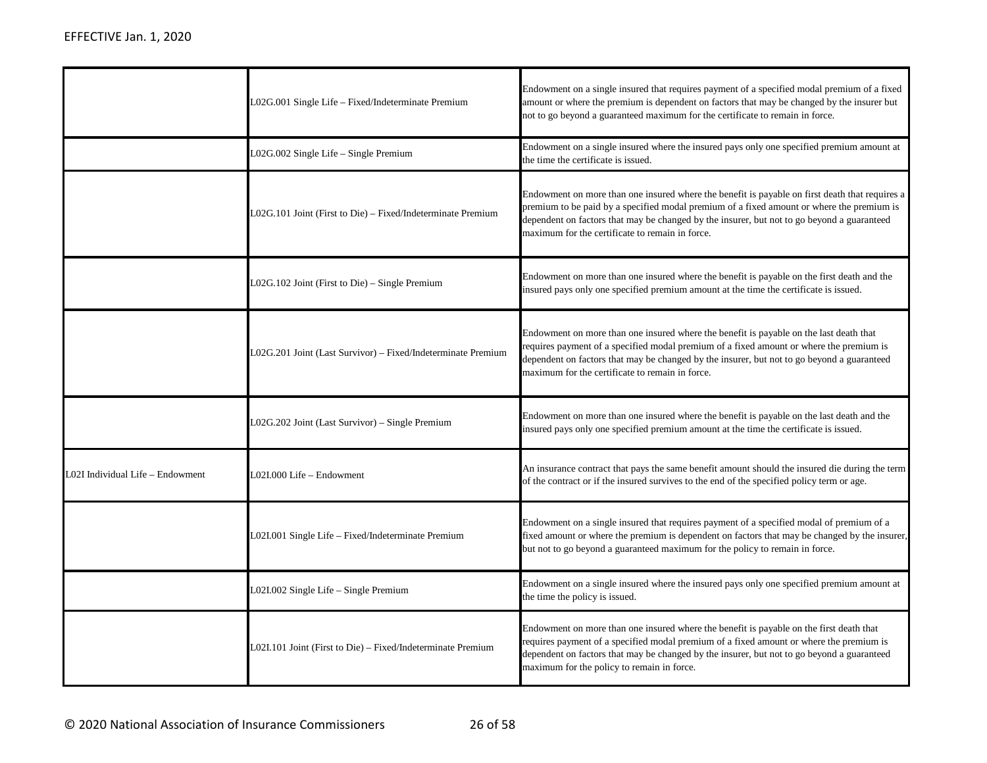|                                 | L02G.001 Single Life - Fixed/Indeterminate Premium           | Endowment on a single insured that requires payment of a specified modal premium of a fixed<br>amount or where the premium is dependent on factors that may be changed by the insurer but<br>not to go beyond a guaranteed maximum for the certificate to remain in force.                                                                   |
|---------------------------------|--------------------------------------------------------------|----------------------------------------------------------------------------------------------------------------------------------------------------------------------------------------------------------------------------------------------------------------------------------------------------------------------------------------------|
|                                 | L02G.002 Single Life - Single Premium                        | Endowment on a single insured where the insured pays only one specified premium amount at<br>the time the certificate is issued.                                                                                                                                                                                                             |
|                                 | L02G.101 Joint (First to Die) – Fixed/Indeterminate Premium  | Endowment on more than one insured where the benefit is payable on first death that requires a<br>premium to be paid by a specified modal premium of a fixed amount or where the premium is<br>dependent on factors that may be changed by the insurer, but not to go beyond a guaranteed<br>maximum for the certificate to remain in force. |
|                                 | $L02G.102$ Joint (First to Die) – Single Premium             | Endowment on more than one insured where the benefit is payable on the first death and the<br>insured pays only one specified premium amount at the time the certificate is issued.                                                                                                                                                          |
|                                 | L02G.201 Joint (Last Survivor) – Fixed/Indeterminate Premium | Endowment on more than one insured where the benefit is payable on the last death that<br>requires payment of a specified modal premium of a fixed amount or where the premium is<br>dependent on factors that may be changed by the insurer, but not to go beyond a guaranteed<br>maximum for the certificate to remain in force.           |
|                                 | L02G.202 Joint (Last Survivor) – Single Premium              | Endowment on more than one insured where the benefit is payable on the last death and the<br>insured pays only one specified premium amount at the time the certificate is issued.                                                                                                                                                           |
| 02I Individual Life – Endowment | L02I.000 Life – Endowment                                    | An insurance contract that pays the same benefit amount should the insured die during the term<br>of the contract or if the insured survives to the end of the specified policy term or age.                                                                                                                                                 |
|                                 | L02I.001 Single Life - Fixed/Indeterminate Premium           | Endowment on a single insured that requires payment of a specified modal of premium of a<br>fixed amount or where the premium is dependent on factors that may be changed by the insurer,<br>but not to go beyond a guaranteed maximum for the policy to remain in force.                                                                    |
|                                 | L02I.002 Single Life - Single Premium                        | Endowment on a single insured where the insured pays only one specified premium amount at<br>the time the policy is issued.                                                                                                                                                                                                                  |
|                                 | L02I.101 Joint (First to Die) – Fixed/Indeterminate Premium  | Endowment on more than one insured where the benefit is payable on the first death that<br>requires payment of a specified modal premium of a fixed amount or where the premium is<br>dependent on factors that may be changed by the insurer, but not to go beyond a guaranteed<br>maximum for the policy to remain in force.               |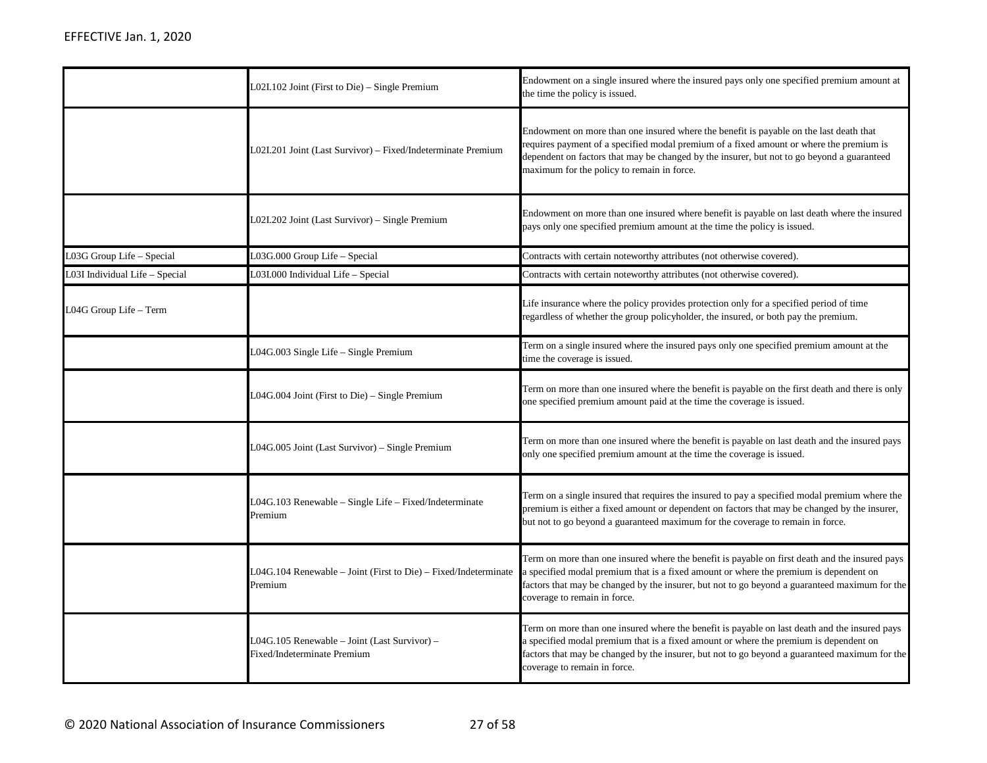|                               | $L02I.102$ Joint (First to Die) – Single Premium                             | Endowment on a single insured where the insured pays only one specified premium amount at<br>the time the policy is issued.                                                                                                                                                                                                   |
|-------------------------------|------------------------------------------------------------------------------|-------------------------------------------------------------------------------------------------------------------------------------------------------------------------------------------------------------------------------------------------------------------------------------------------------------------------------|
|                               | L02I.201 Joint (Last Survivor) - Fixed/Indeterminate Premium                 | Endowment on more than one insured where the benefit is payable on the last death that<br>requires payment of a specified modal premium of a fixed amount or where the premium is<br>dependent on factors that may be changed by the insurer, but not to go beyond a guaranteed<br>maximum for the policy to remain in force. |
|                               | L02I.202 Joint (Last Survivor) – Single Premium                              | Endowment on more than one insured where benefit is payable on last death where the insured<br>pays only one specified premium amount at the time the policy is issued.                                                                                                                                                       |
| L03G Group Life - Special     | L03G.000 Group Life - Special                                                | Contracts with certain noteworthy attributes (not otherwise covered).                                                                                                                                                                                                                                                         |
| 03I Individual Life - Special | L03I.000 Individual Life - Special                                           | Contracts with certain noteworthy attributes (not otherwise covered).                                                                                                                                                                                                                                                         |
| L04G Group Life - Term        |                                                                              | Life insurance where the policy provides protection only for a specified period of time<br>regardless of whether the group policyholder, the insured, or both pay the premium.                                                                                                                                                |
|                               | L04G.003 Single Life - Single Premium                                        | Term on a single insured where the insured pays only one specified premium amount at the<br>time the coverage is issued.                                                                                                                                                                                                      |
|                               | $L04G.004$ Joint (First to Die) – Single Premium                             | Term on more than one insured where the benefit is payable on the first death and there is only<br>one specified premium amount paid at the time the coverage is issued.                                                                                                                                                      |
|                               | L04G.005 Joint (Last Survivor) – Single Premium                              | Term on more than one insured where the benefit is payable on last death and the insured pays<br>only one specified premium amount at the time the coverage is issued.                                                                                                                                                        |
|                               | L04G.103 Renewable - Single Life - Fixed/Indeterminate<br>Premium            | Term on a single insured that requires the insured to pay a specified modal premium where the<br>premium is either a fixed amount or dependent on factors that may be changed by the insurer,<br>but not to go beyond a guaranteed maximum for the coverage to remain in force.                                               |
|                               | $L04G.104$ Renewable – Joint (First to Die) – Fixed/Indeterminate<br>Premium | Term on more than one insured where the benefit is payable on first death and the insured pays<br>a specified modal premium that is a fixed amount or where the premium is dependent on<br>factors that may be changed by the insurer, but not to go beyond a guaranteed maximum for the<br>coverage to remain in force.      |
|                               | L04G.105 Renewable - Joint (Last Survivor) -<br>Fixed/Indeterminate Premium  | Term on more than one insured where the benefit is payable on last death and the insured pays<br>a specified modal premium that is a fixed amount or where the premium is dependent on<br>factors that may be changed by the insurer, but not to go beyond a guaranteed maximum for the<br>coverage to remain in force.       |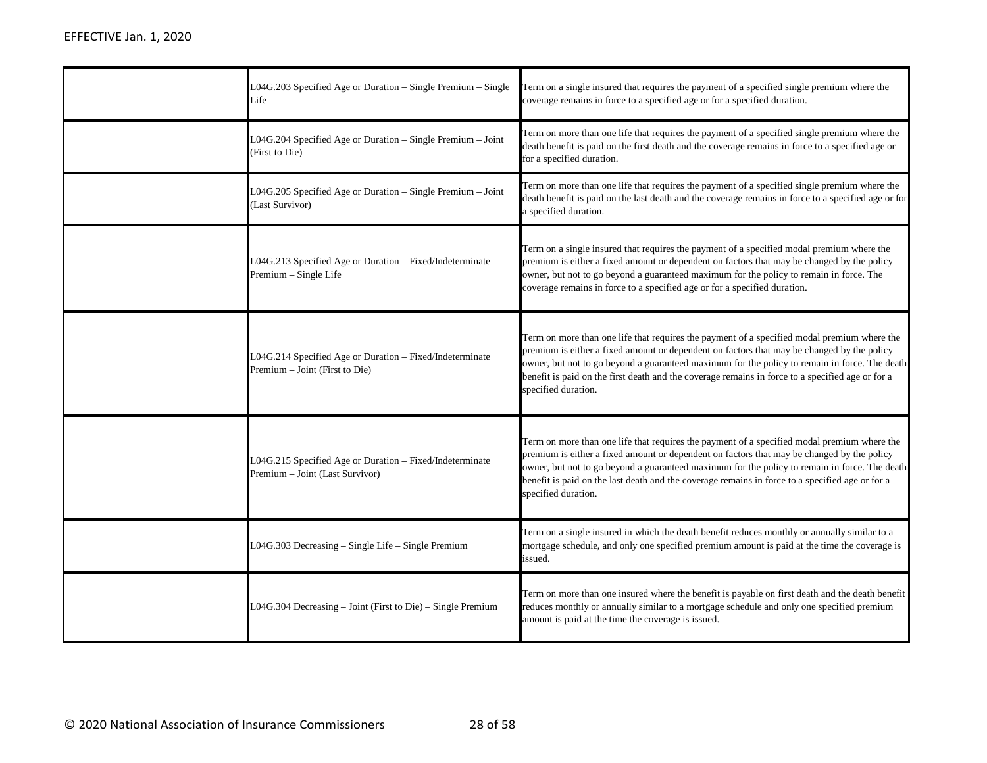| L04G.203 Specified Age or Duration - Single Premium - Single<br>Life                        | Term on a single insured that requires the payment of a specified single premium where the<br>coverage remains in force to a specified age or for a specified duration.                                                                                                                                                                                                                                               |
|---------------------------------------------------------------------------------------------|-----------------------------------------------------------------------------------------------------------------------------------------------------------------------------------------------------------------------------------------------------------------------------------------------------------------------------------------------------------------------------------------------------------------------|
| L04G.204 Specified Age or Duration - Single Premium - Joint<br>(First to Die)               | Term on more than one life that requires the payment of a specified single premium where the<br>death benefit is paid on the first death and the coverage remains in force to a specified age or<br>for a specified duration.                                                                                                                                                                                         |
| L04G.205 Specified Age or Duration - Single Premium - Joint<br>(Last Survivor)              | Term on more than one life that requires the payment of a specified single premium where the<br>death benefit is paid on the last death and the coverage remains in force to a specified age or for<br>a specified duration.                                                                                                                                                                                          |
| L04G.213 Specified Age or Duration - Fixed/Indeterminate<br>Premium - Single Life           | Term on a single insured that requires the payment of a specified modal premium where the<br>premium is either a fixed amount or dependent on factors that may be changed by the policy<br>owner, but not to go beyond a guaranteed maximum for the policy to remain in force. The<br>coverage remains in force to a specified age or for a specified duration.                                                       |
| L04G.214 Specified Age or Duration - Fixed/Indeterminate<br>Premium - Joint (First to Die)  | Term on more than one life that requires the payment of a specified modal premium where the<br>premium is either a fixed amount or dependent on factors that may be changed by the policy<br>owner, but not to go beyond a guaranteed maximum for the policy to remain in force. The death<br>benefit is paid on the first death and the coverage remains in force to a specified age or for a<br>specified duration. |
| L04G.215 Specified Age or Duration - Fixed/Indeterminate<br>Premium - Joint (Last Survivor) | Term on more than one life that requires the payment of a specified modal premium where the<br>premium is either a fixed amount or dependent on factors that may be changed by the policy<br>owner, but not to go beyond a guaranteed maximum for the policy to remain in force. The death<br>benefit is paid on the last death and the coverage remains in force to a specified age or for a<br>specified duration.  |
| L04G.303 Decreasing - Single Life - Single Premium                                          | Term on a single insured in which the death benefit reduces monthly or annually similar to a<br>mortgage schedule, and only one specified premium amount is paid at the time the coverage is<br>issued.                                                                                                                                                                                                               |
| L04G.304 Decreasing - Joint (First to Die) - Single Premium                                 | Term on more than one insured where the benefit is payable on first death and the death benefit<br>reduces monthly or annually similar to a mortgage schedule and only one specified premium<br>amount is paid at the time the coverage is issued.                                                                                                                                                                    |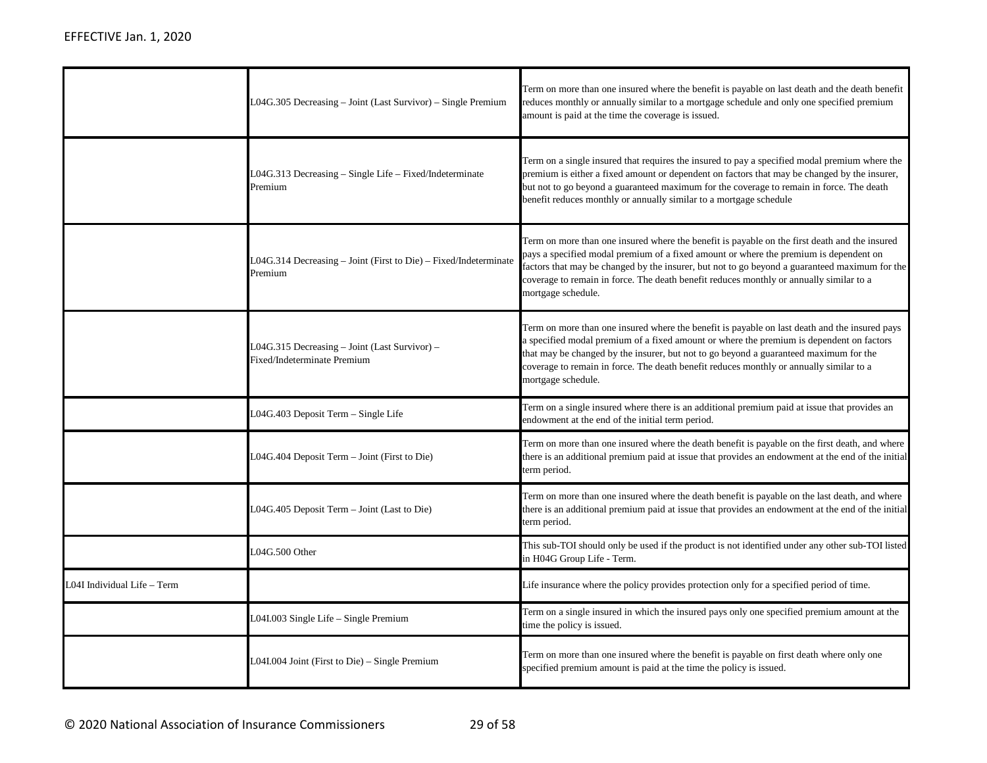|                             | L04G.305 Decreasing – Joint (Last Survivor) – Single Premium                 | Term on more than one insured where the benefit is payable on last death and the death benefit<br>reduces monthly or annually similar to a mortgage schedule and only one specified premium<br>amount is paid at the time the coverage is issued.                                                                                                                                                        |
|-----------------------------|------------------------------------------------------------------------------|----------------------------------------------------------------------------------------------------------------------------------------------------------------------------------------------------------------------------------------------------------------------------------------------------------------------------------------------------------------------------------------------------------|
|                             | L04G.313 Decreasing – Single Life – Fixed/Indeterminate<br>Premium           | Term on a single insured that requires the insured to pay a specified modal premium where the<br>premium is either a fixed amount or dependent on factors that may be changed by the insurer,<br>but not to go beyond a guaranteed maximum for the coverage to remain in force. The death<br>benefit reduces monthly or annually similar to a mortgage schedule                                          |
|                             | L04G.314 Decreasing – Joint (First to Die) – Fixed/Indeterminate<br>Premium  | Term on more than one insured where the benefit is payable on the first death and the insured<br>pays a specified modal premium of a fixed amount or where the premium is dependent on<br>factors that may be changed by the insurer, but not to go beyond a guaranteed maximum for the<br>coverage to remain in force. The death benefit reduces monthly or annually similar to a<br>mortgage schedule. |
|                             | L04G.315 Decreasing – Joint (Last Survivor) –<br>Fixed/Indeterminate Premium | Term on more than one insured where the benefit is payable on last death and the insured pays<br>a specified modal premium of a fixed amount or where the premium is dependent on factors<br>that may be changed by the insurer, but not to go beyond a guaranteed maximum for the<br>coverage to remain in force. The death benefit reduces monthly or annually similar to a<br>mortgage schedule.      |
|                             | L04G.403 Deposit Term - Single Life                                          | Term on a single insured where there is an additional premium paid at issue that provides an<br>endowment at the end of the initial term period.                                                                                                                                                                                                                                                         |
|                             | L04G.404 Deposit Term - Joint (First to Die)                                 | Term on more than one insured where the death benefit is payable on the first death, and where<br>there is an additional premium paid at issue that provides an endowment at the end of the initial<br>term period.                                                                                                                                                                                      |
|                             | L04G.405 Deposit Term – Joint (Last to Die)                                  | Term on more than one insured where the death benefit is payable on the last death, and where<br>there is an additional premium paid at issue that provides an endowment at the end of the initial<br>term period.                                                                                                                                                                                       |
|                             | L04G.500 Other                                                               | This sub-TOI should only be used if the product is not identified under any other sub-TOI listed<br>in H04G Group Life - Term.                                                                                                                                                                                                                                                                           |
| L04I Individual Life - Term |                                                                              | Life insurance where the policy provides protection only for a specified period of time.                                                                                                                                                                                                                                                                                                                 |
|                             | L04I.003 Single Life – Single Premium                                        | Term on a single insured in which the insured pays only one specified premium amount at the<br>time the policy is issued.                                                                                                                                                                                                                                                                                |
|                             | L04I.004 Joint (First to Die) – Single Premium                               | Term on more than one insured where the benefit is payable on first death where only one<br>specified premium amount is paid at the time the policy is issued.                                                                                                                                                                                                                                           |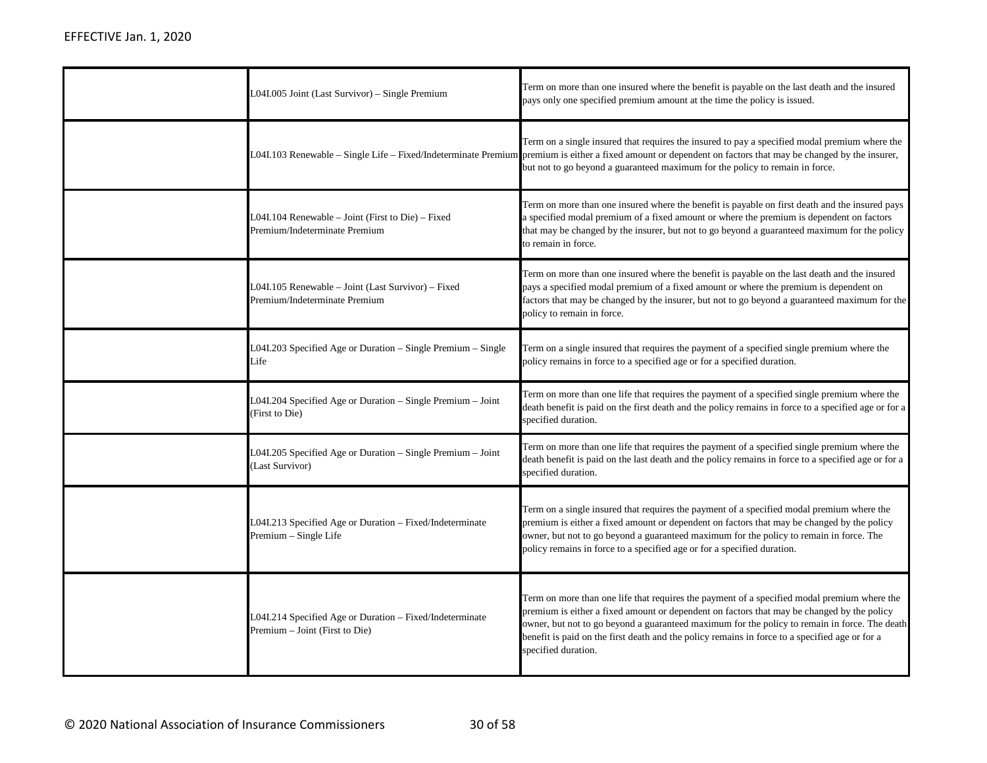| L04I.005 Joint (Last Survivor) – Single Premium                                            | Term on more than one insured where the benefit is payable on the last death and the insured<br>pays only one specified premium amount at the time the policy is issued.                                                                                                                                                                                                                                            |
|--------------------------------------------------------------------------------------------|---------------------------------------------------------------------------------------------------------------------------------------------------------------------------------------------------------------------------------------------------------------------------------------------------------------------------------------------------------------------------------------------------------------------|
|                                                                                            | Term on a single insured that requires the insured to pay a specified modal premium where the<br>LO4I.103 Renewable – Single Life – Fixed/Indeterminate Premium premium is either a fixed amount or dependent on factors that may be changed by the insurer,<br>but not to go beyond a guaranteed maximum for the policy to remain in force.                                                                        |
| L04I.104 Renewable – Joint (First to Die) – Fixed<br>Premium/Indeterminate Premium         | Term on more than one insured where the benefit is payable on first death and the insured pays<br>a specified modal premium of a fixed amount or where the premium is dependent on factors<br>that may be changed by the insurer, but not to go beyond a guaranteed maximum for the policy<br>to remain in force.                                                                                                   |
| L04I.105 Renewable - Joint (Last Survivor) - Fixed<br>Premium/Indeterminate Premium        | Term on more than one insured where the benefit is payable on the last death and the insured<br>pays a specified modal premium of a fixed amount or where the premium is dependent on<br>factors that may be changed by the insurer, but not to go beyond a guaranteed maximum for the<br>policy to remain in force.                                                                                                |
| L04I.203 Specified Age or Duration – Single Premium – Single<br>Life                       | Term on a single insured that requires the payment of a specified single premium where the<br>policy remains in force to a specified age or for a specified duration.                                                                                                                                                                                                                                               |
| L04I.204 Specified Age or Duration – Single Premium – Joint<br>(First to Die)              | Term on more than one life that requires the payment of a specified single premium where the<br>death benefit is paid on the first death and the policy remains in force to a specified age or for a<br>specified duration.                                                                                                                                                                                         |
| L04I.205 Specified Age or Duration - Single Premium - Joint<br>Last Survivor)              | Term on more than one life that requires the payment of a specified single premium where the<br>death benefit is paid on the last death and the policy remains in force to a specified age or for a<br>specified duration.                                                                                                                                                                                          |
| L04I.213 Specified Age or Duration - Fixed/Indeterminate<br>Premium - Single Life          | Term on a single insured that requires the payment of a specified modal premium where the<br>premium is either a fixed amount or dependent on factors that may be changed by the policy<br>owner, but not to go beyond a guaranteed maximum for the policy to remain in force. The<br>policy remains in force to a specified age or for a specified duration.                                                       |
| L04I.214 Specified Age or Duration - Fixed/Indeterminate<br>Premium - Joint (First to Die) | Term on more than one life that requires the payment of a specified modal premium where the<br>premium is either a fixed amount or dependent on factors that may be changed by the policy<br>owner, but not to go beyond a guaranteed maximum for the policy to remain in force. The death<br>benefit is paid on the first death and the policy remains in force to a specified age or for a<br>specified duration. |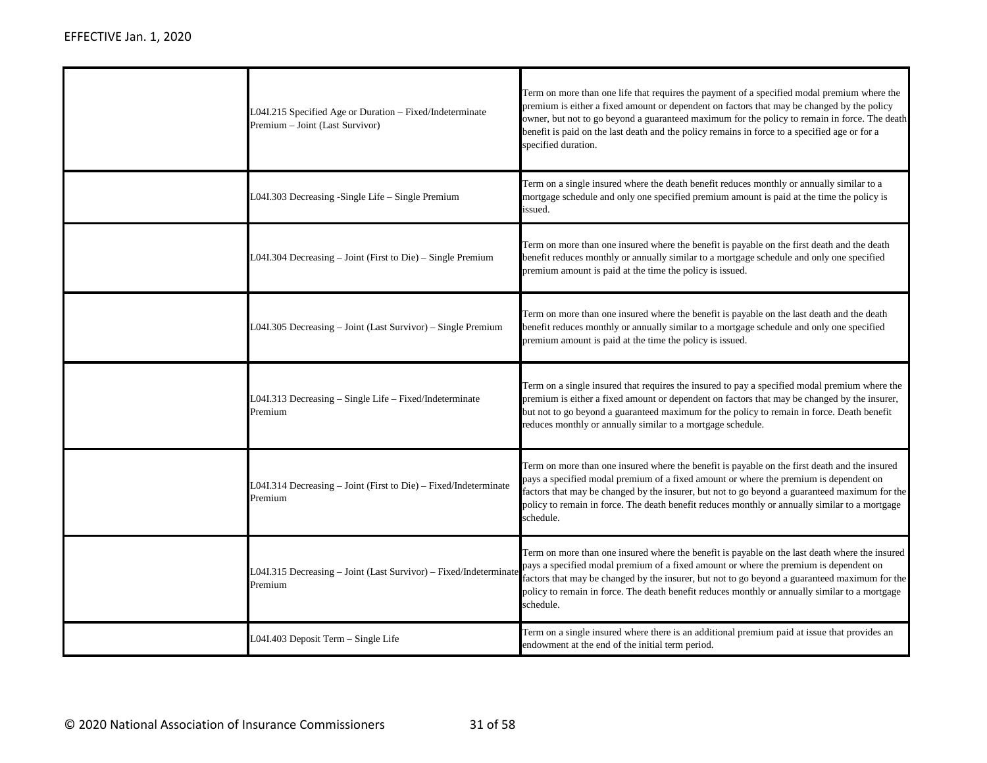| L04I.215 Specified Age or Duration - Fixed/Indeterminate<br>Premium - Joint (Last Survivor) | Term on more than one life that requires the payment of a specified modal premium where the<br>premium is either a fixed amount or dependent on factors that may be changed by the policy<br>owner, but not to go beyond a guaranteed maximum for the policy to remain in force. The death<br>benefit is paid on the last death and the policy remains in force to a specified age or for a<br>specified duration. |
|---------------------------------------------------------------------------------------------|--------------------------------------------------------------------------------------------------------------------------------------------------------------------------------------------------------------------------------------------------------------------------------------------------------------------------------------------------------------------------------------------------------------------|
| L04I.303 Decreasing -Single Life - Single Premium                                           | Term on a single insured where the death benefit reduces monthly or annually similar to a<br>mortgage schedule and only one specified premium amount is paid at the time the policy is<br>issued.                                                                                                                                                                                                                  |
| L04I.304 Decreasing – Joint (First to Die) – Single Premium                                 | Term on more than one insured where the benefit is payable on the first death and the death<br>benefit reduces monthly or annually similar to a mortgage schedule and only one specified<br>premium amount is paid at the time the policy is issued.                                                                                                                                                               |
| L04I.305 Decreasing - Joint (Last Survivor) - Single Premium                                | Term on more than one insured where the benefit is payable on the last death and the death<br>benefit reduces monthly or annually similar to a mortgage schedule and only one specified<br>premium amount is paid at the time the policy is issued.                                                                                                                                                                |
| L04I.313 Decreasing - Single Life - Fixed/Indeterminate<br>Premium                          | Term on a single insured that requires the insured to pay a specified modal premium where the<br>premium is either a fixed amount or dependent on factors that may be changed by the insurer,<br>but not to go beyond a guaranteed maximum for the policy to remain in force. Death benefit<br>reduces monthly or annually similar to a mortgage schedule.                                                         |
| L04I.314 Decreasing - Joint (First to Die) - Fixed/Indeterminate<br>Premium                 | Term on more than one insured where the benefit is payable on the first death and the insured<br>pays a specified modal premium of a fixed amount or where the premium is dependent on<br>factors that may be changed by the insurer, but not to go beyond a guaranteed maximum for the<br>policy to remain in force. The death benefit reduces monthly or annually similar to a mortgage<br>schedule.             |
| L04I.315 Decreasing - Joint (Last Survivor) - Fixed/Indeterminate<br>Premium                | Term on more than one insured where the benefit is payable on the last death where the insured<br>pays a specified modal premium of a fixed amount or where the premium is dependent on<br>factors that may be changed by the insurer, but not to go beyond a guaranteed maximum for the<br>policy to remain in force. The death benefit reduces monthly or annually similar to a mortgage<br>schedule.            |
| L04I.403 Deposit Term - Single Life                                                         | Term on a single insured where there is an additional premium paid at issue that provides an<br>endowment at the end of the initial term period.                                                                                                                                                                                                                                                                   |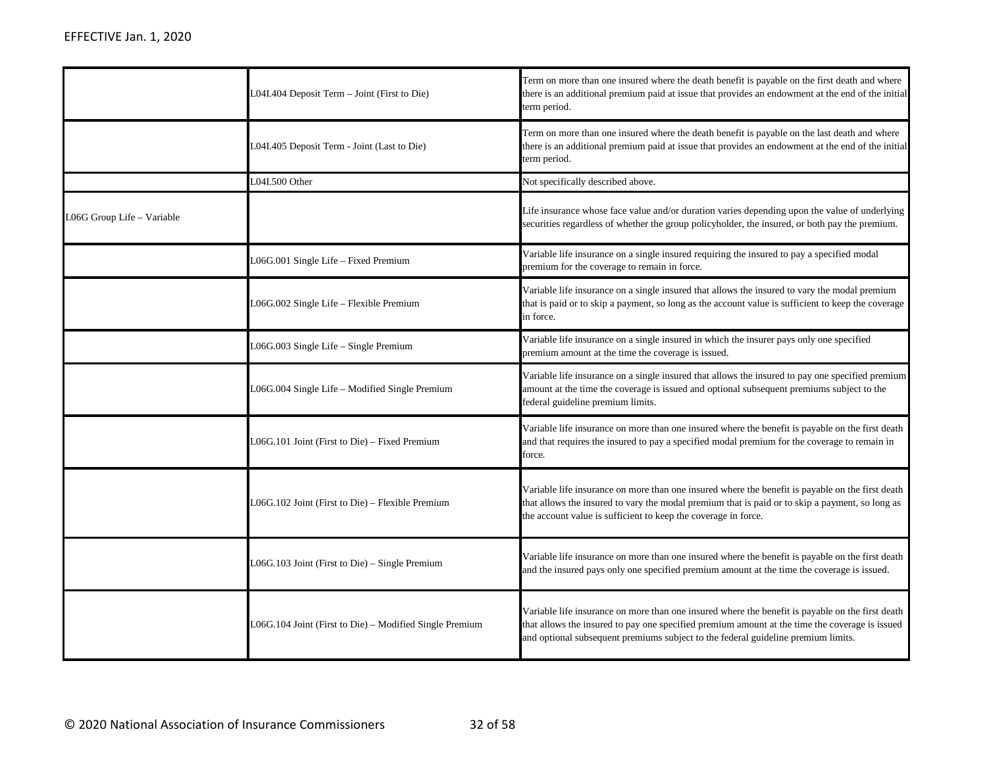|                            | L04I.404 Deposit Term - Joint (First to Die)            | Term on more than one insured where the death benefit is payable on the first death and where<br>there is an additional premium paid at issue that provides an endowment at the end of the initial<br>term period.                                                                      |
|----------------------------|---------------------------------------------------------|-----------------------------------------------------------------------------------------------------------------------------------------------------------------------------------------------------------------------------------------------------------------------------------------|
|                            | L04I.405 Deposit Term - Joint (Last to Die)             | Term on more than one insured where the death benefit is payable on the last death and where<br>there is an additional premium paid at issue that provides an endowment at the end of the initial<br>term period.                                                                       |
|                            | L04I.500 Other                                          | Not specifically described above.                                                                                                                                                                                                                                                       |
| L06G Group Life - Variable |                                                         | Life insurance whose face value and/or duration varies depending upon the value of underlying<br>securities regardless of whether the group policyholder, the insured, or both pay the premium.                                                                                         |
|                            | L06G.001 Single Life - Fixed Premium                    | Variable life insurance on a single insured requiring the insured to pay a specified modal<br>premium for the coverage to remain in force.                                                                                                                                              |
|                            | L06G.002 Single Life - Flexible Premium                 | Variable life insurance on a single insured that allows the insured to vary the modal premium<br>that is paid or to skip a payment, so long as the account value is sufficient to keep the coverage<br>in force.                                                                        |
|                            | L06G.003 Single Life - Single Premium                   | Variable life insurance on a single insured in which the insurer pays only one specified<br>premium amount at the time the coverage is issued.                                                                                                                                          |
|                            | L06G.004 Single Life - Modified Single Premium          | Variable life insurance on a single insured that allows the insured to pay one specified premium<br>amount at the time the coverage is issued and optional subsequent premiums subject to the<br>federal guideline premium limits.                                                      |
|                            | L06G.101 Joint (First to Die) – Fixed Premium           | Variable life insurance on more than one insured where the benefit is payable on the first death<br>and that requires the insured to pay a specified modal premium for the coverage to remain in<br>force.                                                                              |
|                            | L06G.102 Joint (First to Die) – Flexible Premium        | Variable life insurance on more than one insured where the benefit is payable on the first death<br>that allows the insured to vary the modal premium that is paid or to skip a payment, so long as<br>the account value is sufficient to keep the coverage in force.                   |
|                            | L06G.103 Joint (First to Die) - Single Premium          | Variable life insurance on more than one insured where the benefit is payable on the first death<br>and the insured pays only one specified premium amount at the time the coverage is issued.                                                                                          |
|                            | L06G.104 Joint (First to Die) – Modified Single Premium | Variable life insurance on more than one insured where the benefit is payable on the first death<br>that allows the insured to pay one specified premium amount at the time the coverage is issued<br>and optional subsequent premiums subject to the federal guideline premium limits. |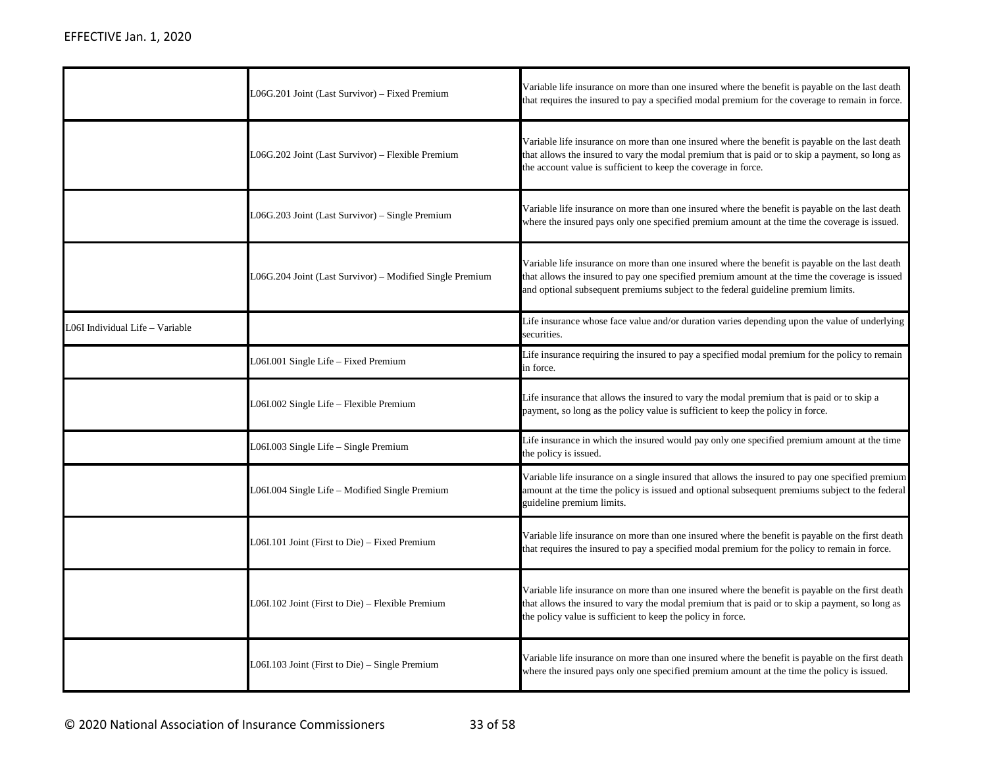|                                | L06G.201 Joint (Last Survivor) - Fixed Premium           | Variable life insurance on more than one insured where the benefit is payable on the last death<br>that requires the insured to pay a specified modal premium for the coverage to remain in force.                                                                                     |
|--------------------------------|----------------------------------------------------------|----------------------------------------------------------------------------------------------------------------------------------------------------------------------------------------------------------------------------------------------------------------------------------------|
|                                | L06G.202 Joint (Last Survivor) – Flexible Premium        | Variable life insurance on more than one insured where the benefit is payable on the last death<br>that allows the insured to vary the modal premium that is paid or to skip a payment, so long as<br>the account value is sufficient to keep the coverage in force.                   |
|                                | L06G.203 Joint (Last Survivor) – Single Premium          | Variable life insurance on more than one insured where the benefit is payable on the last death<br>where the insured pays only one specified premium amount at the time the coverage is issued.                                                                                        |
|                                | L06G.204 Joint (Last Survivor) – Modified Single Premium | Variable life insurance on more than one insured where the benefit is payable on the last death<br>that allows the insured to pay one specified premium amount at the time the coverage is issued<br>and optional subsequent premiums subject to the federal guideline premium limits. |
| O6I Individual Life - Variable |                                                          | Life insurance whose face value and/or duration varies depending upon the value of underlying<br>securities.                                                                                                                                                                           |
|                                | L06I.001 Single Life - Fixed Premium                     | Life insurance requiring the insured to pay a specified modal premium for the policy to remain<br>in force.                                                                                                                                                                            |
|                                |                                                          |                                                                                                                                                                                                                                                                                        |
|                                | L06I.002 Single Life - Flexible Premium                  | Life insurance that allows the insured to vary the modal premium that is paid or to skip a<br>payment, so long as the policy value is sufficient to keep the policy in force.                                                                                                          |
|                                | L06I.003 Single Life - Single Premium                    | Life insurance in which the insured would pay only one specified premium amount at the time<br>the policy is issued.                                                                                                                                                                   |
|                                | L06I.004 Single Life - Modified Single Premium           | Variable life insurance on a single insured that allows the insured to pay one specified premium<br>amount at the time the policy is issued and optional subsequent premiums subject to the federal<br>guideline premium limits.                                                       |
|                                | L06I.101 Joint (First to Die) – Fixed Premium            | Variable life insurance on more than one insured where the benefit is payable on the first death<br>that requires the insured to pay a specified modal premium for the policy to remain in force.                                                                                      |
|                                | L06I.102 Joint (First to Die) - Flexible Premium         | Variable life insurance on more than one insured where the benefit is payable on the first death<br>that allows the insured to vary the modal premium that is paid or to skip a payment, so long as<br>the policy value is sufficient to keep the policy in force.                     |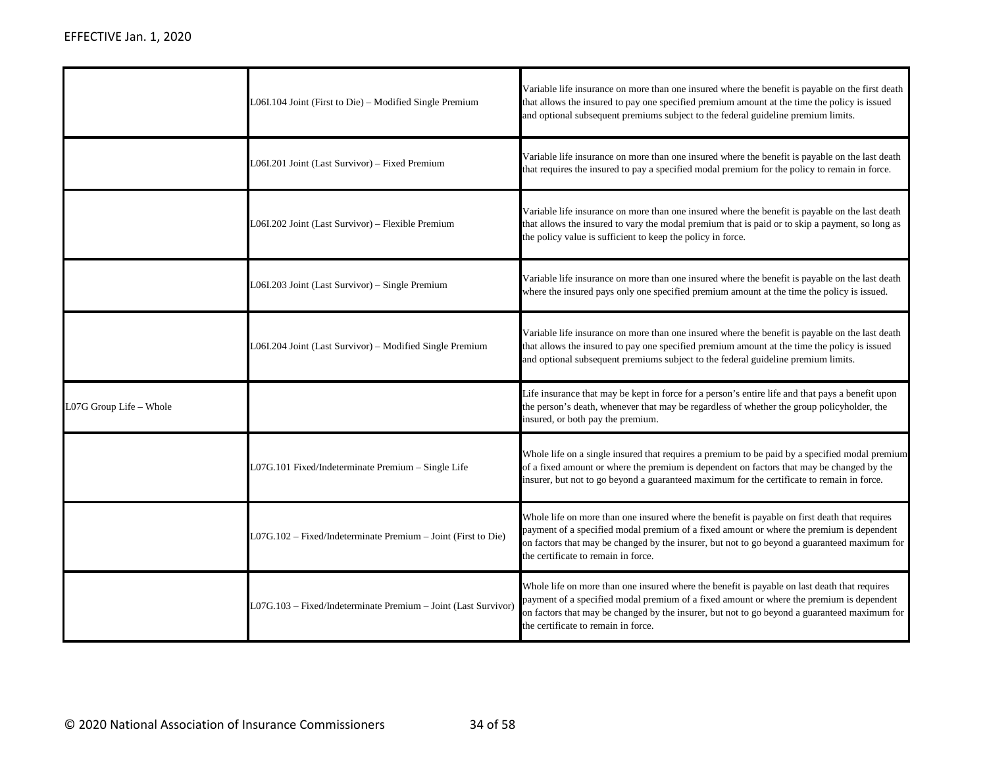|                         | $L06I.104$ Joint (First to Die) – Modified Single Premium      | Variable life insurance on more than one insured where the benefit is payable on the first death<br>that allows the insured to pay one specified premium amount at the time the policy is issued<br>and optional subsequent premiums subject to the federal guideline premium limits.                                            |
|-------------------------|----------------------------------------------------------------|----------------------------------------------------------------------------------------------------------------------------------------------------------------------------------------------------------------------------------------------------------------------------------------------------------------------------------|
|                         | L06I.201 Joint (Last Survivor) - Fixed Premium                 | Variable life insurance on more than one insured where the benefit is payable on the last death<br>that requires the insured to pay a specified modal premium for the policy to remain in force.                                                                                                                                 |
|                         | L06I.202 Joint (Last Survivor) - Flexible Premium              | Variable life insurance on more than one insured where the benefit is payable on the last death<br>that allows the insured to vary the modal premium that is paid or to skip a payment, so long as<br>the policy value is sufficient to keep the policy in force.                                                                |
|                         | L06I.203 Joint (Last Survivor) - Single Premium                | Variable life insurance on more than one insured where the benefit is payable on the last death<br>where the insured pays only one specified premium amount at the time the policy is issued.                                                                                                                                    |
|                         | L06I.204 Joint (Last Survivor) - Modified Single Premium       | Variable life insurance on more than one insured where the benefit is payable on the last death<br>that allows the insured to pay one specified premium amount at the time the policy is issued<br>and optional subsequent premiums subject to the federal guideline premium limits.                                             |
| L07G Group Life - Whole |                                                                | Life insurance that may be kept in force for a person's entire life and that pays a benefit upon<br>the person's death, whenever that may be regardless of whether the group policyholder, the<br>insured, or both pay the premium.                                                                                              |
|                         | L07G.101 Fixed/Indeterminate Premium – Single Life             | Whole life on a single insured that requires a premium to be paid by a specified modal premium<br>of a fixed amount or where the premium is dependent on factors that may be changed by the<br>insurer, but not to go beyond a guaranteed maximum for the certificate to remain in force.                                        |
|                         | L07G.102 - Fixed/Indeterminate Premium - Joint (First to Die)  | Whole life on more than one insured where the benefit is payable on first death that requires<br>payment of a specified modal premium of a fixed amount or where the premium is dependent<br>on factors that may be changed by the insurer, but not to go beyond a guaranteed maximum for<br>the certificate to remain in force. |
|                         | L07G.103 - Fixed/Indeterminate Premium - Joint (Last Survivor) | Whole life on more than one insured where the benefit is payable on last death that requires<br>payment of a specified modal premium of a fixed amount or where the premium is dependent<br>on factors that may be changed by the insurer, but not to go beyond a guaranteed maximum for<br>the certificate to remain in force.  |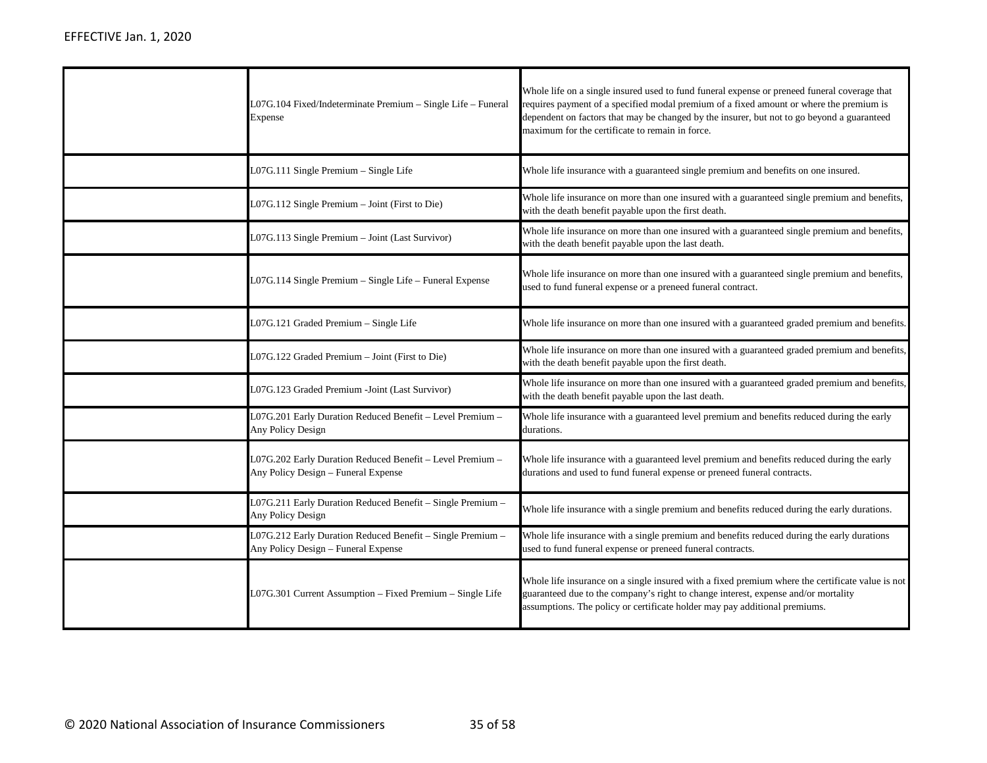| L07G.104 Fixed/Indeterminate Premium - Single Life - Funeral<br>Expense                           | Whole life on a single insured used to fund funeral expense or preneed funeral coverage that<br>requires payment of a specified modal premium of a fixed amount or where the premium is<br>dependent on factors that may be changed by the insurer, but not to go beyond a guaranteed<br>maximum for the certificate to remain in force. |
|---------------------------------------------------------------------------------------------------|------------------------------------------------------------------------------------------------------------------------------------------------------------------------------------------------------------------------------------------------------------------------------------------------------------------------------------------|
| L07G.111 Single Premium - Single Life                                                             | Whole life insurance with a guaranteed single premium and benefits on one insured.                                                                                                                                                                                                                                                       |
| L07G.112 Single Premium - Joint (First to Die)                                                    | Whole life insurance on more than one insured with a guaranteed single premium and benefits,<br>with the death benefit payable upon the first death.                                                                                                                                                                                     |
| L07G.113 Single Premium - Joint (Last Survivor)                                                   | Whole life insurance on more than one insured with a guaranteed single premium and benefits,<br>with the death benefit payable upon the last death.                                                                                                                                                                                      |
| L07G.114 Single Premium – Single Life – Funeral Expense                                           | Whole life insurance on more than one insured with a guaranteed single premium and benefits,<br>used to fund funeral expense or a preneed funeral contract.                                                                                                                                                                              |
| L07G.121 Graded Premium - Single Life                                                             | Whole life insurance on more than one insured with a guaranteed graded premium and benefits.                                                                                                                                                                                                                                             |
| L07G.122 Graded Premium - Joint (First to Die)                                                    | Whole life insurance on more than one insured with a guaranteed graded premium and benefits,<br>with the death benefit payable upon the first death.                                                                                                                                                                                     |
| L07G.123 Graded Premium -Joint (Last Survivor)                                                    | Whole life insurance on more than one insured with a guaranteed graded premium and benefits,<br>with the death benefit payable upon the last death.                                                                                                                                                                                      |
| L07G.201 Early Duration Reduced Benefit - Level Premium -<br>Any Policy Design                    | Whole life insurance with a guaranteed level premium and benefits reduced during the early<br>durations.                                                                                                                                                                                                                                 |
| L07G.202 Early Duration Reduced Benefit - Level Premium -<br>Any Policy Design - Funeral Expense  | Whole life insurance with a guaranteed level premium and benefits reduced during the early<br>durations and used to fund funeral expense or preneed funeral contracts.                                                                                                                                                                   |
| L07G.211 Early Duration Reduced Benefit - Single Premium -<br>Any Policy Design                   | Whole life insurance with a single premium and benefits reduced during the early durations.                                                                                                                                                                                                                                              |
| L07G.212 Early Duration Reduced Benefit - Single Premium -<br>Any Policy Design - Funeral Expense | Whole life insurance with a single premium and benefits reduced during the early durations<br>used to fund funeral expense or preneed funeral contracts.                                                                                                                                                                                 |
| L07G.301 Current Assumption - Fixed Premium - Single Life                                         | Whole life insurance on a single insured with a fixed premium where the certificate value is not<br>guaranteed due to the company's right to change interest, expense and/or mortality<br>assumptions. The policy or certificate holder may pay additional premiums.                                                                     |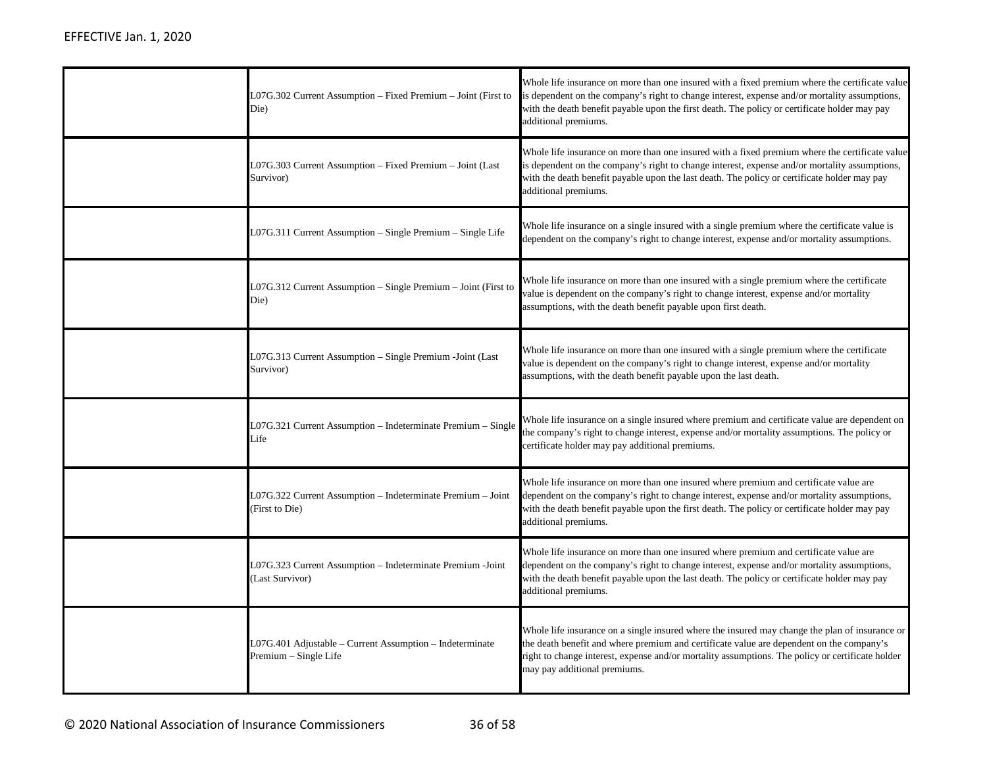| L07G.302 Current Assumption – Fixed Premium – Joint (First to<br>Die)             | Whole life insurance on more than one insured with a fixed premium where the certificate value<br>is dependent on the company's right to change interest, expense and/or mortality assumptions,<br>with the death benefit payable upon the first death. The policy or certificate holder may pay<br>additional premiums.       |
|-----------------------------------------------------------------------------------|--------------------------------------------------------------------------------------------------------------------------------------------------------------------------------------------------------------------------------------------------------------------------------------------------------------------------------|
| L07G.303 Current Assumption – Fixed Premium – Joint (Last<br>Survivor)            | Whole life insurance on more than one insured with a fixed premium where the certificate value<br>is dependent on the company's right to change interest, expense and/or mortality assumptions,<br>with the death benefit payable upon the last death. The policy or certificate holder may pay<br>additional premiums.        |
| L07G.311 Current Assumption – Single Premium – Single Life                        | Whole life insurance on a single insured with a single premium where the certificate value is<br>dependent on the company's right to change interest, expense and/or mortality assumptions.                                                                                                                                    |
| L07G.312 Current Assumption – Single Premium – Joint (First to<br>Die)            | Whole life insurance on more than one insured with a single premium where the certificate<br>value is dependent on the company's right to change interest, expense and/or mortality<br>assumptions, with the death benefit payable upon first death.                                                                           |
| L07G.313 Current Assumption - Single Premium -Joint (Last<br>Survivor)            | Whole life insurance on more than one insured with a single premium where the certificate<br>value is dependent on the company's right to change interest, expense and/or mortality<br>assumptions, with the death benefit payable upon the last death.                                                                        |
| L07G.321 Current Assumption - Indeterminate Premium - Single<br>Life              | Whole life insurance on a single insured where premium and certificate value are dependent on<br>the company's right to change interest, expense and/or mortality assumptions. The policy or<br>certificate holder may pay additional premiums.                                                                                |
| L07G.322 Current Assumption – Indeterminate Premium – Joint<br>(First to Die)     | Whole life insurance on more than one insured where premium and certificate value are<br>dependent on the company's right to change interest, expense and/or mortality assumptions,<br>with the death benefit payable upon the first death. The policy or certificate holder may pay<br>additional premiums.                   |
| L07G.323 Current Assumption - Indeterminate Premium -Joint<br>(Last Survivor)     | Whole life insurance on more than one insured where premium and certificate value are<br>dependent on the company's right to change interest, expense and/or mortality assumptions,<br>with the death benefit payable upon the last death. The policy or certificate holder may pay<br>additional premiums.                    |
| L07G.401 Adjustable - Current Assumption - Indeterminate<br>Premium - Single Life | Whole life insurance on a single insured where the insured may change the plan of insurance or<br>the death benefit and where premium and certificate value are dependent on the company's<br>right to change interest, expense and/or mortality assumptions. The policy or certificate holder<br>may pay additional premiums. |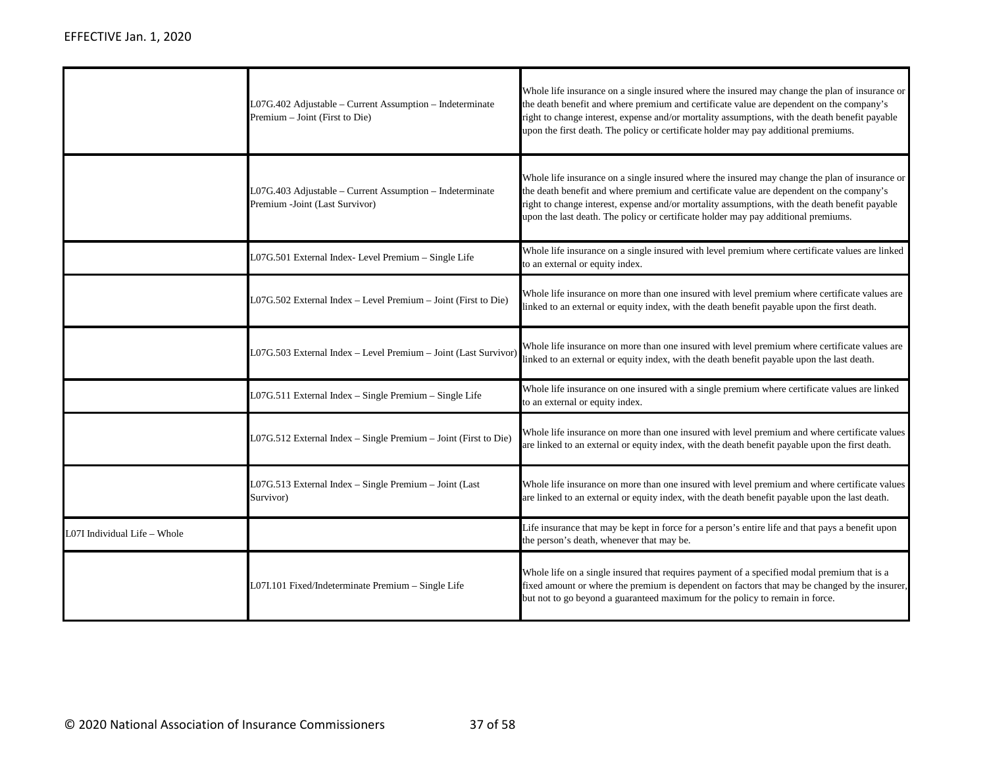|                              | L07G.402 Adjustable - Current Assumption - Indeterminate<br>Premium - Joint (First to Die) | Whole life insurance on a single insured where the insured may change the plan of insurance or<br>the death benefit and where premium and certificate value are dependent on the company's<br>right to change interest, expense and/or mortality assumptions, with the death benefit payable<br>upon the first death. The policy or certificate holder may pay additional premiums. |
|------------------------------|--------------------------------------------------------------------------------------------|-------------------------------------------------------------------------------------------------------------------------------------------------------------------------------------------------------------------------------------------------------------------------------------------------------------------------------------------------------------------------------------|
|                              | L07G.403 Adjustable - Current Assumption - Indeterminate<br>Premium -Joint (Last Survivor) | Whole life insurance on a single insured where the insured may change the plan of insurance or<br>the death benefit and where premium and certificate value are dependent on the company's<br>right to change interest, expense and/or mortality assumptions, with the death benefit payable<br>upon the last death. The policy or certificate holder may pay additional premiums.  |
|                              | L07G.501 External Index- Level Premium - Single Life                                       | Whole life insurance on a single insured with level premium where certificate values are linked<br>to an external or equity index.                                                                                                                                                                                                                                                  |
|                              | L07G.502 External Index - Level Premium - Joint (First to Die)                             | Whole life insurance on more than one insured with level premium where certificate values are<br>linked to an external or equity index, with the death benefit payable upon the first death.                                                                                                                                                                                        |
|                              | L07G.503 External Index - Level Premium - Joint (Last Survivor)                            | Whole life insurance on more than one insured with level premium where certificate values are<br>linked to an external or equity index, with the death benefit payable upon the last death.                                                                                                                                                                                         |
|                              | L07G.511 External Index - Single Premium - Single Life                                     | Whole life insurance on one insured with a single premium where certificate values are linked<br>to an external or equity index.                                                                                                                                                                                                                                                    |
|                              | L07G.512 External Index - Single Premium - Joint (First to Die)                            | Whole life insurance on more than one insured with level premium and where certificate values<br>are linked to an external or equity index, with the death benefit payable upon the first death.                                                                                                                                                                                    |
|                              | L07G.513 External Index - Single Premium - Joint (Last<br>Survivor)                        | Whole life insurance on more than one insured with level premium and where certificate values<br>are linked to an external or equity index, with the death benefit payable upon the last death.                                                                                                                                                                                     |
| L07I Individual Life - Whole |                                                                                            | Life insurance that may be kept in force for a person's entire life and that pays a benefit upon<br>the person's death, whenever that may be.                                                                                                                                                                                                                                       |
|                              | L07I.101 Fixed/Indeterminate Premium - Single Life                                         | Whole life on a single insured that requires payment of a specified modal premium that is a<br>fixed amount or where the premium is dependent on factors that may be changed by the insurer,<br>but not to go beyond a guaranteed maximum for the policy to remain in force.                                                                                                        |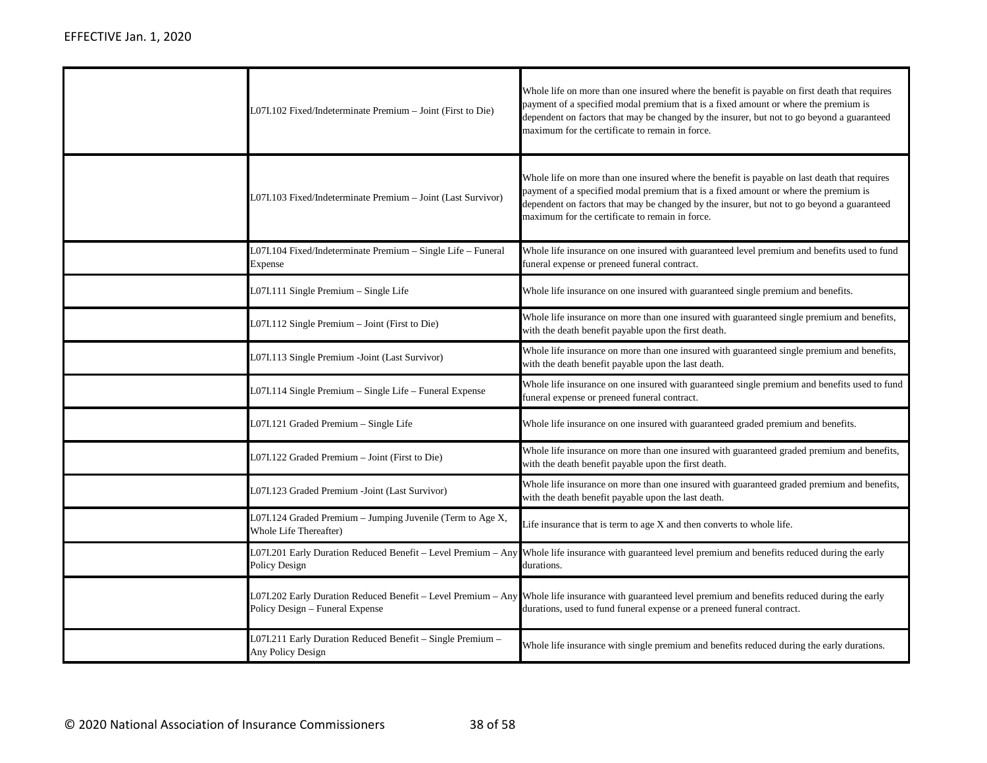| L07I.102 Fixed/Indeterminate Premium - Joint (First to Die)                                      | Whole life on more than one insured where the benefit is payable on first death that requires<br>payment of a specified modal premium that is a fixed amount or where the premium is<br>dependent on factors that may be changed by the insurer, but not to go beyond a guaranteed<br>maximum for the certificate to remain in force. |
|--------------------------------------------------------------------------------------------------|---------------------------------------------------------------------------------------------------------------------------------------------------------------------------------------------------------------------------------------------------------------------------------------------------------------------------------------|
| L07I.103 Fixed/Indeterminate Premium - Joint (Last Survivor)                                     | Whole life on more than one insured where the benefit is payable on last death that requires<br>payment of a specified modal premium that is a fixed amount or where the premium is<br>dependent on factors that may be changed by the insurer, but not to go beyond a guaranteed<br>maximum for the certificate to remain in force.  |
| L07I.104 Fixed/Indeterminate Premium – Single Life – Funeral<br>Expense                          | Whole life insurance on one insured with guaranteed level premium and benefits used to fund<br>funeral expense or preneed funeral contract.                                                                                                                                                                                           |
| L07I.111 Single Premium - Single Life                                                            | Whole life insurance on one insured with guaranteed single premium and benefits.                                                                                                                                                                                                                                                      |
| L07I.112 Single Premium - Joint (First to Die)                                                   | Whole life insurance on more than one insured with guaranteed single premium and benefits,<br>with the death benefit payable upon the first death.                                                                                                                                                                                    |
| L07I.113 Single Premium - Joint (Last Survivor)                                                  | Whole life insurance on more than one insured with guaranteed single premium and benefits,<br>with the death benefit payable upon the last death.                                                                                                                                                                                     |
| L07I.114 Single Premium – Single Life – Funeral Expense                                          | Whole life insurance on one insured with guaranteed single premium and benefits used to fund<br>funeral expense or preneed funeral contract.                                                                                                                                                                                          |
| L07I.121 Graded Premium - Single Life                                                            | Whole life insurance on one insured with guaranteed graded premium and benefits.                                                                                                                                                                                                                                                      |
| L07I.122 Graded Premium - Joint (First to Die)                                                   | Whole life insurance on more than one insured with guaranteed graded premium and benefits,<br>with the death benefit payable upon the first death.                                                                                                                                                                                    |
| L07I.123 Graded Premium -Joint (Last Survivor)                                                   | Whole life insurance on more than one insured with guaranteed graded premium and benefits,<br>with the death benefit payable upon the last death.                                                                                                                                                                                     |
| L07I.124 Graded Premium - Jumping Juvenile (Term to Age X,<br>Whole Life Thereafter)             | Life insurance that is term to age X and then converts to whole life.                                                                                                                                                                                                                                                                 |
| L07I.201 Early Duration Reduced Benefit - Level Premium - Any<br>Policy Design                   | Whole life insurance with guaranteed level premium and benefits reduced during the early<br>durations.                                                                                                                                                                                                                                |
| L07I.202 Early Duration Reduced Benefit - Level Premium - Any<br>Policy Design - Funeral Expense | Whole life insurance with guaranteed level premium and benefits reduced during the early<br>durations, used to fund funeral expense or a preneed funeral contract.                                                                                                                                                                    |
| L07I.211 Early Duration Reduced Benefit – Single Premium –<br>Any Policy Design                  | Whole life insurance with single premium and benefits reduced during the early durations.                                                                                                                                                                                                                                             |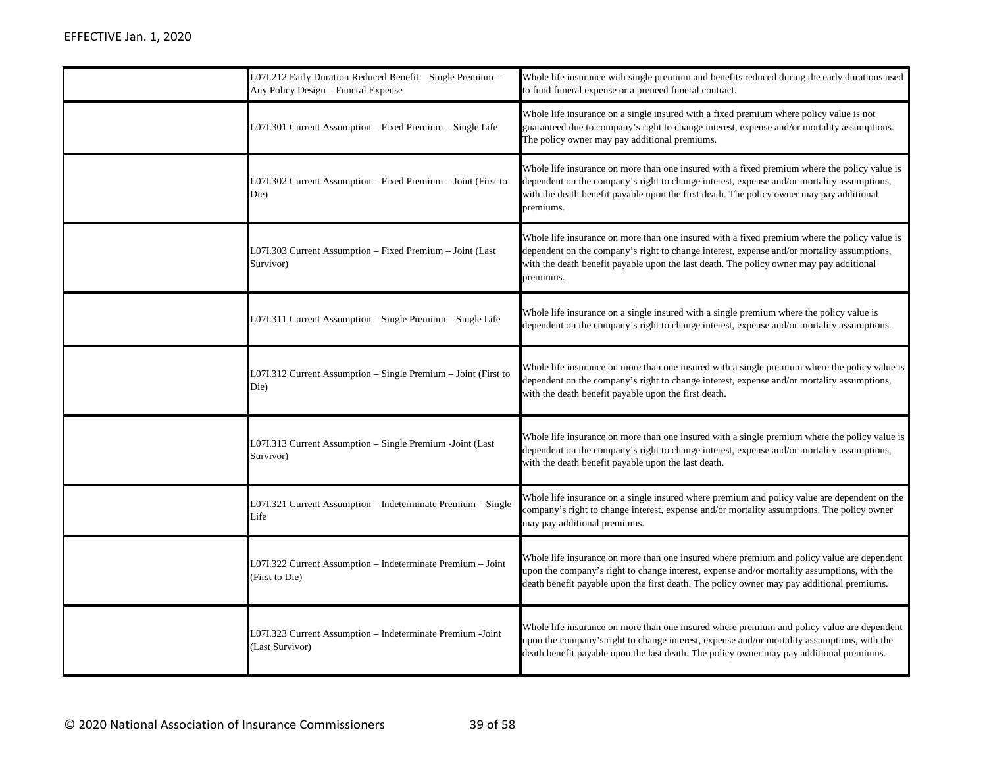| L07I.212 Early Duration Reduced Benefit – Single Premium –<br>Any Policy Design - Funeral Expense | Whole life insurance with single premium and benefits reduced during the early durations used<br>to fund funeral expense or a preneed funeral contract.                                                                                                                                             |
|---------------------------------------------------------------------------------------------------|-----------------------------------------------------------------------------------------------------------------------------------------------------------------------------------------------------------------------------------------------------------------------------------------------------|
| L07I.301 Current Assumption - Fixed Premium - Single Life                                         | Whole life insurance on a single insured with a fixed premium where policy value is not<br>guaranteed due to company's right to change interest, expense and/or mortality assumptions.<br>The policy owner may pay additional premiums.                                                             |
| L07I.302 Current Assumption – Fixed Premium – Joint (First to<br>Die)                             | Whole life insurance on more than one insured with a fixed premium where the policy value is<br>dependent on the company's right to change interest, expense and/or mortality assumptions,<br>with the death benefit payable upon the first death. The policy owner may pay additional<br>premiums. |
| L07I.303 Current Assumption - Fixed Premium - Joint (Last<br>Survivor)                            | Whole life insurance on more than one insured with a fixed premium where the policy value is<br>dependent on the company's right to change interest, expense and/or mortality assumptions,<br>with the death benefit payable upon the last death. The policy owner may pay additional<br>premiums.  |
| L07I.311 Current Assumption - Single Premium - Single Life                                        | Whole life insurance on a single insured with a single premium where the policy value is<br>dependent on the company's right to change interest, expense and/or mortality assumptions.                                                                                                              |
| L07I.312 Current Assumption - Single Premium - Joint (First to<br>Die)                            | Whole life insurance on more than one insured with a single premium where the policy value is<br>dependent on the company's right to change interest, expense and/or mortality assumptions,<br>with the death benefit payable upon the first death.                                                 |
| L07I.313 Current Assumption - Single Premium -Joint (Last<br>Survivor)                            | Whole life insurance on more than one insured with a single premium where the policy value is<br>dependent on the company's right to change interest, expense and/or mortality assumptions,<br>with the death benefit payable upon the last death.                                                  |
| L07I.321 Current Assumption – Indeterminate Premium – Single<br>Life                              | Whole life insurance on a single insured where premium and policy value are dependent on the<br>company's right to change interest, expense and/or mortality assumptions. The policy owner<br>may pay additional premiums.                                                                          |
| L07I.322 Current Assumption - Indeterminate Premium - Joint<br>(First to Die)                     | Whole life insurance on more than one insured where premium and policy value are dependent<br>upon the company's right to change interest, expense and/or mortality assumptions, with the<br>death benefit payable upon the first death. The policy owner may pay additional premiums.              |
| L07I.323 Current Assumption - Indeterminate Premium -Joint<br>Last Survivor)                      | Whole life insurance on more than one insured where premium and policy value are dependent<br>upon the company's right to change interest, expense and/or mortality assumptions, with the<br>death benefit payable upon the last death. The policy owner may pay additional premiums.               |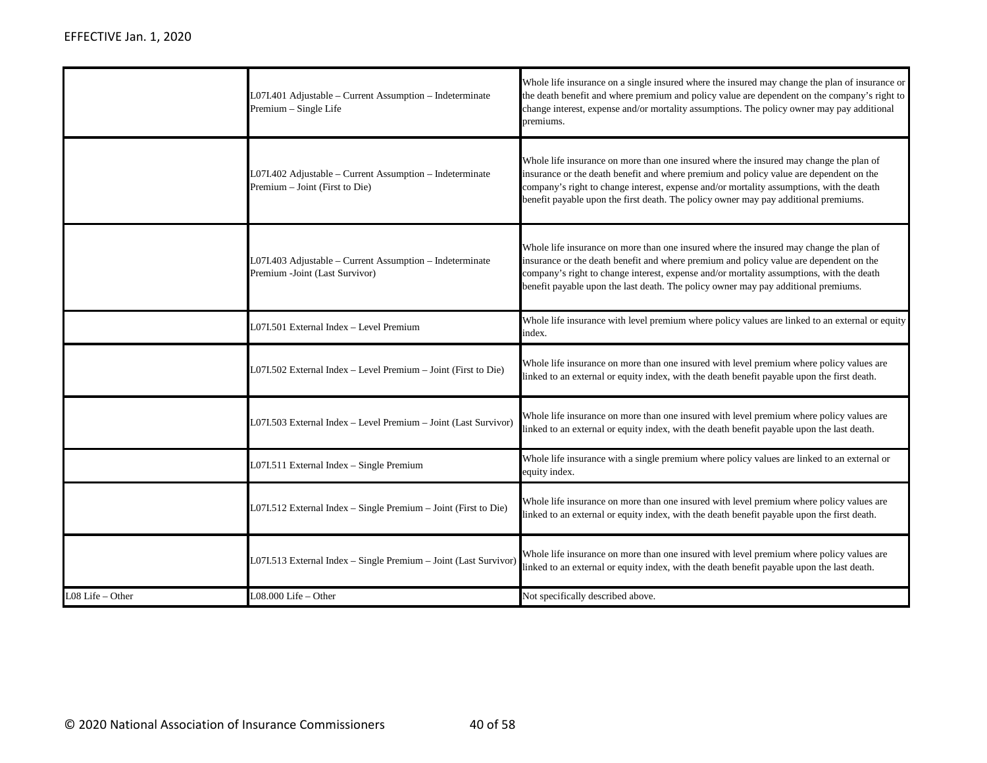|                  | L07I.401 Adjustable - Current Assumption - Indeterminate<br>Premium - Single Life          | Whole life insurance on a single insured where the insured may change the plan of insurance or<br>the death benefit and where premium and policy value are dependent on the company's right to<br>change interest, expense and/or mortality assumptions. The policy owner may pay additional<br>premiums.                                                           |
|------------------|--------------------------------------------------------------------------------------------|---------------------------------------------------------------------------------------------------------------------------------------------------------------------------------------------------------------------------------------------------------------------------------------------------------------------------------------------------------------------|
|                  | L07I.402 Adjustable – Current Assumption – Indeterminate<br>Premium - Joint (First to Die) | Whole life insurance on more than one insured where the insured may change the plan of<br>insurance or the death benefit and where premium and policy value are dependent on the<br>company's right to change interest, expense and/or mortality assumptions, with the death<br>benefit payable upon the first death. The policy owner may pay additional premiums. |
|                  | L07I.403 Adjustable - Current Assumption - Indeterminate<br>Premium -Joint (Last Survivor) | Whole life insurance on more than one insured where the insured may change the plan of<br>insurance or the death benefit and where premium and policy value are dependent on the<br>company's right to change interest, expense and/or mortality assumptions, with the death<br>benefit payable upon the last death. The policy owner may pay additional premiums.  |
|                  | L07I.501 External Index - Level Premium                                                    | Whole life insurance with level premium where policy values are linked to an external or equity<br>index.                                                                                                                                                                                                                                                           |
|                  | L07I.502 External Index - Level Premium - Joint (First to Die)                             | Whole life insurance on more than one insured with level premium where policy values are<br>linked to an external or equity index, with the death benefit payable upon the first death.                                                                                                                                                                             |
|                  | L07I.503 External Index - Level Premium - Joint (Last Survivor)                            | Whole life insurance on more than one insured with level premium where policy values are<br>linked to an external or equity index, with the death benefit payable upon the last death.                                                                                                                                                                              |
|                  | L07I.511 External Index - Single Premium                                                   | Whole life insurance with a single premium where policy values are linked to an external or<br>equity index.                                                                                                                                                                                                                                                        |
|                  | L07I.512 External Index - Single Premium - Joint (First to Die)                            | Whole life insurance on more than one insured with level premium where policy values are<br>linked to an external or equity index, with the death benefit payable upon the first death.                                                                                                                                                                             |
|                  | L07I.513 External Index - Single Premium - Joint (Last Survivor)                           | Whole life insurance on more than one insured with level premium where policy values are<br>linked to an external or equity index, with the death benefit payable upon the last death.                                                                                                                                                                              |
| L08 Life - Other | L08.000 Life - Other                                                                       | Not specifically described above.                                                                                                                                                                                                                                                                                                                                   |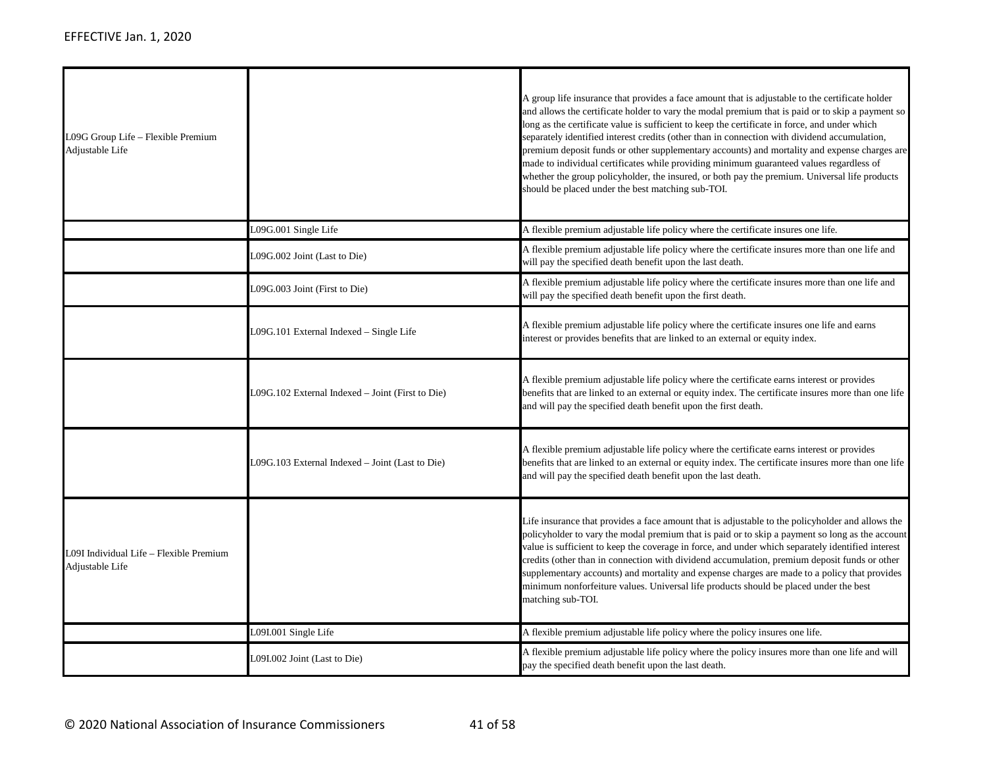| L09G Group Life - Flexible Premium<br>Adjustable Life      |                                                  | A group life insurance that provides a face amount that is adjustable to the certificate holder<br>and allows the certificate holder to vary the modal premium that is paid or to skip a payment so<br>long as the certificate value is sufficient to keep the certificate in force, and under which<br>separately identified interest credits (other than in connection with dividend accumulation,<br>premium deposit funds or other supplementary accounts) and mortality and expense charges are<br>made to individual certificates while providing minimum guaranteed values regardless of<br>whether the group policyholder, the insured, or both pay the premium. Universal life products<br>should be placed under the best matching sub-TOI. |
|------------------------------------------------------------|--------------------------------------------------|-------------------------------------------------------------------------------------------------------------------------------------------------------------------------------------------------------------------------------------------------------------------------------------------------------------------------------------------------------------------------------------------------------------------------------------------------------------------------------------------------------------------------------------------------------------------------------------------------------------------------------------------------------------------------------------------------------------------------------------------------------|
|                                                            | L09G.001 Single Life                             | A flexible premium adjustable life policy where the certificate insures one life.                                                                                                                                                                                                                                                                                                                                                                                                                                                                                                                                                                                                                                                                     |
|                                                            | L09G.002 Joint (Last to Die)                     | A flexible premium adjustable life policy where the certificate insures more than one life and<br>will pay the specified death benefit upon the last death.                                                                                                                                                                                                                                                                                                                                                                                                                                                                                                                                                                                           |
|                                                            | L09G.003 Joint (First to Die)                    | A flexible premium adjustable life policy where the certificate insures more than one life and<br>will pay the specified death benefit upon the first death.                                                                                                                                                                                                                                                                                                                                                                                                                                                                                                                                                                                          |
|                                                            | L09G.101 External Indexed - Single Life          | A flexible premium adjustable life policy where the certificate insures one life and earns<br>interest or provides benefits that are linked to an external or equity index.                                                                                                                                                                                                                                                                                                                                                                                                                                                                                                                                                                           |
|                                                            | L09G.102 External Indexed – Joint (First to Die) | A flexible premium adjustable life policy where the certificate earns interest or provides<br>benefits that are linked to an external or equity index. The certificate insures more than one life<br>and will pay the specified death benefit upon the first death.                                                                                                                                                                                                                                                                                                                                                                                                                                                                                   |
|                                                            | L09G.103 External Indexed - Joint (Last to Die)  | A flexible premium adjustable life policy where the certificate earns interest or provides<br>benefits that are linked to an external or equity index. The certificate insures more than one life<br>and will pay the specified death benefit upon the last death.                                                                                                                                                                                                                                                                                                                                                                                                                                                                                    |
| L09I Individual Life – Flexible Premium<br>Adjustable Life |                                                  | Life insurance that provides a face amount that is adjustable to the policyholder and allows the<br>policyholder to vary the modal premium that is paid or to skip a payment so long as the account<br>value is sufficient to keep the coverage in force, and under which separately identified interest<br>credits (other than in connection with dividend accumulation, premium deposit funds or other<br>supplementary accounts) and mortality and expense charges are made to a policy that provides<br>minimum nonforfeiture values. Universal life products should be placed under the best<br>matching sub-TOI.                                                                                                                                |
|                                                            | L09I.001 Single Life                             | A flexible premium adjustable life policy where the policy insures one life.                                                                                                                                                                                                                                                                                                                                                                                                                                                                                                                                                                                                                                                                          |
|                                                            | L09I.002 Joint (Last to Die)                     | A flexible premium adjustable life policy where the policy insures more than one life and will<br>pay the specified death benefit upon the last death.                                                                                                                                                                                                                                                                                                                                                                                                                                                                                                                                                                                                |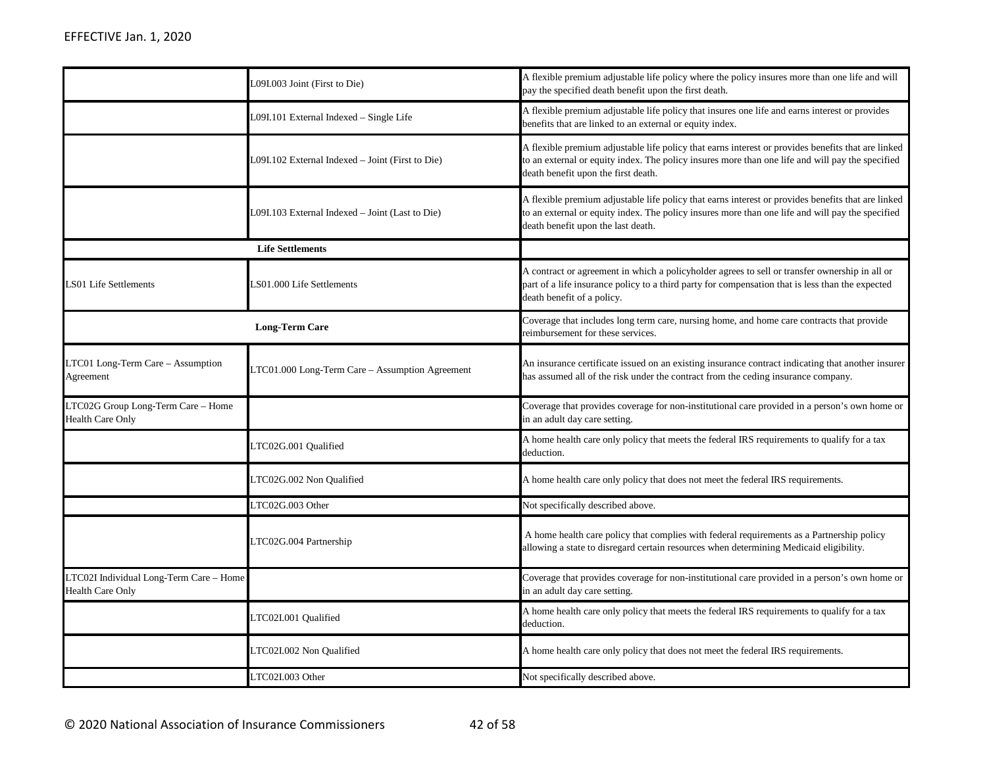|                                                                    | L09I.003 Joint (First to Die)                    | A flexible premium adjustable life policy where the policy insures more than one life and will<br>pay the specified death benefit upon the first death.                                                                                       |
|--------------------------------------------------------------------|--------------------------------------------------|-----------------------------------------------------------------------------------------------------------------------------------------------------------------------------------------------------------------------------------------------|
|                                                                    | L09I.101 External Indexed - Single Life          | A flexible premium adjustable life policy that insures one life and earns interest or provides<br>benefits that are linked to an external or equity index.                                                                                    |
|                                                                    | L09I.102 External Indexed – Joint (First to Die) | A flexible premium adjustable life policy that earns interest or provides benefits that are linked<br>to an external or equity index. The policy insures more than one life and will pay the specified<br>death benefit upon the first death. |
|                                                                    | L09I.103 External Indexed – Joint (Last to Die)  | A flexible premium adjustable life policy that earns interest or provides benefits that are linked<br>to an external or equity index. The policy insures more than one life and will pay the specified<br>death benefit upon the last death.  |
|                                                                    | <b>Life Settlements</b>                          |                                                                                                                                                                                                                                               |
| LS01 Life Settlements                                              | S01.000 Life Settlements                         | A contract or agreement in which a policyholder agrees to sell or transfer ownership in all or<br>part of a life insurance policy to a third party for compensation that is less than the expected<br>death benefit of a policy.              |
|                                                                    | <b>Long-Term Care</b>                            | Coverage that includes long term care, nursing home, and home care contracts that provide<br>reimbursement for these services.                                                                                                                |
| LTC01 Long-Term Care - Assumption<br>Agreement                     | LTC01.000 Long-Term Care – Assumption Agreement  | An insurance certificate issued on an existing insurance contract indicating that another insurer<br>has assumed all of the risk under the contract from the ceding insurance company.                                                        |
| LTC02G Group Long-Term Care - Home<br><b>Health Care Only</b>      |                                                  | Coverage that provides coverage for non-institutional care provided in a person's own home or<br>in an adult day care setting.                                                                                                                |
|                                                                    | LTC02G.001 Qualified                             | A home health care only policy that meets the federal IRS requirements to qualify for a tax<br>deduction.                                                                                                                                     |
|                                                                    | LTC02G.002 Non Qualified                         | A home health care only policy that does not meet the federal IRS requirements.                                                                                                                                                               |
|                                                                    | LTC02G.003 Other                                 | Not specifically described above.                                                                                                                                                                                                             |
|                                                                    | LTC02G.004 Partnership                           | A home health care policy that complies with federal requirements as a Partnership policy<br>allowing a state to disregard certain resources when determining Medicaid eligibility.                                                           |
| LTC02I Individual Long-Term Care - Home<br><b>Health Care Only</b> |                                                  | Coverage that provides coverage for non-institutional care provided in a person's own home or<br>in an adult day care setting.                                                                                                                |
|                                                                    | LTC02I.001 Qualified                             | A home health care only policy that meets the federal IRS requirements to qualify for a tax<br>deduction.                                                                                                                                     |
|                                                                    | LTC02I.002 Non Qualified                         | A home health care only policy that does not meet the federal IRS requirements.                                                                                                                                                               |
|                                                                    | LTC02I.003 Other                                 | Not specifically described above.                                                                                                                                                                                                             |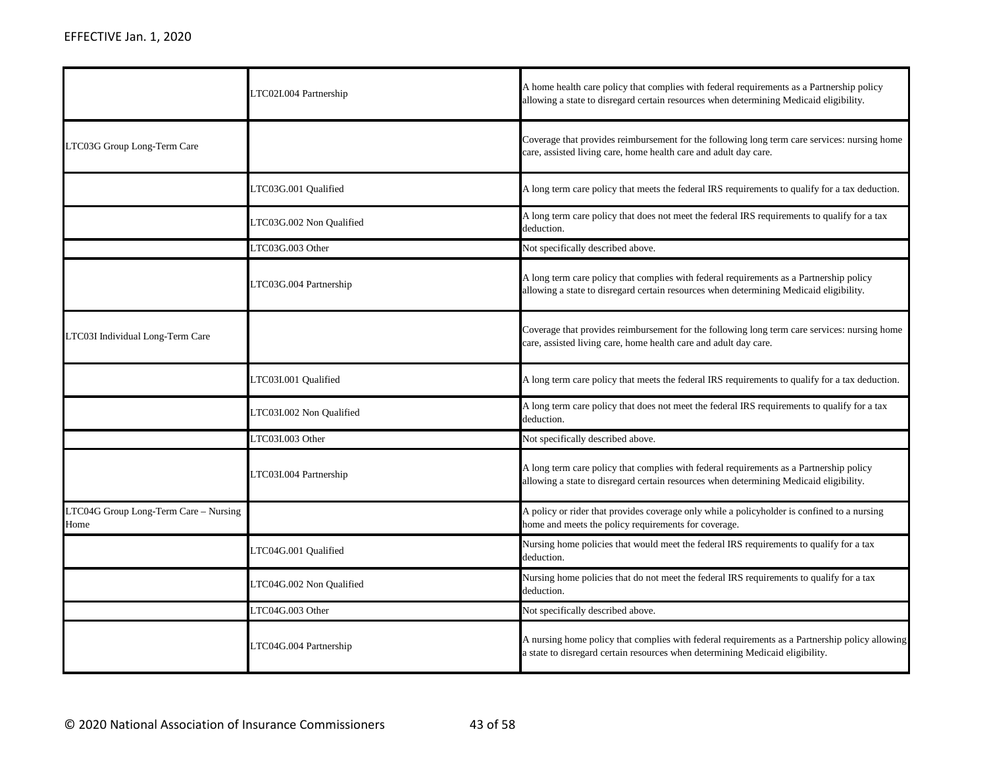|                                               | LTC02I.004 Partnership   | A home health care policy that complies with federal requirements as a Partnership policy<br>allowing a state to disregard certain resources when determining Medicaid eligibility. |
|-----------------------------------------------|--------------------------|-------------------------------------------------------------------------------------------------------------------------------------------------------------------------------------|
| LTC03G Group Long-Term Care                   |                          | Coverage that provides reimbursement for the following long term care services: nursing home<br>care, assisted living care, home health care and adult day care.                    |
|                                               | LTC03G.001 Qualified     | A long term care policy that meets the federal IRS requirements to qualify for a tax deduction.                                                                                     |
|                                               | LTC03G.002 Non Qualified | A long term care policy that does not meet the federal IRS requirements to qualify for a tax<br>deduction.                                                                          |
|                                               | LTC03G.003 Other         | Not specifically described above.                                                                                                                                                   |
|                                               | LTC03G.004 Partnership   | A long term care policy that complies with federal requirements as a Partnership policy<br>allowing a state to disregard certain resources when determining Medicaid eligibility.   |
| LTC03I Individual Long-Term Care              |                          | Coverage that provides reimbursement for the following long term care services: nursing home<br>care, assisted living care, home health care and adult day care.                    |
|                                               | LTC03I.001 Qualified     | A long term care policy that meets the federal IRS requirements to qualify for a tax deduction.                                                                                     |
|                                               | LTC03I.002 Non Qualified | A long term care policy that does not meet the federal IRS requirements to qualify for a tax<br>deduction.                                                                          |
|                                               | LTC03I.003 Other         | Not specifically described above.                                                                                                                                                   |
|                                               | LTC03I.004 Partnership   | A long term care policy that complies with federal requirements as a Partnership policy<br>allowing a state to disregard certain resources when determining Medicaid eligibility.   |
| LTC04G Group Long-Term Care - Nursing<br>Home |                          | A policy or rider that provides coverage only while a policyholder is confined to a nursing<br>home and meets the policy requirements for coverage.                                 |
|                                               | LTC04G.001 Qualified     | Nursing home policies that would meet the federal IRS requirements to qualify for a tax<br>deduction.                                                                               |
|                                               | LTC04G.002 Non Qualified | Nursing home policies that do not meet the federal IRS requirements to qualify for a tax<br>deduction.                                                                              |
|                                               | LTC04G.003 Other         | Not specifically described above.                                                                                                                                                   |
|                                               | LTC04G.004 Partnership   | A nursing home policy that complies with federal requirements as a Partnership policy allowing<br>a state to disregard certain resources when determining Medicaid eligibility.     |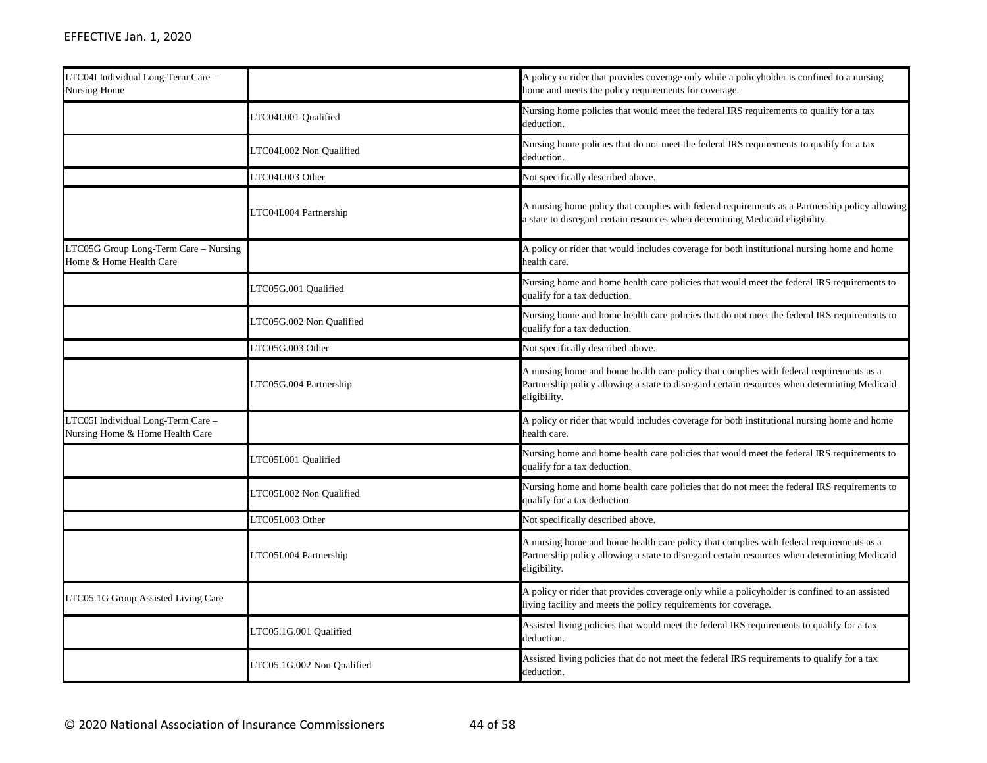| LTC04I Individual Long-Term Care -<br>Nursing Home                    |                            | A policy or rider that provides coverage only while a policyholder is confined to a nursing<br>home and meets the policy requirements for coverage.                                                     |
|-----------------------------------------------------------------------|----------------------------|---------------------------------------------------------------------------------------------------------------------------------------------------------------------------------------------------------|
|                                                                       | LTC04I.001 Qualified       | Nursing home policies that would meet the federal IRS requirements to qualify for a tax<br>deduction.                                                                                                   |
|                                                                       | LTC04I.002 Non Qualified   | Nursing home policies that do not meet the federal IRS requirements to qualify for a tax<br>deduction.                                                                                                  |
|                                                                       | LTC04I.003 Other           | Not specifically described above.                                                                                                                                                                       |
|                                                                       | LTC04I.004 Partnership     | A nursing home policy that complies with federal requirements as a Partnership policy allowing<br>a state to disregard certain resources when determining Medicaid eligibility.                         |
| LTC05G Group Long-Term Care - Nursing<br>Home & Home Health Care      |                            | A policy or rider that would includes coverage for both institutional nursing home and home<br>health care.                                                                                             |
|                                                                       | LTC05G.001 Qualified       | Nursing home and home health care policies that would meet the federal IRS requirements to<br>qualify for a tax deduction.                                                                              |
|                                                                       | LTC05G.002 Non Qualified   | Nursing home and home health care policies that do not meet the federal IRS requirements to<br>qualify for a tax deduction.                                                                             |
|                                                                       | LTC05G.003 Other           | Not specifically described above.                                                                                                                                                                       |
|                                                                       | LTC05G.004 Partnership     | A nursing home and home health care policy that complies with federal requirements as a<br>Partnership policy allowing a state to disregard certain resources when determining Medicaid<br>eligibility. |
| LTC05I Individual Long-Term Care -<br>Nursing Home & Home Health Care |                            | A policy or rider that would includes coverage for both institutional nursing home and home<br>health care.                                                                                             |
|                                                                       | LTC05I.001 Qualified       | Nursing home and home health care policies that would meet the federal IRS requirements to<br>qualify for a tax deduction.                                                                              |
|                                                                       | LTC05I.002 Non Qualified   | Nursing home and home health care policies that do not meet the federal IRS requirements to<br>qualify for a tax deduction.                                                                             |
|                                                                       | LTC05I.003 Other           | Not specifically described above.                                                                                                                                                                       |
|                                                                       | LTC05I.004 Partnership     | A nursing home and home health care policy that complies with federal requirements as a<br>Partnership policy allowing a state to disregard certain resources when determining Medicaid<br>eligibility. |
| LTC05.1G Group Assisted Living Care                                   |                            | A policy or rider that provides coverage only while a policyholder is confined to an assisted<br>living facility and meets the policy requirements for coverage.                                        |
|                                                                       | LTC05.1G.001 Qualified     | Assisted living policies that would meet the federal IRS requirements to qualify for a tax<br>deduction.                                                                                                |
|                                                                       | LTC05.1G.002 Non Qualified | Assisted living policies that do not meet the federal IRS requirements to qualify for a tax<br>deduction.                                                                                               |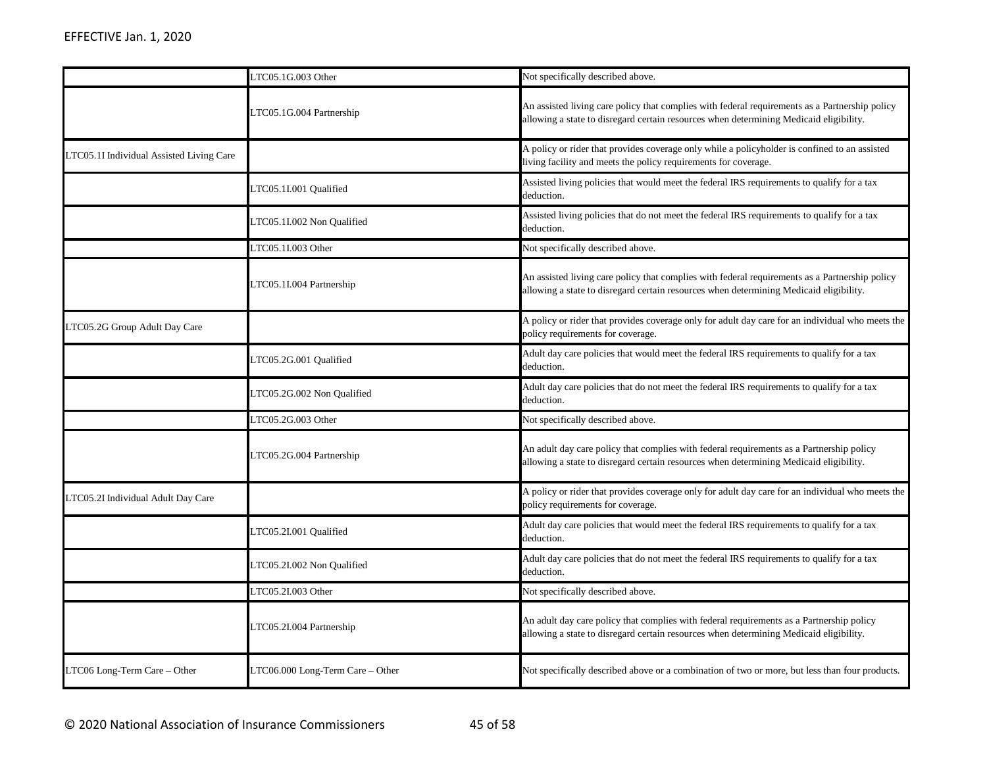|                                          | TC05.1G.003 Other                | Not specifically described above.                                                                                                                                                        |
|------------------------------------------|----------------------------------|------------------------------------------------------------------------------------------------------------------------------------------------------------------------------------------|
|                                          | TC05.1G.004 Partnership          | An assisted living care policy that complies with federal requirements as a Partnership policy<br>allowing a state to disregard certain resources when determining Medicaid eligibility. |
| LTC05.1I Individual Assisted Living Care |                                  | A policy or rider that provides coverage only while a policyholder is confined to an assisted<br>living facility and meets the policy requirements for coverage.                         |
|                                          | LTC05.1I.001 Qualified           | Assisted living policies that would meet the federal IRS requirements to qualify for a tax<br>deduction.                                                                                 |
|                                          | LTC05.1I.002 Non Qualified       | Assisted living policies that do not meet the federal IRS requirements to qualify for a tax<br>deduction.                                                                                |
|                                          | LTC05.1I.003 Other               | Not specifically described above.                                                                                                                                                        |
|                                          | LTC05.1I.004 Partnership         | An assisted living care policy that complies with federal requirements as a Partnership policy<br>allowing a state to disregard certain resources when determining Medicaid eligibility. |
| LTC05.2G Group Adult Day Care            |                                  | A policy or rider that provides coverage only for adult day care for an individual who meets the<br>policy requirements for coverage.                                                    |
|                                          | TC05.2G.001 Qualified            | Adult day care policies that would meet the federal IRS requirements to qualify for a tax<br>deduction.                                                                                  |
|                                          | LTC05.2G.002 Non Qualified       | Adult day care policies that do not meet the federal IRS requirements to qualify for a tax<br>deduction.                                                                                 |
|                                          | LTC05.2G.003 Other               | Not specifically described above.                                                                                                                                                        |
|                                          | LTC05.2G.004 Partnership         | An adult day care policy that complies with federal requirements as a Partnership policy<br>allowing a state to disregard certain resources when determining Medicaid eligibility.       |
| LTC05.2I Individual Adult Day Care       |                                  | A policy or rider that provides coverage only for adult day care for an individual who meets the<br>policy requirements for coverage.                                                    |
|                                          | TC05.2I.001 Qualified            | Adult day care policies that would meet the federal IRS requirements to qualify for a tax<br>deduction.                                                                                  |
|                                          | TC05.2I.002 Non Qualified        | Adult day care policies that do not meet the federal IRS requirements to qualify for a tax<br>deduction.                                                                                 |
|                                          | CTC05.2I.003 Other               | Not specifically described above.                                                                                                                                                        |
|                                          | TC05.2I.004 Partnership          | An adult day care policy that complies with federal requirements as a Partnership policy<br>allowing a state to disregard certain resources when determining Medicaid eligibility.       |
| LTC06 Long-Term Care - Other             | LTC06.000 Long-Term Care - Other | Not specifically described above or a combination of two or more, but less than four products.                                                                                           |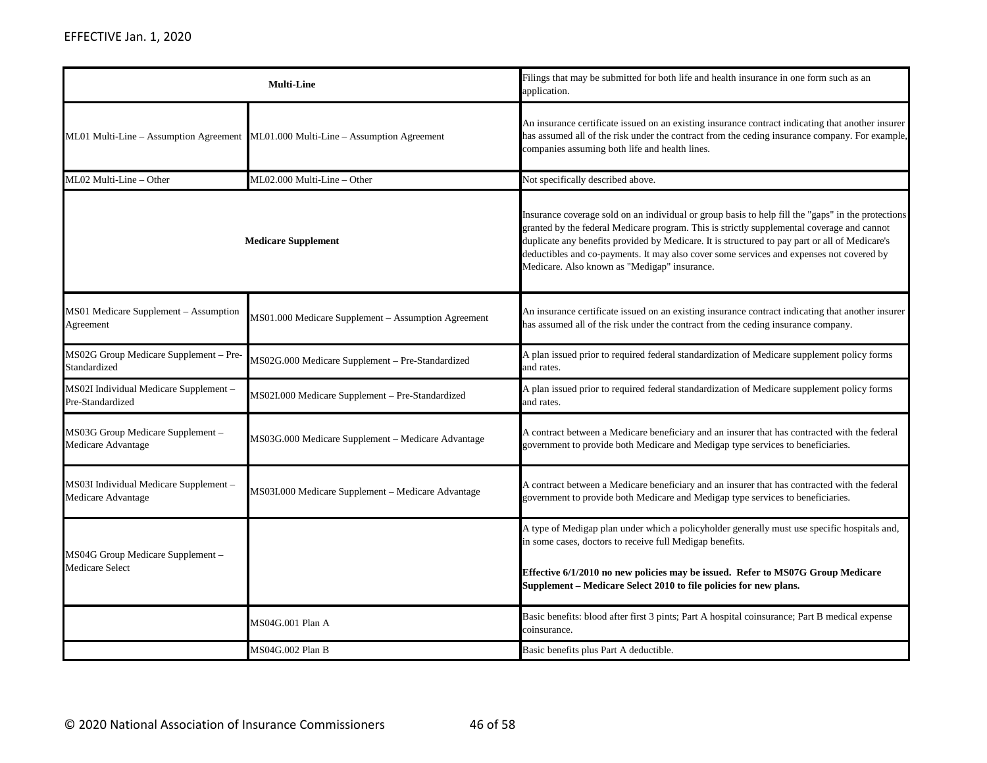| <b>Multi-Line</b>                                            |                                                                                   | Filings that may be submitted for both life and health insurance in one form such as an<br>application.                                                                                                                                                                                                                                                                                                                                        |
|--------------------------------------------------------------|-----------------------------------------------------------------------------------|------------------------------------------------------------------------------------------------------------------------------------------------------------------------------------------------------------------------------------------------------------------------------------------------------------------------------------------------------------------------------------------------------------------------------------------------|
|                                                              | ML01 Multi-Line - Assumption Agreement ML01.000 Multi-Line - Assumption Agreement | An insurance certificate issued on an existing insurance contract indicating that another insurer<br>has assumed all of the risk under the contract from the ceding insurance company. For example,<br>companies assuming both life and health lines.                                                                                                                                                                                          |
| ML02 Multi-Line - Other                                      | ML02.000 Multi-Line - Other                                                       | Not specifically described above.                                                                                                                                                                                                                                                                                                                                                                                                              |
|                                                              | <b>Medicare Supplement</b>                                                        | Insurance coverage sold on an individual or group basis to help fill the "gaps" in the protections<br>granted by the federal Medicare program. This is strictly supplemental coverage and cannot<br>duplicate any benefits provided by Medicare. It is structured to pay part or all of Medicare's<br>deductibles and co-payments. It may also cover some services and expenses not covered by<br>Medicare. Also known as "Medigap" insurance. |
| MS01 Medicare Supplement - Assumption<br>Agreement           | MS01.000 Medicare Supplement – Assumption Agreement                               | An insurance certificate issued on an existing insurance contract indicating that another insurer<br>has assumed all of the risk under the contract from the ceding insurance company.                                                                                                                                                                                                                                                         |
| MS02G Group Medicare Supplement - Pre-<br>Standardized       | MS02G.000 Medicare Supplement - Pre-Standardized                                  | A plan issued prior to required federal standardization of Medicare supplement policy forms<br>and rates.                                                                                                                                                                                                                                                                                                                                      |
| MS02I Individual Medicare Supplement -<br>Pre-Standardized   | MS02I.000 Medicare Supplement - Pre-Standardized                                  | A plan issued prior to required federal standardization of Medicare supplement policy forms<br>and rates.                                                                                                                                                                                                                                                                                                                                      |
| MS03G Group Medicare Supplement -<br>Medicare Advantage      | MS03G.000 Medicare Supplement - Medicare Advantage                                | A contract between a Medicare beneficiary and an insurer that has contracted with the federal<br>government to provide both Medicare and Medigap type services to beneficiaries.                                                                                                                                                                                                                                                               |
| MS03I Individual Medicare Supplement -<br>Medicare Advantage | MS03I.000 Medicare Supplement - Medicare Advantage                                | A contract between a Medicare beneficiary and an insurer that has contracted with the federal<br>government to provide both Medicare and Medigap type services to beneficiaries.                                                                                                                                                                                                                                                               |
| MS04G Group Medicare Supplement -<br>Medicare Select         |                                                                                   | A type of Medigap plan under which a policyholder generally must use specific hospitals and,<br>in some cases, doctors to receive full Medigap benefits.<br>Effective 6/1/2010 no new policies may be issued. Refer to MS07G Group Medicare<br>Supplement - Medicare Select 2010 to file policies for new plans.                                                                                                                               |
|                                                              | MS04G.001 Plan A                                                                  | Basic benefits: blood after first 3 pints; Part A hospital coinsurance; Part B medical expense<br>coinsurance.                                                                                                                                                                                                                                                                                                                                 |
|                                                              | MS04G.002 Plan B                                                                  | Basic benefits plus Part A deductible.                                                                                                                                                                                                                                                                                                                                                                                                         |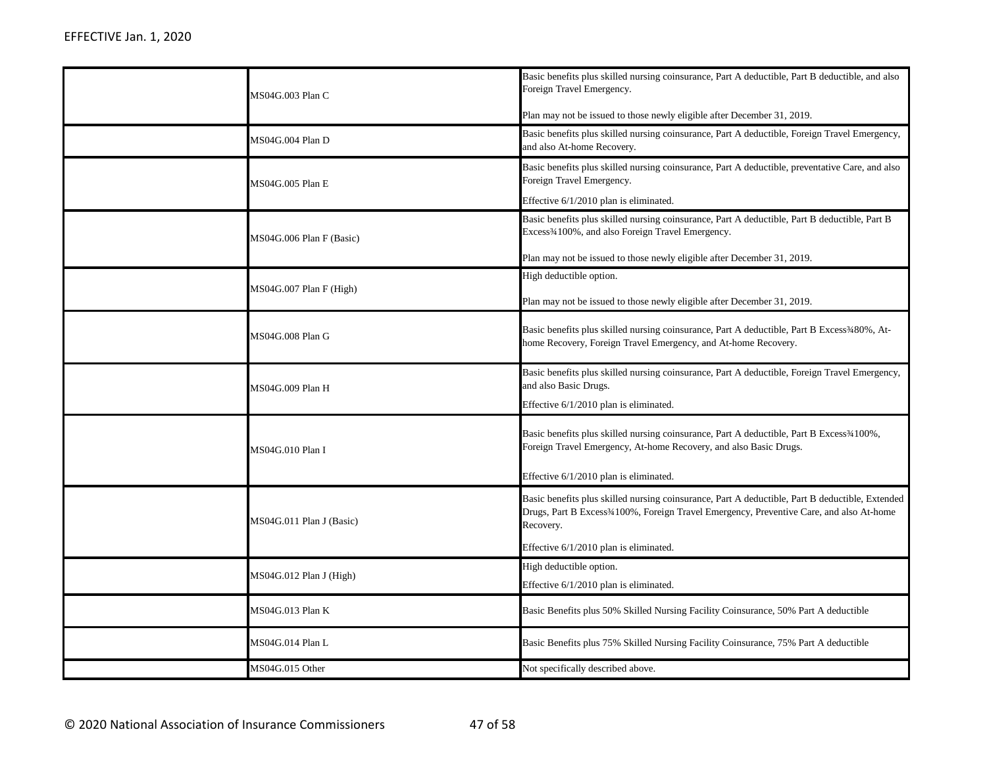| MS04G.003 Plan C         | Basic benefits plus skilled nursing coinsurance, Part A deductible, Part B deductible, and also<br>Foreign Travel Emergency.<br>Plan may not be issued to those newly eligible after December 31, 2019.              |
|--------------------------|----------------------------------------------------------------------------------------------------------------------------------------------------------------------------------------------------------------------|
| MS04G.004 Plan D         | Basic benefits plus skilled nursing coinsurance, Part A deductible, Foreign Travel Emergency,<br>and also At-home Recovery.                                                                                          |
| MS04G.005 Plan E         | Basic benefits plus skilled nursing coinsurance, Part A deductible, preventative Care, and also<br>Foreign Travel Emergency.                                                                                         |
|                          | Effective $6/1/2010$ plan is eliminated.                                                                                                                                                                             |
| MS04G.006 Plan F (Basic) | Basic benefits plus skilled nursing coinsurance, Part A deductible, Part B deductible, Part B<br>Excess <sup>3</sup> /4100%, and also Foreign Travel Emergency.                                                      |
|                          | Plan may not be issued to those newly eligible after December 31, 2019.                                                                                                                                              |
|                          | High deductible option.                                                                                                                                                                                              |
| MS04G.007 Plan F (High)  | Plan may not be issued to those newly eligible after December 31, 2019.                                                                                                                                              |
| MS04G.008 Plan G         | Basic benefits plus skilled nursing coinsurance, Part A deductible, Part B Excess <sup>3</sup> 480%, At-<br>home Recovery, Foreign Travel Emergency, and At-home Recovery.                                           |
| MS04G.009 Plan H         | Basic benefits plus skilled nursing coinsurance, Part A deductible, Foreign Travel Emergency,<br>and also Basic Drugs.<br>Effective 6/1/2010 plan is eliminated.                                                     |
| MS04G.010 Plan I         | Basic benefits plus skilled nursing coinsurance, Part A deductible, Part B Excess <sup>3</sup> 4100%,<br>Foreign Travel Emergency, At-home Recovery, and also Basic Drugs.<br>Effective 6/1/2010 plan is eliminated. |
| MS04G.011 Plan J (Basic) | Basic benefits plus skilled nursing coinsurance, Part A deductible, Part B deductible, Extended<br>Drugs, Part B Excess <sup>3</sup> 4100%, Foreign Travel Emergency, Preventive Care, and also At-home<br>Recovery. |
|                          | Effective 6/1/2010 plan is eliminated.                                                                                                                                                                               |
| MS04G.012 Plan J (High)  | High deductible option.<br>Effective 6/1/2010 plan is eliminated.                                                                                                                                                    |
| MS04G.013 Plan K         | Basic Benefits plus 50% Skilled Nursing Facility Coinsurance, 50% Part A deductible                                                                                                                                  |
| MS04G.014 Plan L         | Basic Benefits plus 75% Skilled Nursing Facility Coinsurance, 75% Part A deductible                                                                                                                                  |
| MS04G.015 Other          | Not specifically described above.                                                                                                                                                                                    |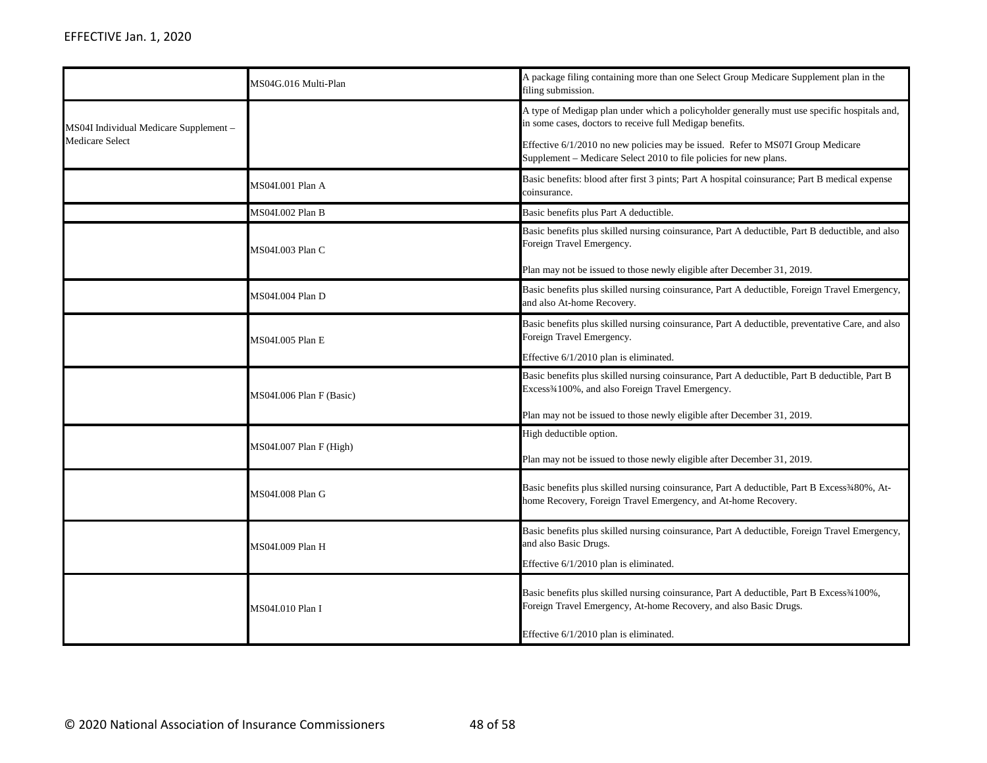|                                                                  | MS04G.016 Multi-Plan     | A package filing containing more than one Select Group Medicare Supplement plan in the<br>filing submission.                                                                                                                                                                                                     |
|------------------------------------------------------------------|--------------------------|------------------------------------------------------------------------------------------------------------------------------------------------------------------------------------------------------------------------------------------------------------------------------------------------------------------|
| MS04I Individual Medicare Supplement -<br><b>Medicare Select</b> |                          | A type of Medigap plan under which a policyholder generally must use specific hospitals and,<br>in some cases, doctors to receive full Medigap benefits.<br>Effective 6/1/2010 no new policies may be issued. Refer to MS07I Group Medicare<br>Supplement – Medicare Select 2010 to file policies for new plans. |
|                                                                  | MS04I.001 Plan A         | Basic benefits: blood after first 3 pints; Part A hospital coinsurance; Part B medical expense<br>coinsurance.                                                                                                                                                                                                   |
|                                                                  | MS04I.002 Plan B         | Basic benefits plus Part A deductible.                                                                                                                                                                                                                                                                           |
|                                                                  | MS04I.003 Plan C         | Basic benefits plus skilled nursing coinsurance, Part A deductible, Part B deductible, and also<br>Foreign Travel Emergency.<br>Plan may not be issued to those newly eligible after December 31, 2019.                                                                                                          |
|                                                                  | MS04I.004 Plan D         | Basic benefits plus skilled nursing coinsurance, Part A deductible, Foreign Travel Emergency,<br>and also At-home Recovery.                                                                                                                                                                                      |
|                                                                  | MS04I.005 Plan E         | Basic benefits plus skilled nursing coinsurance, Part A deductible, preventative Care, and also<br>Foreign Travel Emergency.<br>Effective 6/1/2010 plan is eliminated.                                                                                                                                           |
|                                                                  | MS04I.006 Plan F (Basic) | Basic benefits plus skilled nursing coinsurance, Part A deductible, Part B deductible, Part B<br>Excess <sup>3</sup> /4100%, and also Foreign Travel Emergency.<br>Plan may not be issued to those newly eligible after December 31, 2019.                                                                       |
|                                                                  | MS04I.007 Plan F (High)  | High deductible option.<br>Plan may not be issued to those newly eligible after December 31, 2019.                                                                                                                                                                                                               |
|                                                                  | MS04I.008 Plan G         | Basic benefits plus skilled nursing coinsurance, Part A deductible, Part B Excess <sup>3</sup> 480%, At-<br>home Recovery, Foreign Travel Emergency, and At-home Recovery.                                                                                                                                       |
|                                                                  | MS04I.009 Plan H         | Basic benefits plus skilled nursing coinsurance, Part A deductible, Foreign Travel Emergency,<br>and also Basic Drugs.<br>Effective 6/1/2010 plan is eliminated.                                                                                                                                                 |
|                                                                  | MS04I.010 Plan I         | Basic benefits plus skilled nursing coinsurance, Part A deductible, Part B Excess34100%,<br>Foreign Travel Emergency, At-home Recovery, and also Basic Drugs.<br>Effective 6/1/2010 plan is eliminated.                                                                                                          |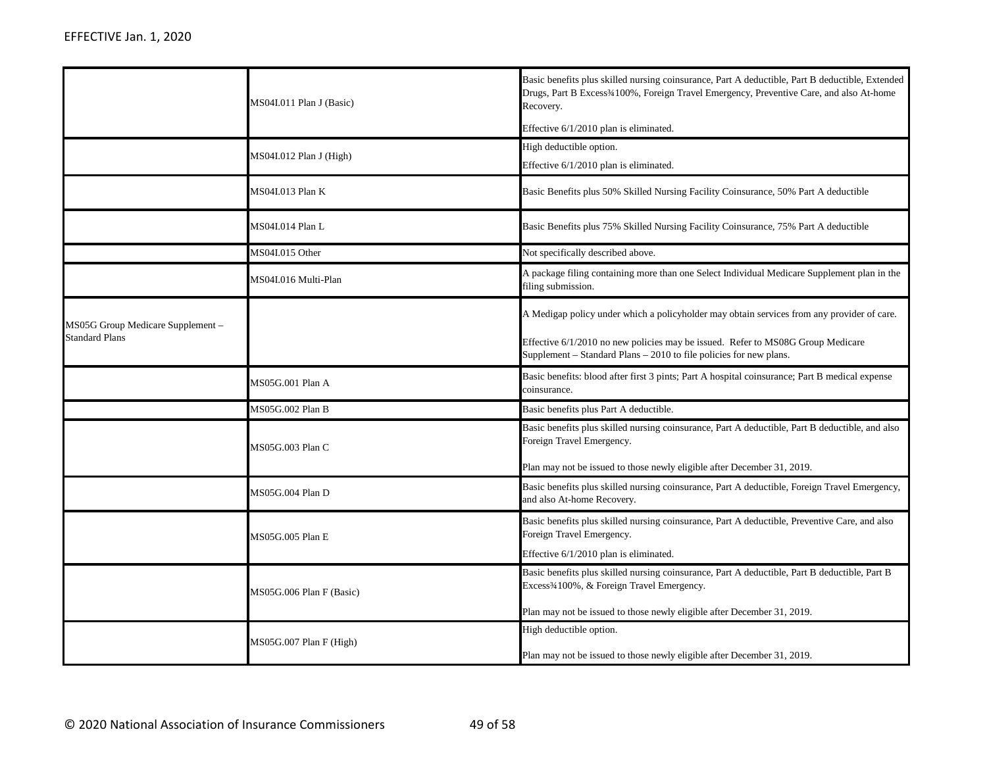|                                                           | MS04I.011 Plan J (Basic)  | Basic benefits plus skilled nursing coinsurance, Part A deductible, Part B deductible, Extended<br>Drugs, Part B Excess <sup>3</sup> 4100%, Foreign Travel Emergency, Preventive Care, and also At-home<br>Recovery.<br>Effective 6/1/2010 plan is eliminated. |
|-----------------------------------------------------------|---------------------------|----------------------------------------------------------------------------------------------------------------------------------------------------------------------------------------------------------------------------------------------------------------|
|                                                           | $MS04I.012$ Plan J (High) | High deductible option.<br>Effective 6/1/2010 plan is eliminated.                                                                                                                                                                                              |
|                                                           | MS04I.013 Plan K          | Basic Benefits plus 50% Skilled Nursing Facility Coinsurance, 50% Part A deductible                                                                                                                                                                            |
|                                                           | MS04I.014 Plan L          | Basic Benefits plus 75% Skilled Nursing Facility Coinsurance, 75% Part A deductible                                                                                                                                                                            |
|                                                           | MS04I.015 Other           | Not specifically described above.                                                                                                                                                                                                                              |
|                                                           | MS04I.016 Multi-Plan      | A package filing containing more than one Select Individual Medicare Supplement plan in the<br>filing submission.                                                                                                                                              |
| MS05G Group Medicare Supplement-<br><b>Standard Plans</b> |                           | A Medigap policy under which a policyholder may obtain services from any provider of care.<br>Effective $6/1/2010$ no new policies may be issued. Refer to MS08G Group Medicare<br>Supplement – Standard Plans – 2010 to file policies for new plans.          |
|                                                           | MS05G.001 Plan A          | Basic benefits: blood after first 3 pints; Part A hospital coinsurance; Part B medical expense<br>coinsurance.                                                                                                                                                 |
|                                                           | MS05G.002 Plan B          | Basic benefits plus Part A deductible.                                                                                                                                                                                                                         |
|                                                           | MS05G.003 Plan C          | Basic benefits plus skilled nursing coinsurance, Part A deductible, Part B deductible, and also<br>Foreign Travel Emergency.<br>Plan may not be issued to those newly eligible after December 31, 2019.                                                        |
|                                                           | MS05G.004 Plan D          | Basic benefits plus skilled nursing coinsurance, Part A deductible, Foreign Travel Emergency,<br>and also At-home Recovery.                                                                                                                                    |
|                                                           | MS05G.005 Plan E          | Basic benefits plus skilled nursing coinsurance, Part A deductible, Preventive Care, and also<br>Foreign Travel Emergency.<br>Effective 6/1/2010 plan is eliminated.                                                                                           |
|                                                           | MS05G.006 Plan F (Basic)  | Basic benefits plus skilled nursing coinsurance, Part A deductible, Part B deductible, Part B<br>Excess <sup>3</sup> 4100%, & Foreign Travel Emergency.<br>Plan may not be issued to those newly eligible after December 31, 2019.                             |
|                                                           | MS05G.007 Plan F (High)   | High deductible option.<br>Plan may not be issued to those newly eligible after December 31, 2019.                                                                                                                                                             |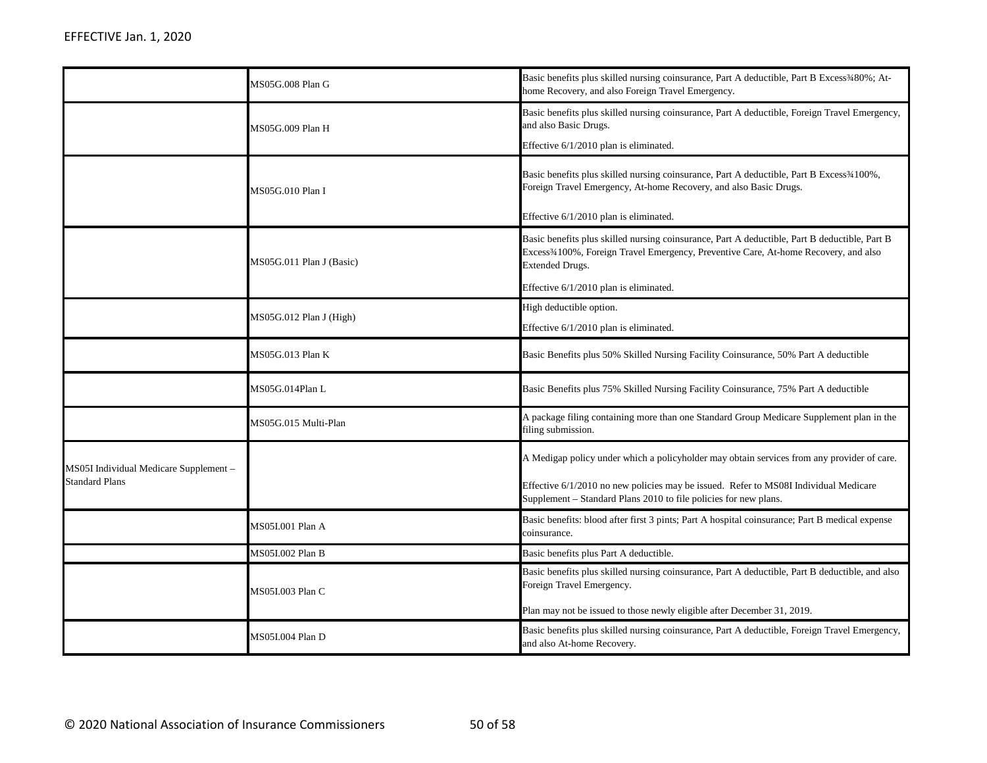|                                                                 | MS05G.008 Plan G         | Basic benefits plus skilled nursing coinsurance, Part A deductible, Part B Excess3480%; At-<br>home Recovery, and also Foreign Travel Emergency.                                                                                                                      |
|-----------------------------------------------------------------|--------------------------|-----------------------------------------------------------------------------------------------------------------------------------------------------------------------------------------------------------------------------------------------------------------------|
|                                                                 | MS05G.009 Plan H         | Basic benefits plus skilled nursing coinsurance, Part A deductible, Foreign Travel Emergency,<br>and also Basic Drugs.<br>Effective 6/1/2010 plan is eliminated.                                                                                                      |
|                                                                 | MS05G.010 Plan I         | Basic benefits plus skilled nursing coinsurance, Part A deductible, Part B Excess3/4100%,<br>Foreign Travel Emergency, At-home Recovery, and also Basic Drugs.<br>Effective 6/1/2010 plan is eliminated.                                                              |
|                                                                 | MS05G.011 Plan J (Basic) | Basic benefits plus skilled nursing coinsurance, Part A deductible, Part B deductible, Part B<br>Excess <sup>3</sup> 4100%, Foreign Travel Emergency, Preventive Care, At-home Recovery, and also<br><b>Extended Drugs.</b><br>Effective 6/1/2010 plan is eliminated. |
|                                                                 | MS05G.012 Plan J (High)  | High deductible option.<br>Effective 6/1/2010 plan is eliminated.                                                                                                                                                                                                     |
|                                                                 | MS05G.013 Plan K         | Basic Benefits plus 50% Skilled Nursing Facility Coinsurance, 50% Part A deductible                                                                                                                                                                                   |
|                                                                 | MS05G.014Plan L          | Basic Benefits plus 75% Skilled Nursing Facility Coinsurance, 75% Part A deductible                                                                                                                                                                                   |
|                                                                 | MS05G.015 Multi-Plan     | A package filing containing more than one Standard Group Medicare Supplement plan in the<br>filing submission.                                                                                                                                                        |
| MS05I Individual Medicare Supplement -<br><b>Standard Plans</b> |                          | A Medigap policy under which a policyholder may obtain services from any provider of care.<br>Effective 6/1/2010 no new policies may be issued. Refer to MS08I Individual Medicare<br>Supplement – Standard Plans 2010 to file policies for new plans.                |
|                                                                 | MS05I.001 Plan A         | Basic benefits: blood after first 3 pints; Part A hospital coinsurance; Part B medical expense<br>coinsurance.                                                                                                                                                        |
|                                                                 | MS05I.002 Plan B         | Basic benefits plus Part A deductible.                                                                                                                                                                                                                                |
|                                                                 | MS05I.003 Plan C         | Basic benefits plus skilled nursing coinsurance, Part A deductible, Part B deductible, and also<br>Foreign Travel Emergency.<br>Plan may not be issued to those newly eligible after December 31, 2019.                                                               |
|                                                                 | MS05I.004 Plan D         | Basic benefits plus skilled nursing coinsurance, Part A deductible, Foreign Travel Emergency,<br>and also At-home Recovery.                                                                                                                                           |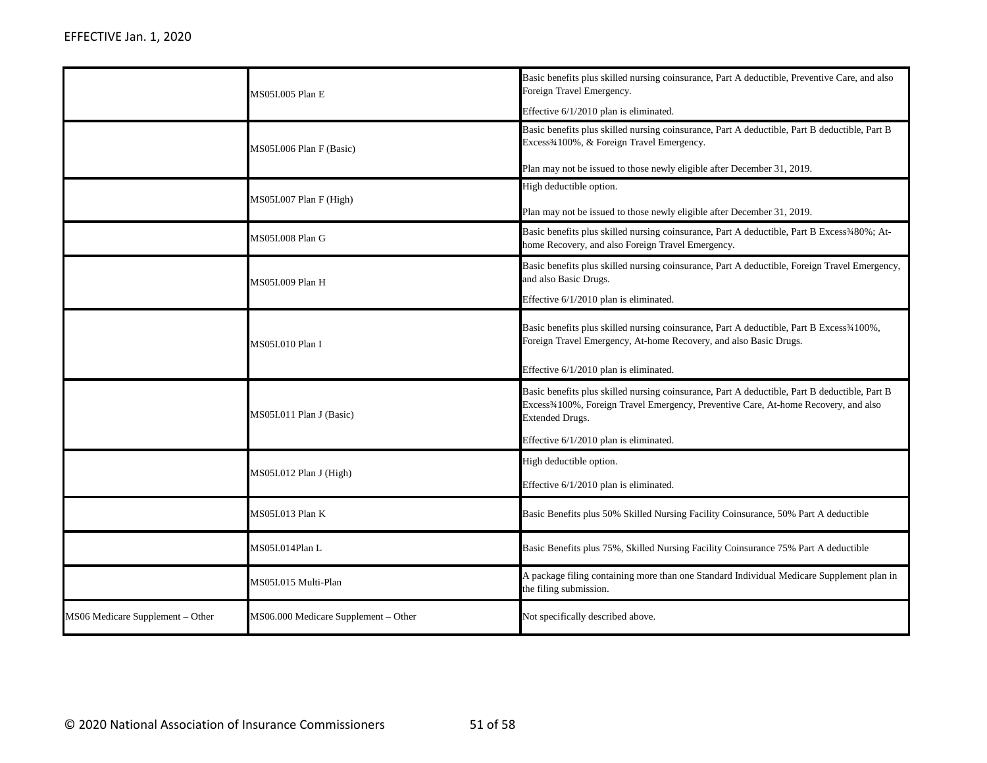|                                  | MS05I.005 Plan E                     | Basic benefits plus skilled nursing coinsurance, Part A deductible, Preventive Care, and also<br>Foreign Travel Emergency.                                                                                                                                            |
|----------------------------------|--------------------------------------|-----------------------------------------------------------------------------------------------------------------------------------------------------------------------------------------------------------------------------------------------------------------------|
|                                  | MS05I.006 Plan F (Basic)             | Effective 6/1/2010 plan is eliminated.<br>Basic benefits plus skilled nursing coinsurance, Part A deductible, Part B deductible, Part B<br>Excess <sup>3</sup> /4100%, & Foreign Travel Emergency.                                                                    |
|                                  | MS05I.007 Plan F (High)              | Plan may not be issued to those newly eligible after December 31, 2019.<br>High deductible option.<br>Plan may not be issued to those newly eligible after December 31, 2019.                                                                                         |
|                                  | MS05I.008 Plan G                     | Basic benefits plus skilled nursing coinsurance, Part A deductible, Part B Excess3480%; At-<br>home Recovery, and also Foreign Travel Emergency.                                                                                                                      |
|                                  | MS05I.009 Plan H                     | Basic benefits plus skilled nursing coinsurance, Part A deductible, Foreign Travel Emergency,<br>and also Basic Drugs.<br>Effective 6/1/2010 plan is eliminated.                                                                                                      |
|                                  | MS05I.010 Plan I                     | Basic benefits plus skilled nursing coinsurance, Part A deductible, Part B Excess <sup>3</sup> 4100%,<br>Foreign Travel Emergency, At-home Recovery, and also Basic Drugs.<br>Effective 6/1/2010 plan is eliminated.                                                  |
|                                  | MS05I.011 Plan J (Basic)             | Basic benefits plus skilled nursing coinsurance, Part A deductible, Part B deductible, Part B<br>Excess <sup>3</sup> 4100%, Foreign Travel Emergency, Preventive Care, At-home Recovery, and also<br><b>Extended Drugs.</b><br>Effective 6/1/2010 plan is eliminated. |
|                                  | MS05I.012 Plan J (High)              | High deductible option.<br>Effective 6/1/2010 plan is eliminated.                                                                                                                                                                                                     |
|                                  | MS05I.013 Plan K                     | Basic Benefits plus 50% Skilled Nursing Facility Coinsurance, 50% Part A deductible                                                                                                                                                                                   |
|                                  | MS05I.014Plan L                      | Basic Benefits plus 75%, Skilled Nursing Facility Coinsurance 75% Part A deductible                                                                                                                                                                                   |
|                                  | MS05I.015 Multi-Plan                 | A package filing containing more than one Standard Individual Medicare Supplement plan in<br>the filing submission.                                                                                                                                                   |
| MS06 Medicare Supplement - Other | MS06.000 Medicare Supplement - Other | Not specifically described above.                                                                                                                                                                                                                                     |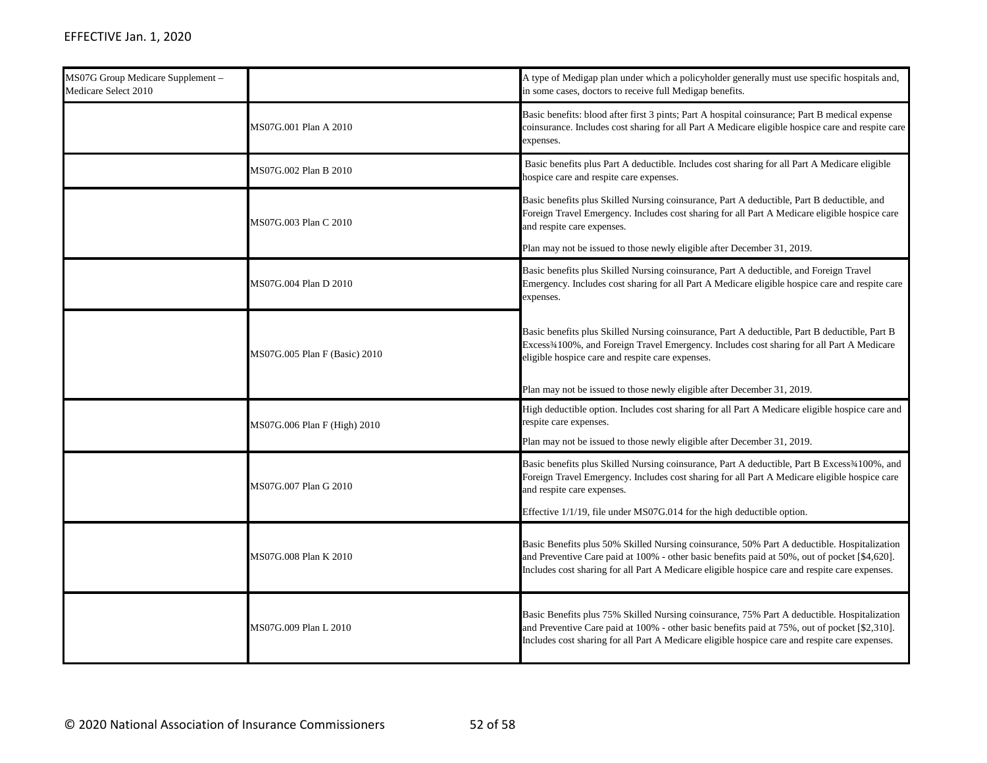| MS07G Group Medicare Supplement -<br>Medicare Select 2010 |                               | A type of Medigap plan under which a policyholder generally must use specific hospitals and,<br>in some cases, doctors to receive full Medigap benefits.                                                                                                                                       |
|-----------------------------------------------------------|-------------------------------|------------------------------------------------------------------------------------------------------------------------------------------------------------------------------------------------------------------------------------------------------------------------------------------------|
|                                                           | MS07G.001 Plan A 2010         | Basic benefits: blood after first 3 pints; Part A hospital coinsurance; Part B medical expense<br>coinsurance. Includes cost sharing for all Part A Medicare eligible hospice care and respite care<br>expenses.                                                                               |
|                                                           | MS07G.002 Plan B 2010         | Basic benefits plus Part A deductible. Includes cost sharing for all Part A Medicare eligible<br>hospice care and respite care expenses.                                                                                                                                                       |
|                                                           | MS07G.003 Plan C 2010         | Basic benefits plus Skilled Nursing coinsurance, Part A deductible, Part B deductible, and<br>Foreign Travel Emergency. Includes cost sharing for all Part A Medicare eligible hospice care<br>and respite care expenses.                                                                      |
|                                                           |                               | Plan may not be issued to those newly eligible after December 31, 2019.                                                                                                                                                                                                                        |
|                                                           | MS07G.004 Plan D 2010         | Basic benefits plus Skilled Nursing coinsurance, Part A deductible, and Foreign Travel<br>Emergency. Includes cost sharing for all Part A Medicare eligible hospice care and respite care<br>expenses.                                                                                         |
|                                                           | MS07G.005 Plan F (Basic) 2010 | Basic benefits plus Skilled Nursing coinsurance, Part A deductible, Part B deductible, Part B<br>Excess <sup>3</sup> 4100%, and Foreign Travel Emergency. Includes cost sharing for all Part A Medicare<br>eligible hospice care and respite care expenses.                                    |
|                                                           |                               | Plan may not be issued to those newly eligible after December 31, 2019.                                                                                                                                                                                                                        |
|                                                           | MS07G.006 Plan F (High) 2010  | High deductible option. Includes cost sharing for all Part A Medicare eligible hospice care and<br>respite care expenses.                                                                                                                                                                      |
|                                                           |                               | Plan may not be issued to those newly eligible after December 31, 2019.                                                                                                                                                                                                                        |
|                                                           | MS07G.007 Plan G 2010         | Basic benefits plus Skilled Nursing coinsurance, Part A deductible, Part B Excess <sup>34100</sup> %, and<br>Foreign Travel Emergency. Includes cost sharing for all Part A Medicare eligible hospice care<br>and respite care expenses.                                                       |
|                                                           |                               | Effective 1/1/19, file under MS07G.014 for the high deductible option.                                                                                                                                                                                                                         |
|                                                           | MS07G.008 Plan K 2010         | Basic Benefits plus 50% Skilled Nursing coinsurance, 50% Part A deductible. Hospitalization<br>and Preventive Care paid at 100% - other basic benefits paid at 50%, out of pocket [\$4,620].<br>Includes cost sharing for all Part A Medicare eligible hospice care and respite care expenses. |
|                                                           | MS07G.009 Plan L 2010         | Basic Benefits plus 75% Skilled Nursing coinsurance, 75% Part A deductible. Hospitalization<br>and Preventive Care paid at 100% - other basic benefits paid at 75%, out of pocket [\$2,310].<br>Includes cost sharing for all Part A Medicare eligible hospice care and respite care expenses. |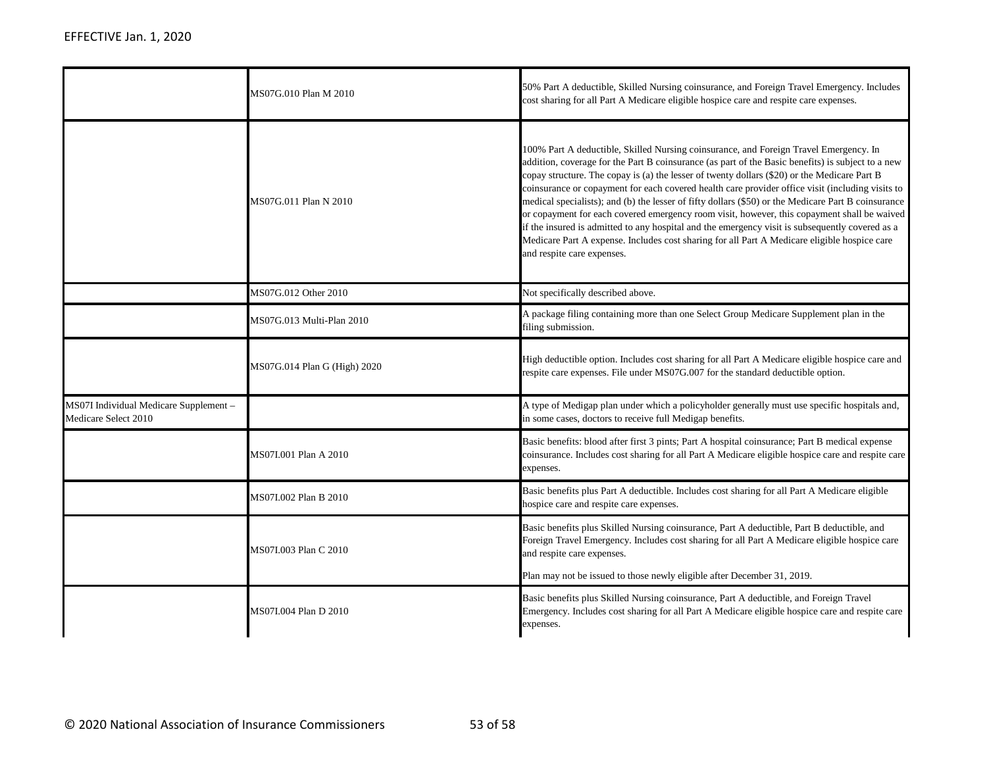|                                                                | MS07G.010 Plan M 2010        | 50% Part A deductible, Skilled Nursing coinsurance, and Foreign Travel Emergency. Includes<br>cost sharing for all Part A Medicare eligible hospice care and respite care expenses.                                                                                                                                                                                                                                                                                                                                                                                                                                                                                                                                                                                                                                                   |
|----------------------------------------------------------------|------------------------------|---------------------------------------------------------------------------------------------------------------------------------------------------------------------------------------------------------------------------------------------------------------------------------------------------------------------------------------------------------------------------------------------------------------------------------------------------------------------------------------------------------------------------------------------------------------------------------------------------------------------------------------------------------------------------------------------------------------------------------------------------------------------------------------------------------------------------------------|
|                                                                | MS07G.011 Plan N 2010        | 100% Part A deductible, Skilled Nursing coinsurance, and Foreign Travel Emergency. In<br>addition, coverage for the Part B coinsurance (as part of the Basic benefits) is subject to a new<br>copay structure. The copay is (a) the lesser of twenty dollars (\$20) or the Medicare Part B<br>coinsurance or copayment for each covered health care provider office visit (including visits to<br>medical specialists); and (b) the lesser of fifty dollars (\$50) or the Medicare Part B coinsurance<br>or copayment for each covered emergency room visit, however, this copayment shall be waived<br>if the insured is admitted to any hospital and the emergency visit is subsequently covered as a<br>Medicare Part A expense. Includes cost sharing for all Part A Medicare eligible hospice care<br>and respite care expenses. |
|                                                                | MS07G.012 Other 2010         | Not specifically described above.                                                                                                                                                                                                                                                                                                                                                                                                                                                                                                                                                                                                                                                                                                                                                                                                     |
|                                                                | MS07G.013 Multi-Plan 2010    | A package filing containing more than one Select Group Medicare Supplement plan in the<br>filing submission.                                                                                                                                                                                                                                                                                                                                                                                                                                                                                                                                                                                                                                                                                                                          |
|                                                                | MS07G.014 Plan G (High) 2020 | High deductible option. Includes cost sharing for all Part A Medicare eligible hospice care and<br>respite care expenses. File under MS07G.007 for the standard deductible option.                                                                                                                                                                                                                                                                                                                                                                                                                                                                                                                                                                                                                                                    |
| MS07I Individual Medicare Supplement -<br>Medicare Select 2010 |                              | A type of Medigap plan under which a policyholder generally must use specific hospitals and,<br>in some cases, doctors to receive full Medigap benefits.                                                                                                                                                                                                                                                                                                                                                                                                                                                                                                                                                                                                                                                                              |
|                                                                | MS07I.001 Plan A 2010        | Basic benefits: blood after first 3 pints; Part A hospital coinsurance; Part B medical expense<br>coinsurance. Includes cost sharing for all Part A Medicare eligible hospice care and respite care<br>expenses.                                                                                                                                                                                                                                                                                                                                                                                                                                                                                                                                                                                                                      |
|                                                                | MS07I.002 Plan B 2010        | Basic benefits plus Part A deductible. Includes cost sharing for all Part A Medicare eligible<br>hospice care and respite care expenses.                                                                                                                                                                                                                                                                                                                                                                                                                                                                                                                                                                                                                                                                                              |
|                                                                | MS07I.003 Plan C 2010        | Basic benefits plus Skilled Nursing coinsurance, Part A deductible, Part B deductible, and<br>Foreign Travel Emergency. Includes cost sharing for all Part A Medicare eligible hospice care<br>and respite care expenses.<br>Plan may not be issued to those newly eligible after December 31, 2019.                                                                                                                                                                                                                                                                                                                                                                                                                                                                                                                                  |
|                                                                | MS07I.004 Plan D 2010        | Basic benefits plus Skilled Nursing coinsurance, Part A deductible, and Foreign Travel<br>Emergency. Includes cost sharing for all Part A Medicare eligible hospice care and respite care<br>expenses.                                                                                                                                                                                                                                                                                                                                                                                                                                                                                                                                                                                                                                |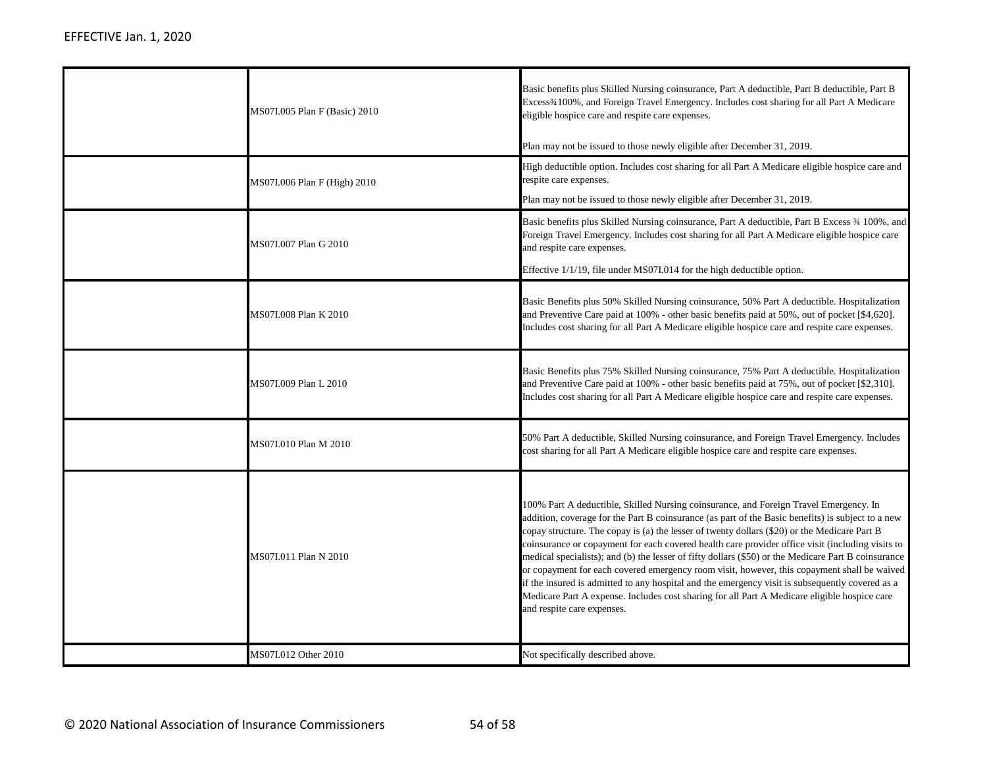| MS07I.005 Plan F (Basic) 2010 | Basic benefits plus Skilled Nursing coinsurance, Part A deductible, Part B deductible, Part B<br>Excess <sup>3</sup> 4100%, and Foreign Travel Emergency. Includes cost sharing for all Part A Medicare<br>eligible hospice care and respite care expenses.<br>Plan may not be issued to those newly eligible after December 31, 2019.                                                                                                                                                                                                                                                                                                                                                                                                                                                                                                |
|-------------------------------|---------------------------------------------------------------------------------------------------------------------------------------------------------------------------------------------------------------------------------------------------------------------------------------------------------------------------------------------------------------------------------------------------------------------------------------------------------------------------------------------------------------------------------------------------------------------------------------------------------------------------------------------------------------------------------------------------------------------------------------------------------------------------------------------------------------------------------------|
| MS07I.006 Plan F (High) 2010  | High deductible option. Includes cost sharing for all Part A Medicare eligible hospice care and<br>respite care expenses.<br>Plan may not be issued to those newly eligible after December 31, 2019.                                                                                                                                                                                                                                                                                                                                                                                                                                                                                                                                                                                                                                  |
| MS07I.007 Plan G 2010         | Basic benefits plus Skilled Nursing coinsurance, Part A deductible, Part B Excess 34 100%, and<br>Foreign Travel Emergency. Includes cost sharing for all Part A Medicare eligible hospice care<br>and respite care expenses.<br>Effective 1/1/19, file under MS07I.014 for the high deductible option.                                                                                                                                                                                                                                                                                                                                                                                                                                                                                                                               |
| MS07I.008 Plan K 2010         | Basic Benefits plus 50% Skilled Nursing coinsurance, 50% Part A deductible. Hospitalization<br>and Preventive Care paid at 100% - other basic benefits paid at 50%, out of pocket [\$4,620].<br>Includes cost sharing for all Part A Medicare eligible hospice care and respite care expenses.                                                                                                                                                                                                                                                                                                                                                                                                                                                                                                                                        |
| MS07I.009 Plan L 2010         | Basic Benefits plus 75% Skilled Nursing coinsurance, 75% Part A deductible. Hospitalization<br>and Preventive Care paid at 100% - other basic benefits paid at 75%, out of pocket [\$2,310].<br>Includes cost sharing for all Part A Medicare eligible hospice care and respite care expenses.                                                                                                                                                                                                                                                                                                                                                                                                                                                                                                                                        |
| MS07I.010 Plan M 2010         | 50% Part A deductible, Skilled Nursing coinsurance, and Foreign Travel Emergency. Includes<br>cost sharing for all Part A Medicare eligible hospice care and respite care expenses.                                                                                                                                                                                                                                                                                                                                                                                                                                                                                                                                                                                                                                                   |
| MS07I.011 Plan N 2010         | 100% Part A deductible, Skilled Nursing coinsurance, and Foreign Travel Emergency. In<br>addition, coverage for the Part B coinsurance (as part of the Basic benefits) is subject to a new<br>copay structure. The copay is (a) the lesser of twenty dollars (\$20) or the Medicare Part B<br>coinsurance or copayment for each covered health care provider office visit (including visits to<br>medical specialists); and (b) the lesser of fifty dollars (\$50) or the Medicare Part B coinsurance<br>or copayment for each covered emergency room visit, however, this copayment shall be waived<br>if the insured is admitted to any hospital and the emergency visit is subsequently covered as a<br>Medicare Part A expense. Includes cost sharing for all Part A Medicare eligible hospice care<br>and respite care expenses. |
| MS07I.012 Other 2010          | Not specifically described above.                                                                                                                                                                                                                                                                                                                                                                                                                                                                                                                                                                                                                                                                                                                                                                                                     |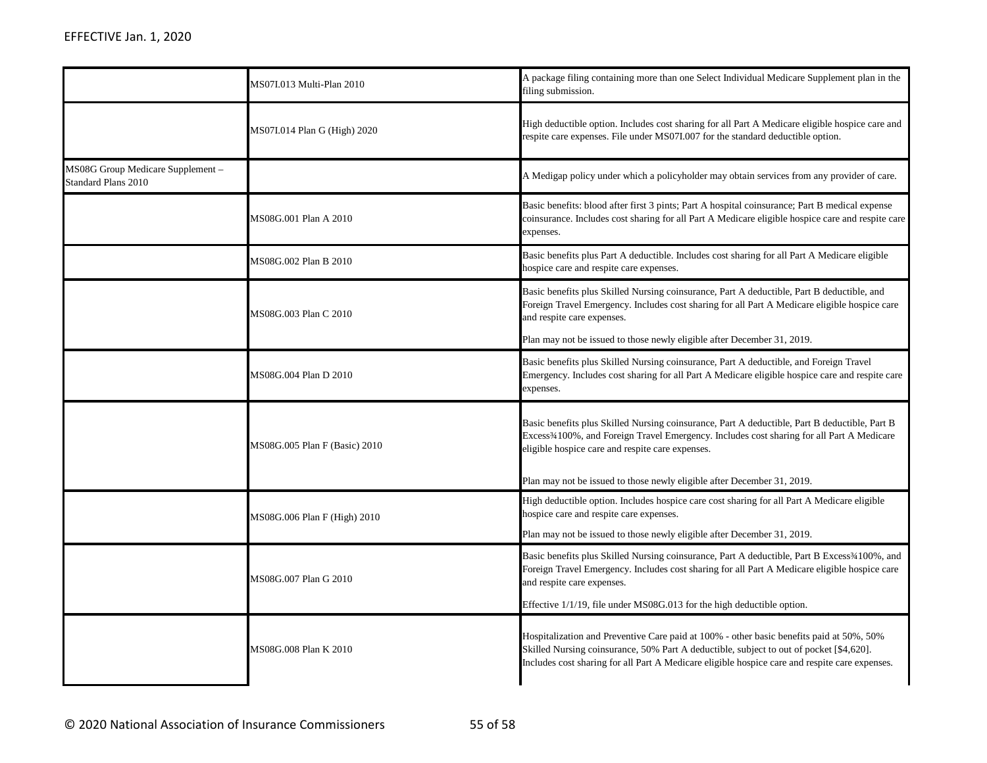|                                                          | MS07I.013 Multi-Plan 2010     | A package filing containing more than one Select Individual Medicare Supplement plan in the<br>filing submission.                                                                                                                                                                     |
|----------------------------------------------------------|-------------------------------|---------------------------------------------------------------------------------------------------------------------------------------------------------------------------------------------------------------------------------------------------------------------------------------|
|                                                          | MS07I.014 Plan G (High) 2020  | High deductible option. Includes cost sharing for all Part A Medicare eligible hospice care and<br>respite care expenses. File under MS07I.007 for the standard deductible option.                                                                                                    |
| MS08G Group Medicare Supplement -<br>Standard Plans 2010 |                               | A Medigap policy under which a policyholder may obtain services from any provider of care.                                                                                                                                                                                            |
|                                                          | MS08G.001 Plan A 2010         | Basic benefits: blood after first 3 pints; Part A hospital coinsurance; Part B medical expense<br>coinsurance. Includes cost sharing for all Part A Medicare eligible hospice care and respite care<br>expenses.                                                                      |
|                                                          | MS08G.002 Plan B 2010         | Basic benefits plus Part A deductible. Includes cost sharing for all Part A Medicare eligible<br>hospice care and respite care expenses.                                                                                                                                              |
|                                                          | MS08G.003 Plan C 2010         | Basic benefits plus Skilled Nursing coinsurance, Part A deductible, Part B deductible, and<br>Foreign Travel Emergency. Includes cost sharing for all Part A Medicare eligible hospice care<br>and respite care expenses.                                                             |
|                                                          |                               | Plan may not be issued to those newly eligible after December 31, 2019.                                                                                                                                                                                                               |
|                                                          | MS08G.004 Plan D 2010         | Basic benefits plus Skilled Nursing coinsurance, Part A deductible, and Foreign Travel<br>Emergency. Includes cost sharing for all Part A Medicare eligible hospice care and respite care<br>expenses.                                                                                |
|                                                          | MS08G.005 Plan F (Basic) 2010 | Basic benefits plus Skilled Nursing coinsurance, Part A deductible, Part B deductible, Part B<br>Excess <sup>3</sup> 4100%, and Foreign Travel Emergency. Includes cost sharing for all Part A Medicare<br>eligible hospice care and respite care expenses.                           |
|                                                          |                               | Plan may not be issued to those newly eligible after December 31, 2019.                                                                                                                                                                                                               |
|                                                          | MS08G.006 Plan F (High) 2010  | High deductible option. Includes hospice care cost sharing for all Part A Medicare eligible<br>hospice care and respite care expenses.                                                                                                                                                |
|                                                          |                               | Plan may not be issued to those newly eligible after December 31, 2019.                                                                                                                                                                                                               |
|                                                          | MS08G.007 Plan G 2010         | Basic benefits plus Skilled Nursing coinsurance, Part A deductible, Part B Excess <sup>34</sup> 100%, and<br>Foreign Travel Emergency. Includes cost sharing for all Part A Medicare eligible hospice care<br>and respite care expenses.                                              |
|                                                          |                               | Effective 1/1/19, file under MS08G.013 for the high deductible option.                                                                                                                                                                                                                |
|                                                          | MS08G.008 Plan K 2010         | Hospitalization and Preventive Care paid at 100% - other basic benefits paid at 50%, 50%<br>Skilled Nursing coinsurance, 50% Part A deductible, subject to out of pocket [\$4,620].<br>Includes cost sharing for all Part A Medicare eligible hospice care and respite care expenses. |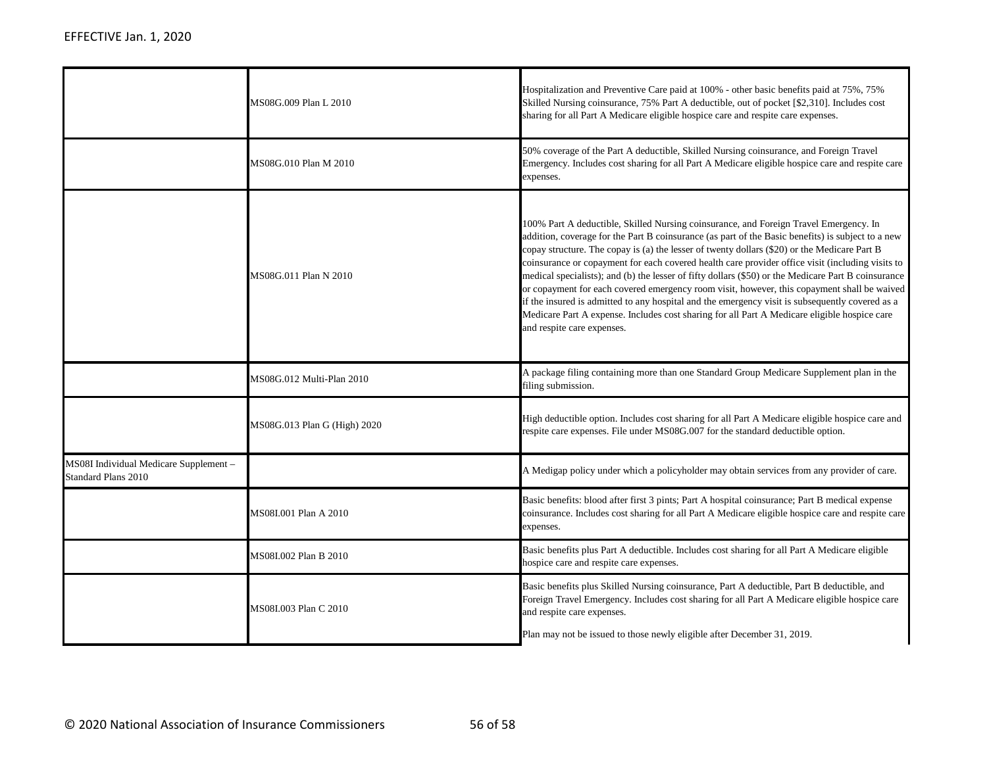|                                                               | MS08G.009 Plan L 2010        | Hospitalization and Preventive Care paid at 100% - other basic benefits paid at 75%, 75%<br>Skilled Nursing coinsurance, 75% Part A deductible, out of pocket [\$2,310]. Includes cost<br>sharing for all Part A Medicare eligible hospice care and respite care expenses.                                                                                                                                                                                                                                                                                                                                                                                                                                                                                                                                                            |
|---------------------------------------------------------------|------------------------------|---------------------------------------------------------------------------------------------------------------------------------------------------------------------------------------------------------------------------------------------------------------------------------------------------------------------------------------------------------------------------------------------------------------------------------------------------------------------------------------------------------------------------------------------------------------------------------------------------------------------------------------------------------------------------------------------------------------------------------------------------------------------------------------------------------------------------------------|
|                                                               | MS08G.010 Plan M 2010        | 50% coverage of the Part A deductible, Skilled Nursing coinsurance, and Foreign Travel<br>Emergency. Includes cost sharing for all Part A Medicare eligible hospice care and respite care<br>expenses.                                                                                                                                                                                                                                                                                                                                                                                                                                                                                                                                                                                                                                |
|                                                               | MS08G.011 Plan N 2010        | 100% Part A deductible, Skilled Nursing coinsurance, and Foreign Travel Emergency. In<br>addition, coverage for the Part B coinsurance (as part of the Basic benefits) is subject to a new<br>copay structure. The copay is (a) the lesser of twenty dollars (\$20) or the Medicare Part B<br>coinsurance or copayment for each covered health care provider office visit (including visits to<br>medical specialists); and (b) the lesser of fifty dollars (\$50) or the Medicare Part B coinsurance<br>or copayment for each covered emergency room visit, however, this copayment shall be waived<br>if the insured is admitted to any hospital and the emergency visit is subsequently covered as a<br>Medicare Part A expense. Includes cost sharing for all Part A Medicare eligible hospice care<br>and respite care expenses. |
|                                                               | MS08G.012 Multi-Plan 2010    | A package filing containing more than one Standard Group Medicare Supplement plan in the<br>filing submission.                                                                                                                                                                                                                                                                                                                                                                                                                                                                                                                                                                                                                                                                                                                        |
|                                                               | MS08G.013 Plan G (High) 2020 | High deductible option. Includes cost sharing for all Part A Medicare eligible hospice care and<br>respite care expenses. File under MS08G.007 for the standard deductible option.                                                                                                                                                                                                                                                                                                                                                                                                                                                                                                                                                                                                                                                    |
| MS08I Individual Medicare Supplement -<br>Standard Plans 2010 |                              | A Medigap policy under which a policyholder may obtain services from any provider of care.                                                                                                                                                                                                                                                                                                                                                                                                                                                                                                                                                                                                                                                                                                                                            |
|                                                               | MS08I.001 Plan A 2010        | Basic benefits: blood after first 3 pints; Part A hospital coinsurance; Part B medical expense<br>coinsurance. Includes cost sharing for all Part A Medicare eligible hospice care and respite care<br>expenses.                                                                                                                                                                                                                                                                                                                                                                                                                                                                                                                                                                                                                      |
|                                                               | MS08I.002 Plan B 2010        | Basic benefits plus Part A deductible. Includes cost sharing for all Part A Medicare eligible<br>hospice care and respite care expenses.                                                                                                                                                                                                                                                                                                                                                                                                                                                                                                                                                                                                                                                                                              |
|                                                               | MS08I.003 Plan C 2010        | Basic benefits plus Skilled Nursing coinsurance, Part A deductible, Part B deductible, and<br>Foreign Travel Emergency. Includes cost sharing for all Part A Medicare eligible hospice care<br>and respite care expenses.<br>Plan may not be issued to those newly eligible after December 31, 2019.                                                                                                                                                                                                                                                                                                                                                                                                                                                                                                                                  |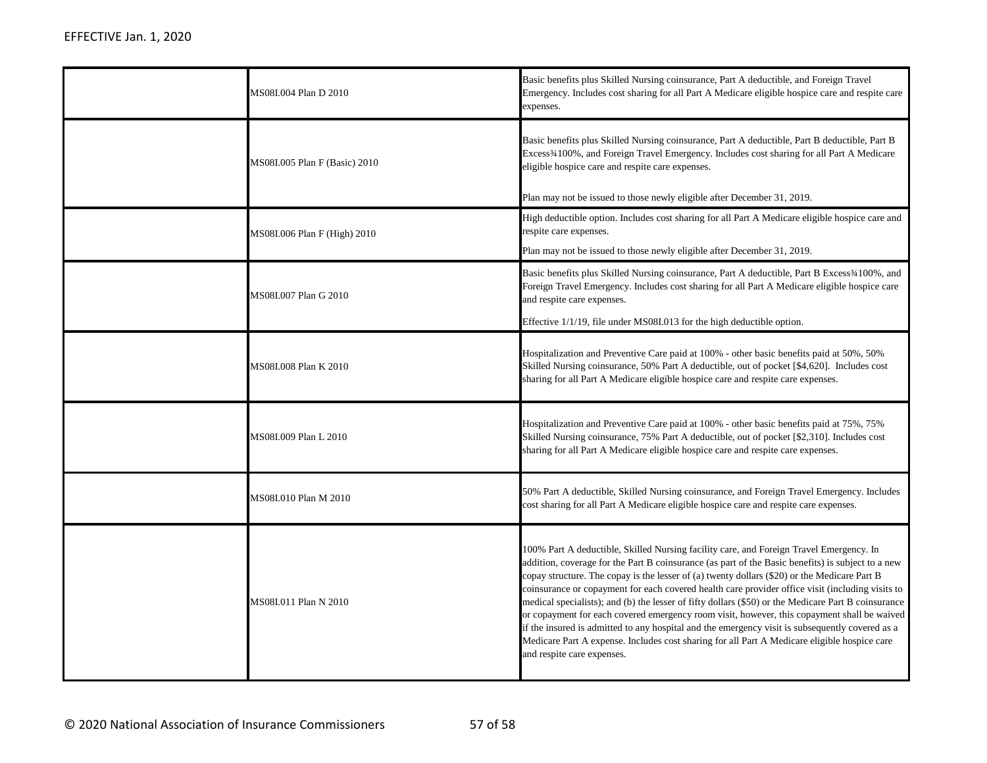| MS08I.004 Plan D 2010         | Basic benefits plus Skilled Nursing coinsurance, Part A deductible, and Foreign Travel<br>Emergency. Includes cost sharing for all Part A Medicare eligible hospice care and respite care<br>expenses.                                                                                                                                                                                                                                                                                                                                                                                                                                                                                                                                                                                                                                    |
|-------------------------------|-------------------------------------------------------------------------------------------------------------------------------------------------------------------------------------------------------------------------------------------------------------------------------------------------------------------------------------------------------------------------------------------------------------------------------------------------------------------------------------------------------------------------------------------------------------------------------------------------------------------------------------------------------------------------------------------------------------------------------------------------------------------------------------------------------------------------------------------|
| MS08I.005 Plan F (Basic) 2010 | Basic benefits plus Skilled Nursing coinsurance, Part A deductible, Part B deductible, Part B<br>Excess <sup>3</sup> 4100%, and Foreign Travel Emergency. Includes cost sharing for all Part A Medicare<br>eligible hospice care and respite care expenses.<br>Plan may not be issued to those newly eligible after December 31, 2019.                                                                                                                                                                                                                                                                                                                                                                                                                                                                                                    |
| MS08I.006 Plan F (High) 2010  | High deductible option. Includes cost sharing for all Part A Medicare eligible hospice care and<br>respite care expenses.<br>Plan may not be issued to those newly eligible after December 31, 2019.                                                                                                                                                                                                                                                                                                                                                                                                                                                                                                                                                                                                                                      |
| MS08I.007 Plan G 2010         | Basic benefits plus Skilled Nursing coinsurance, Part A deductible, Part B Excess <sup>34100%</sup> , and<br>Foreign Travel Emergency. Includes cost sharing for all Part A Medicare eligible hospice care<br>and respite care expenses.<br>Effective 1/1/19, file under MS08I.013 for the high deductible option.                                                                                                                                                                                                                                                                                                                                                                                                                                                                                                                        |
| MS08I.008 Plan K 2010         | Hospitalization and Preventive Care paid at 100% - other basic benefits paid at 50%, 50%<br>Skilled Nursing coinsurance, 50% Part A deductible, out of pocket [\$4,620]. Includes cost<br>sharing for all Part A Medicare eligible hospice care and respite care expenses.                                                                                                                                                                                                                                                                                                                                                                                                                                                                                                                                                                |
| MS08I.009 Plan L 2010         | Hospitalization and Preventive Care paid at 100% - other basic benefits paid at 75%, 75%<br>Skilled Nursing coinsurance, 75% Part A deductible, out of pocket [\$2,310]. Includes cost<br>sharing for all Part A Medicare eligible hospice care and respite care expenses.                                                                                                                                                                                                                                                                                                                                                                                                                                                                                                                                                                |
| MS08I.010 Plan M 2010         | 50% Part A deductible, Skilled Nursing coinsurance, and Foreign Travel Emergency. Includes<br>cost sharing for all Part A Medicare eligible hospice care and respite care expenses.                                                                                                                                                                                                                                                                                                                                                                                                                                                                                                                                                                                                                                                       |
| MS08I.011 Plan N 2010         | 100% Part A deductible, Skilled Nursing facility care, and Foreign Travel Emergency. In<br>addition, coverage for the Part B coinsurance (as part of the Basic benefits) is subject to a new<br>copay structure. The copay is the lesser of (a) twenty dollars $(\$20)$ or the Medicare Part B<br>coinsurance or copayment for each covered health care provider office visit (including visits to<br>medical specialists); and (b) the lesser of fifty dollars (\$50) or the Medicare Part B coinsurance<br>or copayment for each covered emergency room visit, however, this copayment shall be waived<br>if the insured is admitted to any hospital and the emergency visit is subsequently covered as a<br>Medicare Part A expense. Includes cost sharing for all Part A Medicare eligible hospice care<br>and respite care expenses. |